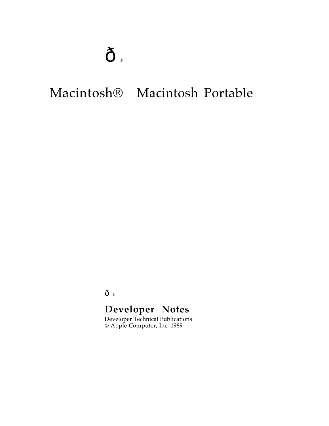# Macintosh® Macintosh Portable

**Developer Notes**

®

Developer Technical Publications © Apple Computer, Inc. 1989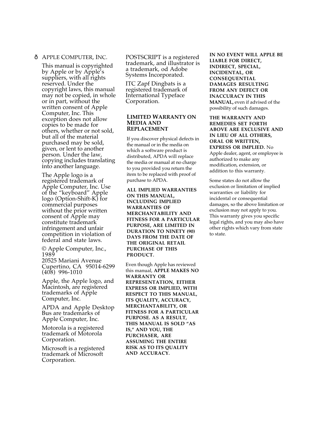#### APPLE COMPUTER, INC.

This manual is copyrighted by Apple or by Apple's suppliers, with all rights reserved. Under the copyright laws, this manual may not be copied, in whole or in part, without the written consent of Apple Computer, Inc. This exception does not allow copies to be made for others, whether or not sold, but all of the material purchased may be sold, given, or lent to another person. Under the law, copying includes translating into another language.

The Apple logo is a registered trademark of Apple Computer, Inc. Use of the "keyboard" Apple logo (Option-Shift-K) for commercial purposes without the prior written consent of Apple may constitute trademark infringement and unfair competition in violation of federal and state laws.

© Apple Computer, Inc., 1989 20525 Mariani Avenue Cupertino, CA 95014-6299 (408) 996-1010

Apple, the Apple logo, and Macintosh, are registered trademarks of Apple Computer, Inc.

APDA and Apple Desktop Bus are trademarks of Apple Computer, Inc.

Motorola is a registered trademark of Motorola Corporation.

Microsoft is a registered trademark of Microsoft Corporation.

POSTSCRIPT is a registered trademark, and illustrator is a trademark, od Adobe Systems Incorporated.

ITC Zapf Dingbats is a registered trademark of International Typeface Corporation.

#### **LIMITED WARRANTY ON MEDIA AND REPLACEMENT**

If you discover physical defects in the manual or in the media on which a software product is distributed, APDA will replace the media or manual at no charge to you provided you return the item to be replaced with proof of purchase to APDA.

**ALL IMPLIED WARRANTIES ON THIS MANUAL, INCLUDING IMPLIED WARRANTIES OF MERCHANTABILITY AND FITNESS FOR A PARTICULAR PURPOSE, ARE LIMITED IN DURATION TO NINETY (90) DAYS FROM THE DATE OF THE ORIGINAL RETAIL PURCHASE OF THIS PRODUCT.**

Even though Apple has reviewed this manual, **APPLE MAKES NO WARRANTY OR REPRESENTATION, EITHER EXPRESS OR IMPLIED, WITH RESPECT TO THIS MANUAL, ITS QUALITY, ACCURACY, MERCHANTABILITY, OR FITNESS FOR A PARTICULAR PURPOSE. AS A RESULT, THIS MANUAL IS SOLD "AS IS," AND YOU, THE PURCHASER, ARE ASSUMING THE ENTIRE RISK AS TO ITS QUALITY AND ACCURACY.**

**IN NO EVENT WILL APPLE BE LIABLE FOR DIRECT, INDIRECT, SPECIAL, INCIDENTAL, OR CONSEQUENTIAL DAMAGES RESULTING FROM ANY DEFECT OR INACCURACY IN THIS MANUAL,** even if advised of the possibility of such damages.

**THE WARRANTY AND REMEDIES SET FORTH ABOVE ARE EXCLUSIVE AND IN LIEU OF ALL OTHERS, ORAL OR WRITTEN, EXPRESS OR IMPLIED.** No Apple dealer, agent, or employee is authorized to make any modification, extension, or addition to this warranty.

Some states do not allow the exclusion or limitation of implied warranties or liability for incidental or consequential damages, so the above limitation or exclusion may not apply to you. This warranty gives you specific legal rights, and you may also have other rights which vary from state to state.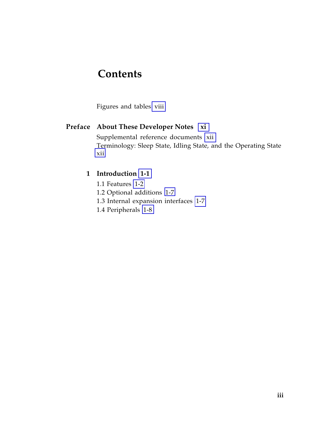# **Contents**

Figures and tables [viii](#page-9-0)

### **Preface About These Developer Notes [xi](#page-12-0)**

Supplemental reference documents [xii](#page-13-0) Terminology: Sleep State, Idling State, and the Operating State [xii](#page-13-0)

#### **1 Introduction [1-1](#page-14-0)**

- 1.1 Features [1-2](#page-15-0)
- 1.2 Optional additions [1-7](#page-21-0)
- 1.3 Internal expansion interfaces [1-7](#page-21-0)
- 1.4 Peripherals [1-8](#page-23-0)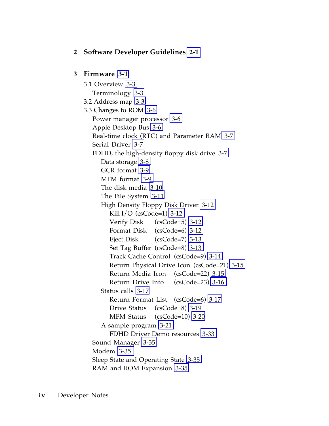### **2 Software Developer Guidelines [2-1](#page-24-0)**

#### **3 Firmware [3-1](#page-31-0)**

3.1 Overview [3-3](#page-33-0) Terminology [3-3](#page-33-0) 3.2 Address map [3-3](#page-33-0) 3.3 Changes to ROM [3-6](#page-36-0) Power manager processor [3-6](#page-36-0) Apple Desktop Bus [3-6](#page-37-0) Real-time clock (RTC) and Parameter RAM [3-7](#page-38-0) Serial Driver [3-7](#page-38-0) FDHD, the high-density floppy disk drive [3-7](#page-38-0) Data storage [3-8](#page-39-0) GCR format [3-9](#page-41-0) MFM format [3-9](#page-41-0) The disk media [3-10](#page-42-0) The File System [3-11](#page-43-0) High Density Floppy Disk Driver [3-12](#page-44-0) Kill  $I/O$  (csCode=1) [3-12](#page-44-0) Verify Disk (csCode=5) [3-12](#page-44-0) Format Disk (csCode=6) [3-12](#page-44-0) Eject Disk (csCode=7) [3-13](#page-45-0) Set Tag Buffer (csCode=8) [3-13](#page-45-0) Track Cache Control (csCode=9) [3-14](#page-47-0) Return Physical Drive Icon (csCode=21) [3-15](#page-48-0) Return Media Icon (csCode=22) [3-15](#page-49-0) Return Drive Info (csCode=23) [3-16](#page-50-0) Status calls [3-17](#page-51-0) Return Format List (csCode=6) [3-17](#page-51-0) Drive Status (csCode=8) [3-19](#page-53-0) MFM Status (csCode=10) [3-20](#page-54-0) A sample program [3-21](#page-55-0) FDHD Driver Demo resources [3-33](#page-68-0) Sound Manager [3-35](#page-70-0) Modem [3-35](#page-70-0) Sleep State and Operating State [3-35](#page-70-0) RAM and ROM Expansion [3-35](#page-70-0)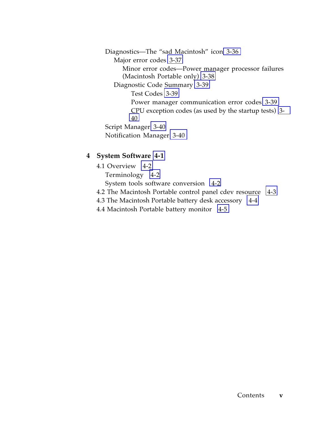Diagnostics—The "sad Macintosh" icon [3-36](#page-71-0) Major error codes [3-37](#page-72-0) Minor error codes—Power manager processor failures (Macintosh Portable only) [3-38](#page-74-0) Diagnostic Code Summary [3-39](#page-75-0) Test Codes [3-39](#page-75-0) Power manager communication error codes [3-39](#page-75-0) CPU exception codes (as used by the startup tests) [3-](#page-76-0) [40](#page-76-0) Script Manager [3-40](#page-76-0) Notification Manager [3-40](#page-76-0)

#### **4 System Software [4-1](#page-77-0)**

- 4.1 Overview [4-2](#page-78-0)
	- Terminology [4-2](#page-78-0)
	- System tools software conversion [4-2](#page-78-0)
- 4.2 The Macintosh Portable control panel cdev resource [4-3](#page-79-0)
- 4.3 The Macintosh Portable battery desk accessory [4-4](#page-81-0)
- 4.4 Macintosh Portable battery monitor [4-5](#page-82-0)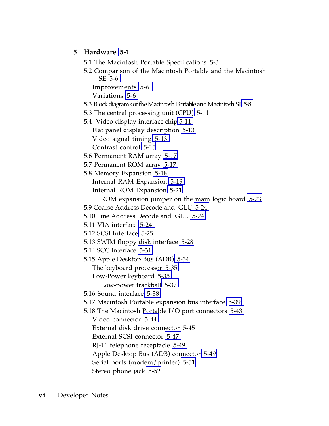### **5 Hardware [5-1](#page-84-0)**

- 5.1 The Macintosh Portable Specifications [5-3](#page-86-0)
- 5.2 Comparison of the Macintosh Portable and the Macintosh SE [5-6](#page-89-0)

Improvements [5-6](#page-89-0)

Variations [5-6](#page-89-0)

- 5.3 Block diagrams of the Macintosh Portable and Macintosh S[E 5-8](#page-93-0)
- 5.3 The central processing unit (CPU) [5-11](#page-96-0)
- 5.4 Video display interface chi[p 5-11](#page-96-0) Flat panel display description [5-13](#page-98-0) Video signal timing [5-13](#page-98-0) Contrast control [5-15](#page-100-0)
- 5.6 Permanent RAM array [5-17](#page-102-0)
- 5.7 Permanent ROM array [5-17](#page-102-0)
- 5.8 Memory Expansion [5-18](#page-103-0)
	- Internal RAM Expansion [5-19](#page-105-0)
	- Internal ROM Expansion [5-21](#page-107-0)
		- ROM expansion jumper on the main logic board [5-23](#page-110-0)
- 5.9 Coarse Address Decode and GLU [5-24](#page-112-0)
- 5.10 Fine Address Decode and GLU [5-24](#page-112-0)
- 5.11 VIA interface [5-24](#page-112-0)
- 5.12 SCSI Interface [5-25](#page-113-0)
- 5.13 SWIM floppy disk interface [5-28](#page-117-0)
- 5.14 SCC Interface [5-31](#page-120-0)
- 5.15 Apple Desktop Bus (ADB) [5-34](#page-123-0)
	- The keyboard processor [5-35](#page-124-0)
	- Low-Power keyboard [5-35](#page-125-0)
		- Low-power trackball [5-37](#page-127-0)
- 5.16 Sound interface [5-38](#page-128-0)
- 5.17 Macintosh Portable expansion bus interface [5-39](#page-129-0)
- 5.18 The Macintosh Portable I/O port connectors [5-43](#page-133-0) Video connector [5-44](#page-134-0)
	- External disk drive connector [5-45](#page-136-0)
	- External SCSI connector [5-47](#page-138-0)
	- RJ-11 telephone receptacle [5-49](#page-140-0)
	- Apple Desktop Bus (ADB) connector [5-49](#page-140-0)
	- Serial ports (modem/printer) [5-51](#page-143-0)
	- Stereo phone jack [5-52](#page-144-0)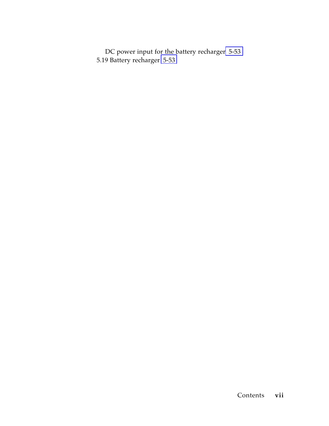DC power input for the battery recharger [5-53](#page-145-0) 5.19 Battery recharger [5-53](#page-145-0)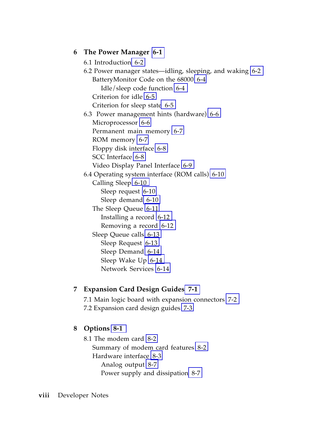#### **6 The Power Manager [6-1](#page-147-0)**

6.1 Introduction [6-2](#page-148-0) 6.2 Power manager states—idling, sleeping, and waking [6-2](#page-148-0) BatteryMonitor Code on the 68000 [6-4](#page-150-0) Idle/sleep code function [6-4](#page-150-0) Criterion for idle [6-5](#page-152-0) Criterion for sleep stat[e 6-5](#page-152-0) 6.3 Power management hints (hardware) [6-6](#page-153-0) Microprocessor [6-6](#page-154-0) Permanent main memory [6-7](#page-154-0) ROM memory [6-7](#page-155-0) Floppy disk interface [6-8](#page-156-0) SCC Interface [6-8](#page-157-0) Video Display Panel Interface [6-9](#page-158-0) 6.4 Operating system interface (ROM calls) [6-10](#page-159-0) Calling Sleep [6-10](#page-159-0) Sleep request [6-10](#page-159-0) Sleep demand [6-10](#page-159-0) The Sleep Queue [6-11](#page-160-0) Installing a record [6-12](#page-161-0) Removing a record [6-12](#page-161-0) Sleep Queue calls [6-13](#page-162-0) Sleep Request [6-13](#page-162-0) Sleep Demand [6-14](#page-164-0) Sleep Wake Up [6-14](#page-164-0) Network Services [6-14](#page-164-0)

#### **7 Expansion Card Design Guides [7-1](#page-167-0)**

7.1 Main logic board with expansion connectors [7-2](#page-168-0) 7.2 Expansion card design guides [7-3](#page-169-0)

#### **8 Options [8-1](#page-173-0)**

8.1 The modem card [8-2](#page-174-0) Summary of modem card features [8-2](#page-174-0) Hardware interface [8-3](#page-176-0) Analog output [8-7](#page-180-0) Power supply and dissipation [8-7](#page-181-0)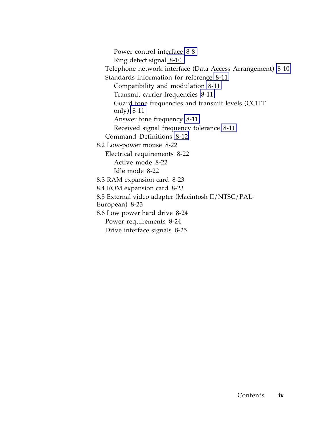Power control interface [8-8](#page-182-0) Ring detect signal [8-10](#page-184-0) Telephone network interface (Data Access Arrangement) [8-10](#page-184-0) Standards information for reference [8-11](#page-186-0) Compatibility and modulation [8-11](#page-186-0) Transmit carrier frequencies [8-11](#page-186-0) Guard tone frequencies and transmit levels (CCITT only) [8-11](#page-186-0) Answer tone frequency [8-11](#page-186-0) Received signal frequency tolerance [8-11](#page-186-0) Command Definitions [8-12](#page-187-0) 8.2 Low-power mouse 8-22 Electrical requirements 8-22 Active mode 8-22 Idle mode 8-22 8.3 RAM expansion card 8-23 8.4 ROM expansion card 8-23 8.5 External video adapter (Macintosh II/NTSC/PAL-European) 8-23 8.6 Low power hard drive 8-24 Power requirements 8-24 Drive interface signals 8-25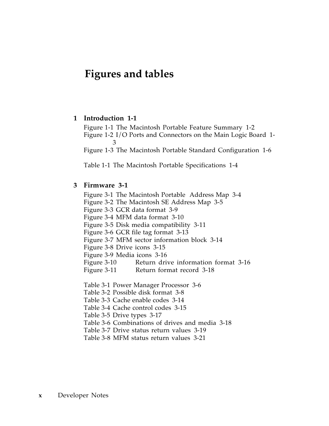# <span id="page-9-0"></span>**Figures and tables**

#### **1 Introduction 1-1**

Figure 1-1 The Macintosh Portable Feature Summary 1-2 Figure 1-2 I/O Ports and Connectors on the Main Logic Board 1- 3 Figure 1-3 The Macintosh Portable Standard Configuration 1-6

Table 1-1 The Macintosh Portable Specifications 1-4

#### **3 Firmware 3-1**

Figure 3-1 The Macintosh Portable Address Map 3-4 Figure 3-2 The Macintosh SE Address Map 3-5 Figure 3-3 GCR data format 3-9 Figure 3-4 MFM data format 3-10 Figure 3-5 Disk media compatibility 3-11 Figure 3-6 GCR file tag format 3-13 Figure 3-7 MFM sector information block 3-14 Figure 3-8 Drive icons 3-15 Figure 3-9 Media icons 3-16 Figure 3-10 Return drive information format 3-16 Figure 3-11 Return format record 3-18

Table 3-1 Power Manager Processor 3-6

Table 3-2 Possible disk format 3-8

Table 3-3 Cache enable codes 3-14

Table 3-4 Cache control codes 3-15

Table 3-5 Drive types 3-17

Table 3-6 Combinations of drives and media 3-18

Table 3-7 Drive status return values 3-19

Table 3-8 MFM status return values 3-21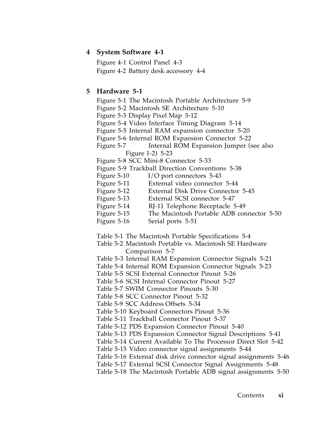#### **4 System Software 4-1**

Figure 4-1 Control Panel 4-3 Figure 4-2 Battery desk accessory 4-4

#### **5 Hardware 5-1**

- Figure 5-1 The Macintosh Portable Architecture 5-9
- Figure 5-2 Macintosh SE Architecture 5-10
- Figure 5-3 Display Pixel Map 5-12

Figure 5-4 Video Interface Timing Diagram 5-14

- Figure 5-5 Internal RAM expansion connector 5-20
- Figure 5-6 Internal ROM Expansion Connector 5-22
- Figure 5-7 Internal ROM Expansion Jumper (see also Figure 1-2) 5-23
- Figure 5-8 SCC Mini-8 Connector 5-33

Figure 5-9 Trackball Direction Conventions 5-38

- Figure 5-10 I/O port connectors 5-43
- Figure 5-11 External video connector 5-44
- Figure 5-12 External Disk Drive Connector 5-45
- Figure 5-13 External SCSI connector 5-47
- Figure 5-14 RJ-11 Telephone Receptacle 5-49
- Figure 5-15 The Macintosh Portable ADB connector 5-50
- Figure 5-16 Serial ports 5-51

Table 5-1 The Macintosh Portable Specifications 5-4

- Table 5-2 Macintosh Portable vs. Macintosh SE Hardware Comparison 5-7
- Table 5-3 Internal RAM Expansion Connector Signals 5-21
- Table 5-4 Internal ROM Expansion Connector Signals 5-23
- Table 5-5 SCSI External Connector Pinout 5-26
- Table 5-6 SCSI Internal Connector Pinout 5-27
- Table 5-7 SWIM Connector Pinouts 5-30
- Table 5-8 SCC Connector Pinout 5-32
- Table 5-9 SCC Address Offsets 5-34
- Table 5-10 Keyboard Connectors Pinout 5-36
- Table 5-11 Trackball Connector Pinout 5-37
- Table 5-12 PDS Expansion Connector Pinout 5-40
- Table 5-13 PDS Expansion Connector Signal Descriptions 5-41
- Table 5-14 Current Available To The Processor Direct Slot 5-42
- Table 5-15 Video connector signal assignments 5-44
- Table 5-16 External disk drive connector signal assignments 5-46
- Table 5-17 External SCSI Connector Signal Assignments 5-48
- Table 5-18 The Macintosh Portable ADB signal assignments 5-50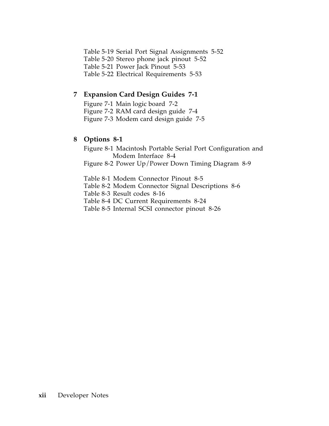Table 5-19 Serial Port Signal Assignments 5-52 Table 5-20 Stereo phone jack pinout 5-52 Table 5-21 Power Jack Pinout 5-53 Table 5-22 Electrical Requirements 5-53

#### **7 Expansion Card Design Guides 7-1**

Figure 7-1 Main logic board 7-2 Figure 7-2 RAM card design guide 7-4 Figure 7-3 Modem card design guide 7-5

#### **8 Options 8-1**

Figure 8-1 Macintosh Portable Serial Port Configuration and Modem Interface 8-4 Figure 8-2 Power Up/Power Down Timing Diagram 8-9

Table 8-1 Modem Connector Pinout 8-5 Table 8-2 Modem Connector Signal Descriptions 8-6 Table 8-3 Result codes 8-16 Table 8-4 DC Current Requirements 8-24 Table 8-5 Internal SCSI connector pinout 8-26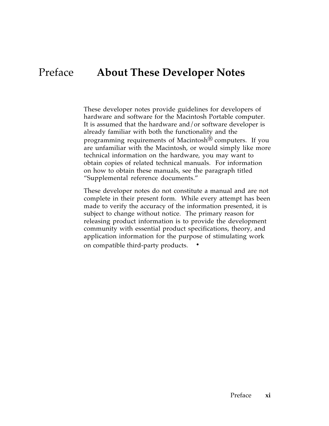# <span id="page-12-0"></span>Preface **About These Developer Notes**

These developer notes provide guidelines for developers of hardware and software for the Macintosh Portable computer. It is assumed that the hardware and/or software developer is already familiar with both the functionality and the programming requirements of Macintosh<sup>®</sup> computers. If you are unfamiliar with the Macintosh, or would simply like more technical information on the hardware, you may want to obtain copies of related technical manuals. For information on how to obtain these manuals, see the paragraph titled "Supplemental reference documents."

These developer notes do not constitute a manual and are not complete in their present form. While every attempt has been made to verify the accuracy of the information presented, it is subject to change without notice. The primary reason for releasing product information is to provide the development community with essential product specifications, theory, and application information for the purpose of stimulating work on compatible third-party products. •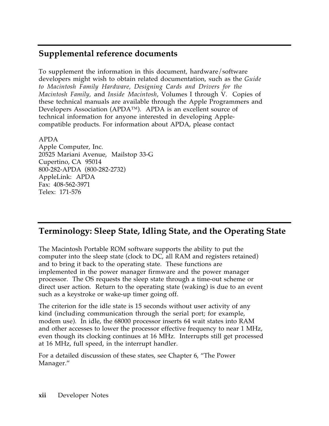# <span id="page-13-0"></span>**Supplemental reference documents**

To supplement the information in this document, hardware/software developers might wish to obtain related documentation, such as the *Guide to Macintosh Family Hardware, Designing Cards and Drivers for the Macintosh Family,* and *Inside Macintosh*, Volumes I through V. Copies of these technical manuals are available through the Apple Programmers and Developers Association (APDA™). APDA is an excellent source of technical information for anyone interested in developing Applecompatible products. For information about APDA, please contact

APDA

Apple Computer, Inc. 20525 Mariani Avenue, Mailstop 33-G Cupertino, CA 95014 800-282-APDA (800-282-2732) AppleLink: APDA Fax: 408-562-3971 Telex: 171-576

## **Terminology: Sleep State, Idling State, and the Operating State**

The Macintosh Portable ROM software supports the ability to put the computer into the sleep state (clock to DC, all RAM and registers retained) and to bring it back to the operating state. These functions are implemented in the power manager firmware and the power manager processor. The OS requests the sleep state through a time-out scheme or direct user action. Return to the operating state (waking) is due to an event such as a keystroke or wake-up timer going off.

The criterion for the idle state is 15 seconds without user activity of any kind (including communication through the serial port; for example, modem use). In idle, the 68000 processor inserts 64 wait states into RAM and other accesses to lower the processor effective frequency to near 1 MHz, even though its clocking continues at 16 MHz. Interrupts still get processed at 16 MHz, full speed, in the interrupt handler.

For a detailed discussion of these states, see Chapter 6, "The Power Manager."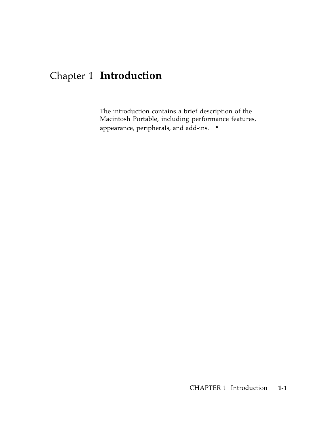# <span id="page-14-0"></span>Chapter 1 **Introduction**

The introduction contains a brief description of the Macintosh Portable, including performance features, appearance, peripherals, and add-ins. •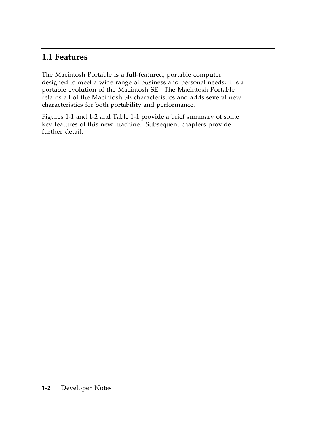### <span id="page-15-0"></span>**1.1 Features**

The Macintosh Portable is a full-featured, portable computer designed to meet a wide range of business and personal needs; it is a portable evolution of the Macintosh SE. The Macintosh Portable retains all of the Macintosh SE characteristics and adds several new characteristics for both portability and performance.

Figures 1-1 and 1-2 and Table 1-1 provide a brief summary of some key features of this new machine. Subsequent chapters provide further detail.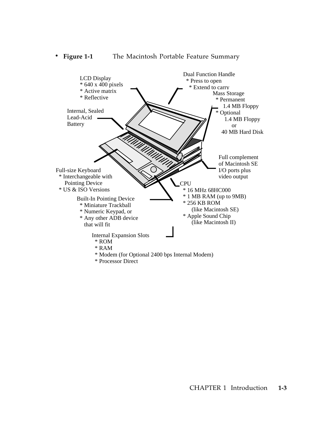

#### • **Figure 1-1** The Macintosh Portable Feature Summary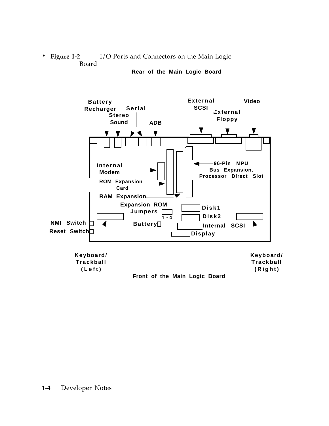• **Figure 1-2** I/O Ports and Connectors on the Main Logic Board



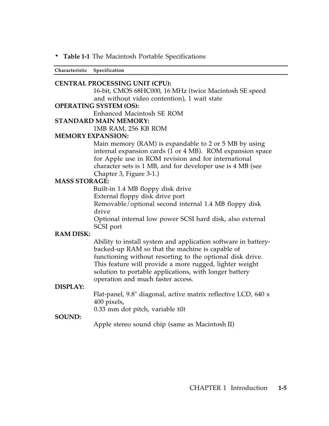• **Table 1-1** The Macintosh Portable Specifications

**Characteristic Specification**

#### **CENTRAL PROCESSING UNIT (CPU):**

16-bit, CMOS 68HC000, 16 MHz (twice Macintosh SE speed and without video contention), 1 wait state

#### **OPERATING SYSTEM (OS):**

Enhanced Macintosh SE ROM

#### **STANDARD MAIN MEMORY:**

1MB RAM, 256 KB ROM

#### **MEMORY EXPANSION:**

Main memory (RAM) is expandable to 2 or 5 MB by using internal expansion cards (1 or 4 MB). ROM expansion space for Apple use in ROM revision and for international character sets is 1 MB, and for developer use is 4 MB (see Chapter 3, Figure 3-1.)

#### **MASS STORAGE:**

Built-in 1.4 MB floppy disk drive

External floppy disk drive port

Removable/optional second internal 1.4 MB floppy disk drive

Optional internal low power SCSI hard disk, also external SCSI port

#### **RAM DISK:**

Ability to install system and application software in batterybacked-up RAM so that the machine is capable of functioning without resorting to the optional disk drive. This feature will provide a more rugged, lighter weight solution to portable applications, with longer battery operation and much faster access.

#### **DISPLAY:**

Flat-panel, 9.8" diagonal, active matrix reflective LCD, 640 x 400 pixels,

0.33 mm dot pitch, variable tilt

#### **SOUND:**

Apple stereo sound chip (same as Macintosh II)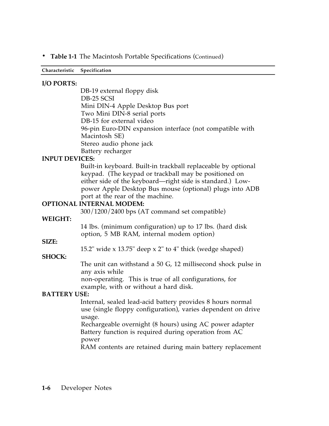• **Table 1-1** The Macintosh Portable Specifications (Continued)

**Characteristic Specification**

#### **I/O PORTS:**

DB-19 external floppy disk DB-25 SCSI Mini DIN-4 Apple Desktop Bus port Two Mini DIN-8 serial ports DB-15 for external video 96-pin Euro-DIN expansion interface (not compatible with Macintosh SE) Stereo audio phone jack Battery recharger

#### **INPUT DEVICES:**

Built-in keyboard. Built-in trackball replaceable by optional keypad. (The keypad or trackball may be positioned on either side of the keyboard—right side is standard.) Lowpower Apple Desktop Bus mouse (optional) plugs into ADB port at the rear of the machine.

#### **OPTIONAL INTERNAL MODEM:**

300/1200/2400 bps (AT command set compatible)

#### **WEIGHT:**

14 lbs. (minimum configuration) up to 17 lbs. (hard disk option, 5 MB RAM, internal modem option)

#### **SIZE:**

15.2" wide x 13.75" deep x 2" to 4" thick (wedge shaped)

#### **SHOCK:**

The unit can withstand a 50 G, 12 millisecond shock pulse in any axis while

non-operating. This is true of all configurations, for example, with or without a hard disk.

#### **BATTERY USE:**

Internal, sealed lead-acid battery provides 8 hours normal use (single floppy configuration), varies dependent on drive usage.

Rechargeable overnight (8 hours) using AC power adapter Battery function is required during operation from AC power

RAM contents are retained during main battery replacement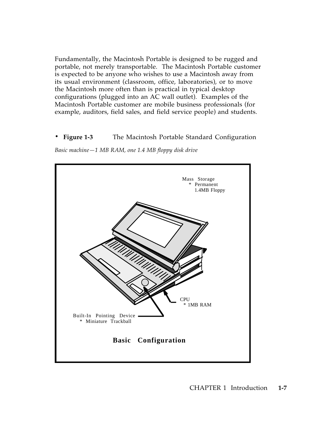Fundamentally, the Macintosh Portable is designed to be rugged and portable, not merely transportable. The Macintosh Portable customer is expected to be anyone who wishes to use a Macintosh away from its usual environment (classroom, office, laboratories), or to move the Macintosh more often than is practical in typical desktop configurations (plugged into an AC wall outlet). Examples of the Macintosh Portable customer are mobile business professionals (for example, auditors, field sales, and field service people) and students.

#### • **Figure 1-3** The Macintosh Portable Standard Configuration

*Basic machine—1 MB RAM, one 1.4 MB floppy disk drive*

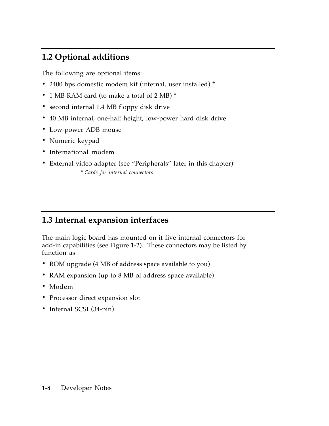# <span id="page-21-0"></span>**1.2 Optional additions**

The following are optional items:

- 2400 bps domestic modem kit (internal, user installed) **\***
- 1 MB RAM card (to make a total of 2 MB) **\***
- second internal 1.4 MB floppy disk drive
- 40 MB internal, one-half height, low-power hard disk drive
- Low-power ADB mouse
- Numeric keypad
- International modem
- External video adapter (see "Peripherals" later in this chapter) *\* Cards for internal connectors*

# **1.3 Internal expansion interfaces**

The main logic board has mounted on it five internal connectors for add-in capabilities (see Figure 1-2). These connectors may be listed by function as

- ROM upgrade (4 MB of address space available to you)
- RAM expansion (up to 8 MB of address space available)
- Modem
- Processor direct expansion slot
- Internal SCSI (34-pin)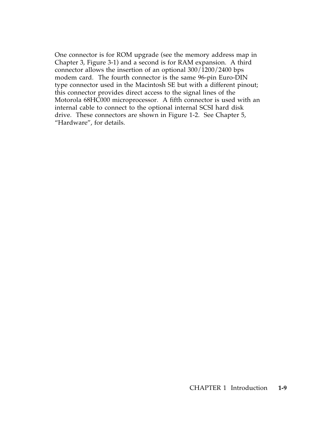One connector is for ROM upgrade (see the memory address map in Chapter 3, Figure 3-1) and a second is for RAM expansion. A third connector allows the insertion of an optional 300/1200/2400 bps modem card. The fourth connector is the same 96-pin Euro-DIN type connector used in the Macintosh SE but with a different pinout; this connector provides direct access to the signal lines of the Motorola 68HC000 microprocessor. A fifth connector is used with an internal cable to connect to the optional internal SCSI hard disk drive. These connectors are shown in Figure 1-2. See Chapter 5, "Hardware", for details.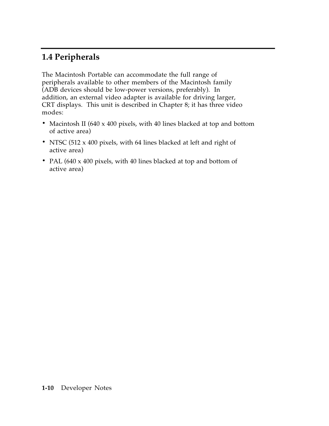# <span id="page-23-0"></span>**1.4 Peripherals**

The Macintosh Portable can accommodate the full range of peripherals available to other members of the Macintosh family (ADB devices should be low-power versions, preferably). In addition, an external video adapter is available for driving larger, CRT displays. This unit is described in Chapter 8; it has three video modes:

- Macintosh II (640 x 400 pixels, with 40 lines blacked at top and bottom of active area)
- NTSC (512 x 400 pixels, with 64 lines blacked at left and right of active area)
- PAL (640 x 400 pixels, with 40 lines blacked at top and bottom of active area)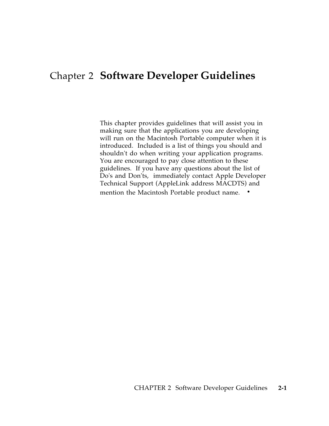# <span id="page-24-0"></span>Chapter 2 **Software Developer Guidelines**

This chapter provides guidelines that will assist you in making sure that the applications you are developing will run on the Macintosh Portable computer when it is introduced. Included is a list of things you should and shouldn't do when writing your application programs. You are encouraged to pay close attention to these guidelines. If you have any questions about the list of Do's and Don'ts, immediately contact Apple Developer Technical Support (AppleLink address MACDTS) and mention the Macintosh Portable product name. •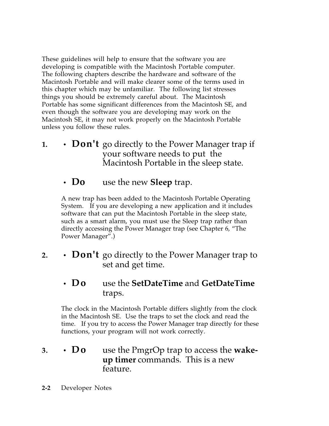These guidelines will help to ensure that the software you are developing is compatible with the Macintosh Portable computer. The following chapters describe the hardware and software of the Macintosh Portable and will make clearer some of the terms used in this chapter which may be unfamiliar. The following list stresses things you should be extremely careful about. The Macintosh Portable has some significant differences from the Macintosh SE, and even though the software you are developing may work on the Macintosh SE, it may not work properly on the Macintosh Portable unless you follow these rules.

**1.** • **Don't** go directly to the Power Manager trap if your software needs to put the Macintosh Portable in the sleep state.

## • **Do** use the new **Sleep** trap.

A new trap has been added to the Macintosh Portable Operating System. If you are developing a new application and it includes software that can put the Macintosh Portable in the sleep state, such as a smart alarm, you must use the Sleep trap rather than directly accessing the Power Manager trap (see Chapter 6, "The Power Manager".)

- **2. Don't** go directly to the Power Manager trap to set and get time.
	- **Do** use the **SetDateTime** and **GetDateTime** traps.

The clock in the Macintosh Portable differs slightly from the clock in the Macintosh SE. Use the traps to set the clock and read the time. If you try to access the Power Manager trap directly for these functions, your program will not work correctly.

- **3. Do** use the PmgrOp trap to access the **wakeup timer** commands. This is a new feature.
- **2-2** Developer Notes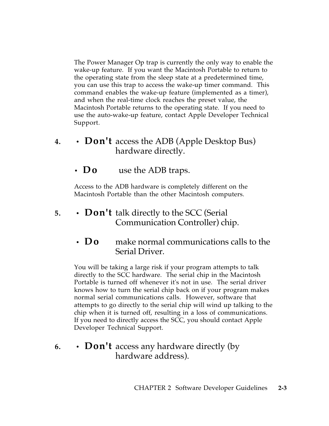The Power Manager Op trap is currently the only way to enable the wake-up feature. If you want the Macintosh Portable to return to the operating state from the sleep state at a predetermined time, you can use this trap to access the wake-up timer command. This command enables the wake-up feature (implemented as a timer), and when the real-time clock reaches the preset value, the Macintosh Portable returns to the operating state. If you need to use the auto-wake-up feature, contact Apple Developer Technical Support.

- **4. Don't** access the ADB (Apple Desktop Bus) hardware directly.
	- **Do** use the ADB traps.

Access to the ADB hardware is completely different on the Macintosh Portable than the other Macintosh computers.

- **5. Don't** talk directly to the SCC (Serial Communication Controller) chip.
	- **Do** make normal communications calls to the Serial Driver.

You will be taking a large risk if your program attempts to talk directly to the SCC hardware. The serial chip in the Macintosh Portable is turned off whenever it's not in use. The serial driver knows how to turn the serial chip back on if your program makes normal serial communications calls. However, software that attempts to go directly to the serial chip will wind up talking to the chip when it is turned off, resulting in a loss of communications. If you need to directly access the SCC, you should contact Apple Developer Technical Support.

**6.** • **Don't** access any hardware directly (by hardware address).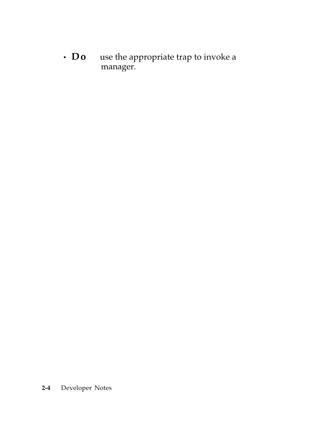• **Do** use the appropriate trap to invoke a manager.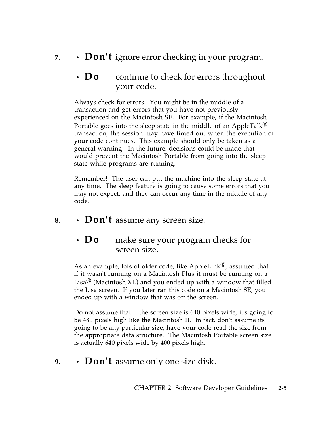- **7. Don't** ignore error checking in your program.
	- **Do** continue to check for errors throughout your code.

Always check for errors. You might be in the middle of a transaction and get errors that you have not previously experienced on the Macintosh SE. For example, if the Macintosh Portable goes into the sleep state in the middle of an AppleTalk<sup>®</sup> transaction, the session may have timed out when the execution of your code continues. This example should only be taken as a general warning. In the future, decisions could be made that would prevent the Macintosh Portable from going into the sleep state while programs are running.

Remember! The user can put the machine into the sleep state at any time. The sleep feature is going to cause some errors that you may not expect, and they can occur any time in the middle of any code.

- **8. Don't** assume any screen size.
	- **Do** make sure your program checks for screen size.

As an example, lots of older code, like AppleLink<sup>®</sup>, assumed that if it wasn't running on a Macintosh Plus it must be running on a Lisa $^{(k)}$  (Macintosh XL) and you ended up with a window that filled the Lisa screen. If you later ran this code on a Macintosh SE, you ended up with a window that was off the screen.

Do not assume that if the screen size is 640 pixels wide, it's going to be 480 pixels high like the Macintosh II. In fact, don't assume its going to be any particular size; have your code read the size from the appropriate data structure. The Macintosh Portable screen size is actually 640 pixels wide by 400 pixels high.

**9.** • **Don't** assume only one size disk.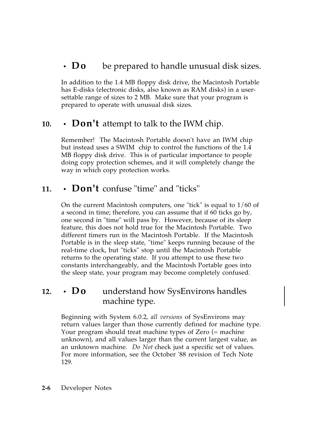# • **Do** be prepared to handle unusual disk sizes.

In addition to the 1.4 MB floppy disk drive, the Macintosh Portable has E-disks (electronic disks, also known as RAM disks) in a usersettable range of sizes to 2 MB. Make sure that your program is prepared to operate with unusual disk sizes.

## **10.** • **Don't** attempt to talk to the IWM chip.

Remember! The Macintosh Portable doesn't have an IWM chip but instead uses a SWIM chip to control the functions of the 1.4 MB floppy disk drive. This is of particular importance to people doing copy protection schemes, and it will completely change the way in which copy protection works.

### **11.** • **Don't** confuse "time" and "ticks"

On the current Macintosh computers, one "tick" is equal to 1/60 of a second in time; therefore, you can assume that if 60 ticks go by, one second in "time" will pass by. However, because of its sleep feature, this does not hold true for the Macintosh Portable. Two different timers run in the Macintosh Portable. If the Macintosh Portable is in the sleep state, "time" keeps running because of the real-time clock, but "ticks" stop until the Macintosh Portable returns to the operating state. If you attempt to use these two constants interchangeably, and the Macintosh Portable goes into the sleep state, your program may become completely confused.

## **12.** • **Do** understand how SysEnvirons handles machine type.

Beginning with System 6.0.2, *all versions* of SysEnvirons may return values larger than those currently defined for machine type. Your program should treat machine types of Zero (= machine unknown), and all values larger than the current largest value, as an unknown machine. *Do Not* check just a specific set of values. For more information, see the October '88 revision of Tech Note 129.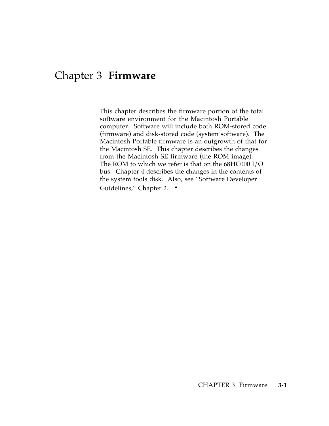# <span id="page-31-0"></span>Chapter 3 **Firmware**

This chapter describes the firmware portion of the total software environment for the Macintosh Portable computer. Software will include both ROM-stored code (firmware) and disk-stored code (system software). The Macintosh Portable firmware is an outgrowth of that for the Macintosh SE. This chapter describes the changes from the Macintosh SE firmware (the ROM image). The ROM to which we refer is that on the 68HC000 I/O bus. Chapter 4 describes the changes in the contents of the system tools disk. Also, see "Software Developer Guidelines," Chapter 2. •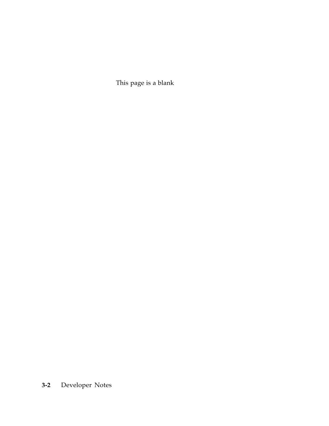This page is a blank

### **3-2** Developer Notes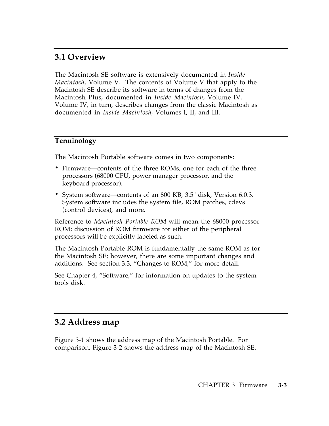### <span id="page-33-0"></span>**3.1 Overview**

The Macintosh SE software is extensively documented in *Inside Macintosh*, Volume V. The contents of Volume V that apply to the Macintosh SE describe its software in terms of changes from the Macintosh Plus, documented in *Inside Macintosh*, Volume IV. Volume IV, in turn, describes changes from the classic Macintosh as documented in *Inside Macintosh*, Volumes I, II, and III.

#### **Terminology**

The Macintosh Portable software comes in two components:

- Firmware—contents of the three ROMs, one for each of the three processors (68000 CPU, power manager processor, and the keyboard processor).
- System software—contents of an 800 KB, 3.5" disk, Version 6.0.3. System software includes the system file, ROM patches, cdevs (control devices), and more.

Reference to *Macintosh Portable ROM* will mean the 68000 processor ROM; discussion of ROM firmware for either of the peripheral processors will be explicitly labeled as such.

The Macintosh Portable ROM is fundamentally the same ROM as for the Macintosh SE; however, there are some important changes and additions. See section 3.3, "Changes to ROM," for more detail.

See Chapter 4, "Software," for information on updates to the system tools disk.

### **3.2 Address map**

Figure 3-1 shows the address map of the Macintosh Portable. For comparison, Figure 3-2 shows the address map of the Macintosh SE.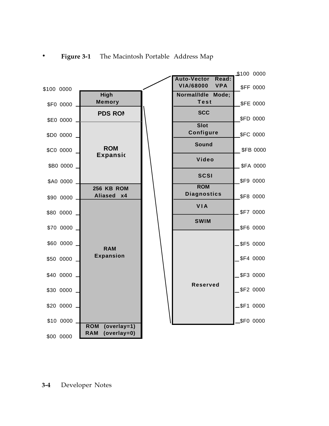

#### • **Figure 3-1** The Macintosh Portable Address Map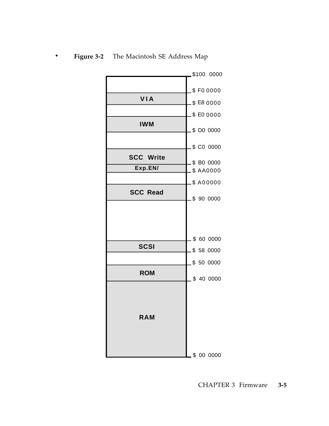

#### • **Figure 3-2** The Macintosh SE Address Map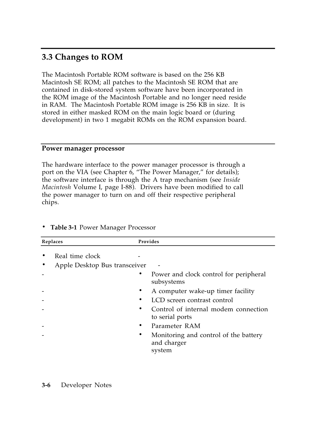# **3.3 Changes to ROM**

The Macintosh Portable ROM software is based on the 256 KB Macintosh SE ROM; all patches to the Macintosh SE ROM that are contained in disk-stored system software have been incorporated in the ROM image of the Macintosh Portable and no longer need reside in RAM. The Macintosh Portable ROM image is 256 KB in size. It is stored in either masked ROM on the main logic board or (during development) in two 1 megabit ROMs on the ROM expansion board.

#### **Power manager processor**

The hardware interface to the power manager processor is through a port on the VIA (see Chapter 6, "The Power Manager," for details); the software interface is through the A trap mechanism (see *Inside Macintosh* Volume I, page I-88). Drivers have been modified to call the power manager to turn on and off their respective peripheral chips.

| Replaces |                                                  |           | Provides                                                       |
|----------|--------------------------------------------------|-----------|----------------------------------------------------------------|
|          | Real time clock<br>Apple Desktop Bus transceiver |           |                                                                |
|          |                                                  | $\bullet$ | Power and clock control for peripheral<br>subsystems           |
|          |                                                  |           | A computer wake-up timer facility                              |
|          |                                                  |           | LCD screen contrast control                                    |
|          |                                                  |           | Control of internal modem connection<br>to serial ports        |
|          |                                                  |           | Parameter RAM                                                  |
|          |                                                  | $\bullet$ | Monitoring and control of the battery<br>and charger<br>system |

## • **Table 3-1** Power Manager Processor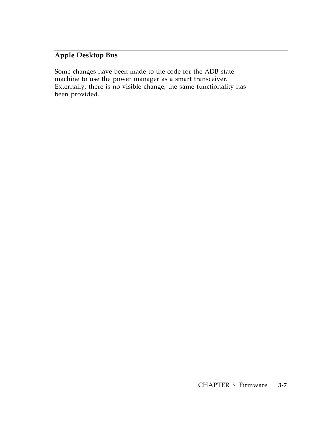# **Apple Desktop Bus**

Some changes have been made to the code for the ADB state machine to use the power manager as a smart transceiver. Externally, there is no visible change, the same functionality has been provided.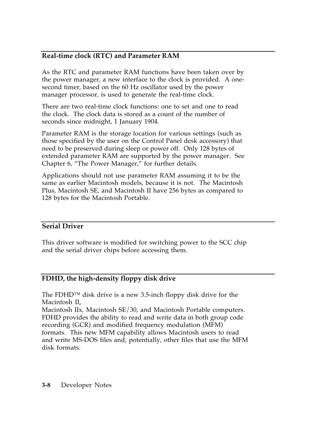## **Real-time clock (RTC) and Parameter RAM**

As the RTC and parameter RAM functions have been taken over by the power manager, a new interface to the clock is provided. A onesecond timer, based on the 60 Hz oscillator used by the power manager processor, is used to generate the real-time clock.

There are two real-time clock functions: one to set and one to read the clock. The clock data is stored as a count of the number of seconds since midnight, 1 January 1904.

Parameter RAM is the storage location for various settings (such as those specified by the user on the Control Panel desk accessory) that need to be preserved during sleep or power off. Only 128 bytes of extended parameter RAM are supported by the power manager. See Chapter 6, "The Power Manager," for further details.

Applications should not use parameter RAM assuming it to be the same as earlier Macintosh models, because it is not. The Macintosh Plus, Macintosh SE, and Macintosh II have 256 bytes as compared to 128 bytes for the Macintosh Portable.

## **Serial Driver**

This driver software is modified for switching power to the SCC chip and the serial driver chips before accessing them.

## **FDHD, the high-density floppy disk drive**

The FDHD™ disk drive is a new 3.5-inch floppy disk drive for the Macintosh II,

Macintosh IIx, Macintosh SE/30, and Macintosh Portable computers. FDHD provides the ability to read and write data in both group code recording (GCR) and modified frequency modulation (MFM) formats. This new MFM capability allows Macintosh users to read and write MS-DOS files and, potentially, other files that use the MFM disk formats.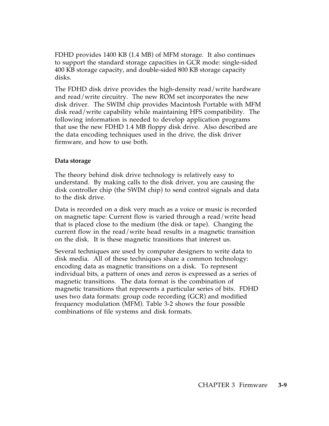FDHD provides 1400 KB (1.4 MB) of MFM storage. It also continues to support the standard storage capacities in GCR mode: single-sided 400 KB storage capacity, and double-sided 800 KB storage capacity disks.

The FDHD disk drive provides the high-density read/write hardware and read/write circuitry. The new ROM set incorporates the new disk driver. The SWIM chip provides Macintosh Portable with MFM disk read/write capability while maintaining HFS compatibility. The following information is needed to develop application programs that use the new FDHD 1.4 MB floppy disk drive. Also described are the data encoding techniques used in the drive, the disk driver firmware, and how to use both.

#### **Data storage**

The theory behind disk drive technology is relatively easy to understand. By making calls to the disk driver, you are causing the disk controller chip (the SWIM chip) to send control signals and data to the disk drive.

Data is recorded on a disk very much as a voice or music is recorded on magnetic tape: Current flow is varied through a read/write head that is placed close to the medium (the disk or tape). Changing the current flow in the read/write head results in a magnetic transition on the disk. It is these magnetic transitions that interest us.

Several techniques are used by computer designers to write data to disk media. All of these techniques share a common technology: encoding data as magnetic transitions on a disk. To represent individual bits, a pattern of ones and zeros is expressed as a series of magnetic transitions. The data format is the combination of magnetic transitions that represents a particular series of bits. FDHD uses two data formats: group code recording (GCR) and modified frequency modulation (MFM). Table 3-2 shows the four possible combinations of file systems and disk formats.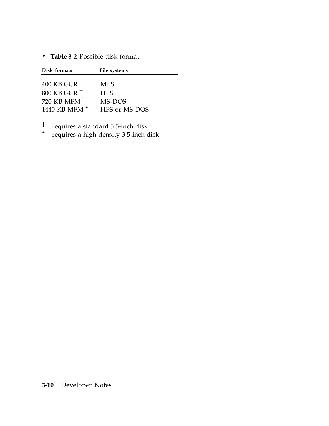• **Table 3-2** Possible disk format

| Disk formats                                                                              | File systems                                        |  |
|-------------------------------------------------------------------------------------------|-----------------------------------------------------|--|
| $400$ KB GCR <sup>+</sup><br>800 KB GCR $+$<br>$720$ KB MFM <sup>+</sup><br>1440 KB MFM * | <b>MFS</b><br><b>HFS</b><br>MS-DOS<br>HFS or MS-DOS |  |

† requires a standard 3.5-inch disk

\* requires a high density 3.5-inch disk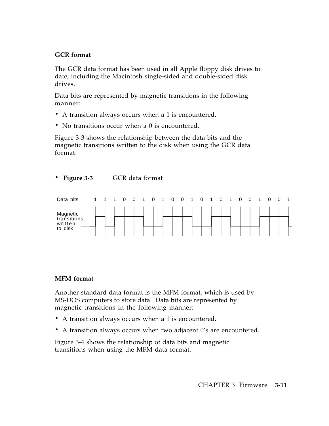#### **GCR format**

The GCR data format has been used in all Apple floppy disk drives to date, including the Macintosh single-sided and double-sided disk drives.

Data bits are represented by magnetic transitions in the following manner:

- A transition always occurs when a 1 is encountered.
- No transitions occur when a 0 is encountered.

Figure 3-3 shows the relationship between the data bits and the magnetic transitions written to the disk when using the GCR data format.

## • **Figure 3-3** GCR data format



#### **MFM format**

Another standard data format is the MFM format, which is used by MS-DOS computers to store data. Data bits are represented by magnetic transitions in the following manner:

- A transition always occurs when a 1 is encountered.
- A transition always occurs when two adjacent 0's are encountered.

Figure 3-4 shows the relationship of data bits and magnetic transitions when using the MFM data format.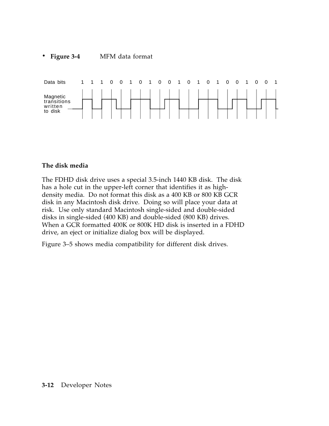#### • **Figure 3-4** MFM data format



#### **The disk media**

The FDHD disk drive uses a special 3.5-inch 1440 KB disk. The disk has a hole cut in the upper-left corner that identifies it as highdensity media. Do not format this disk as a 400 KB or 800 KB GCR disk in any Macintosh disk drive. Doing so will place your data at risk. Use only standard Macintosh single-sided and double-sided disks in single-sided (400 KB) and double-sided (800 KB) drives. When a GCR formatted 400K or 800K HD disk is inserted in a FDHD drive, an eject or initialize dialog box will be displayed.

Figure 3–5 shows media compatibility for different disk drives.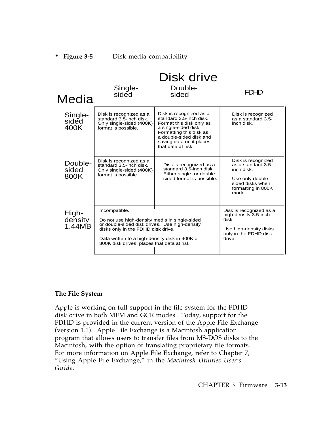| Media                      | Single-<br>sided                                                                                                                                                                                                                                      | <b>FDHD</b>                                                                                                                                                                                                    |                                                                                                                               |
|----------------------------|-------------------------------------------------------------------------------------------------------------------------------------------------------------------------------------------------------------------------------------------------------|----------------------------------------------------------------------------------------------------------------------------------------------------------------------------------------------------------------|-------------------------------------------------------------------------------------------------------------------------------|
| Single-<br>sided<br>400K   | Disk is recognized as a<br>standard 3.5-inch disk.<br>Only single-sided (400K)<br>format is possible.                                                                                                                                                 | Disk is recognized as a<br>standard 3.5-inch disk.<br>Format this disk only as<br>a single-sided disk.<br>Formatting this disk as<br>a double-sided disk and<br>saving data on it places<br>that data at risk. | Disk is recognized<br>as a standard 3.5-<br>inch disk.                                                                        |
| Double-<br>sided<br>800K   | Disk is recognized as a<br>standard 3.5-inch disk.<br>Only single-sided (400K)<br>format is possible.                                                                                                                                                 | Disk is recognized as a<br>standard 3.5-inch disk.<br>Either single- or double-<br>sided format is possible.                                                                                                   | Disk is recognized<br>as a standard 3.5-<br>inch disk.<br>Use only double-<br>sided disks when<br>formatting in 800K<br>mode. |
| High-<br>density<br>1.44MB | Incompatible.<br>Do not use high-density media in single-sided<br>or double-sided disk drives. Use high-density<br>disks only in the FDHD disk drive.<br>Data written to a high-density disk in 400K or<br>800K disk drives places that data at risk. |                                                                                                                                                                                                                | Disk is recognized as a<br>high-density 3.5-inch<br>disk.<br>Use high-density disks<br>only in the FDHD disk<br>drive.        |

• **Figure 3-5** Disk media compatibility

#### **The File System**

Apple is working on full support in the file system for the FDHD disk drive in both MFM and GCR modes. Today, support for the FDHD is provided in the current version of the Apple File Exchange (version 1.1). Apple File Exchange is a Macintosh application program that allows users to transfer files from MS-DOS disks to the Macintosh, with the option of translating proprietary file formats. For more information on Apple File Exchange, refer to Chapter 7, "Using Apple File Exchange," in the *Macintosh Utilities User's Guide*.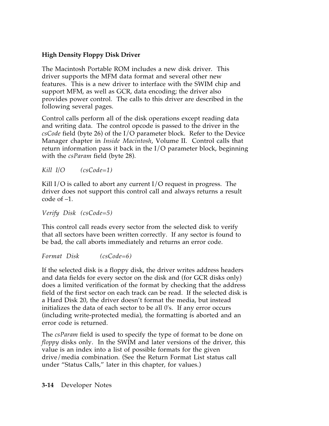## **High Density Floppy Disk Driver**

The Macintosh Portable ROM includes a new disk driver. This driver supports the MFM data format and several other new features. This is a new driver to interface with the SWIM chip and support MFM, as well as GCR, data encoding; the driver also provides power control. The calls to this driver are described in the following several pages.

Control calls perform all of the disk operations except reading data and writing data. The control opcode is passed to the driver in the *csCode* field (byte 26) of the I/O parameter block. Refer to the Device Manager chapter in *Inside Macintosh*, Volume II. Control calls that return information pass it back in the I/O parameter block, beginning with the *csParam* field (byte 28).

```
Kill I/O (csCode=1)
```
Kill  $I/O$  is called to abort any current  $I/O$  request in progress. The driver does not support this control call and always returns a result code of –1.

```
Verify Disk (csCode=5)
```
This control call reads every sector from the selected disk to verify that all sectors have been written correctly. If any sector is found to be bad, the call aborts immediately and returns an error code.

*Format Disk (csCode=6)*

If the selected disk is a floppy disk, the driver writes address headers and data fields for every sector on the disk and (for GCR disks only) does a limited verification of the format by checking that the address field of the first sector on each track can be read. If the selected disk is a Hard Disk 20, the driver doesn't format the media, but instead initializes the data of each sector to be all 0's. If any error occurs (including write-protected media), the formatting is aborted and an error code is returned.

The *csParam* field is used to specify the type of format to be done on *floppy* disks only. In the SWIM and later versions of the driver, this value is an index into a list of possible formats for the given drive/media combination. (See the Return Format List status call under "Status Calls," later in this chapter, for values.)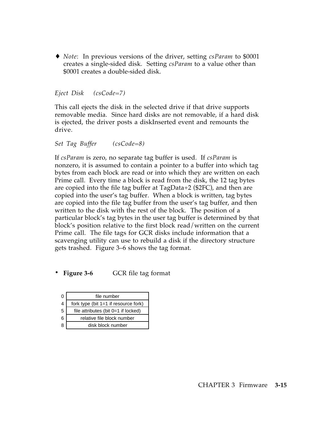♦ *Note*: In previous versions of the driver, setting *csParam* to \$0001 creates a single-sided disk. Setting *csParam* to a value other than \$0001 creates a double-sided disk.

*Eject Disk (csCode=7)*

This call ejects the disk in the selected drive if that drive supports removable media. Since hard disks are not removable, if a hard disk is ejected, the driver posts a diskInserted event and remounts the drive.

*Set Tag Buffer (csCode=8)*

If *csParam* is zero, no separate tag buffer is used. If *csParam* is nonzero, it is assumed to contain a pointer to a buffer into which tag bytes from each block are read or into which they are written on each Prime call. Every time a block is read from the disk, the 12 tag bytes are copied into the file tag buffer at TagData+2 (\$2FC), and then are copied into the user's tag buffer. When a block is written, tag bytes are copied into the file tag buffer from the user's tag buffer, and then written to the disk with the rest of the block. The position of a particular block's tag bytes in the user tag buffer is determined by that block's position relative to the first block read/written on the current Prime call. The file tags for GCR disks include information that a scavenging utility can use to rebuild a disk if the directory structure gets trashed. Figure 3–6 shows the tag format.

• **Figure 3-6** GCR file tag format

| 0 | file number                            |
|---|----------------------------------------|
| 4 | fork type (bit $1=1$ if resource fork) |
| 5 | file attributes (bit 0=1 if locked)    |
| 6 | relative file block number             |
|   | disk block number                      |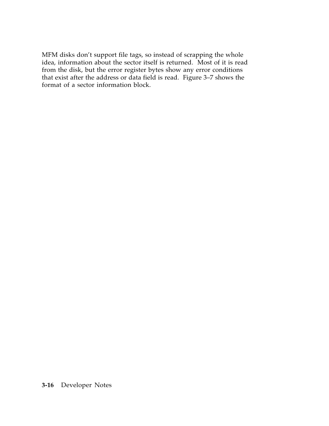MFM disks don't support file tags, so instead of scrapping the whole idea, information about the sector itself is returned. Most of it is read from the disk, but the error register bytes show any error conditions that exist after the address or data field is read. Figure 3–7 shows the format of a sector information block.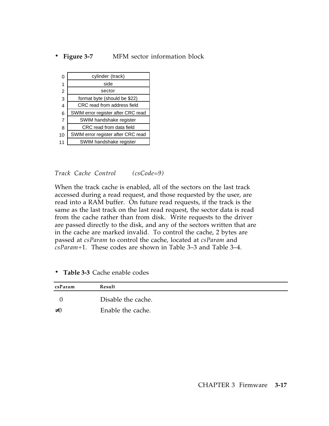• **Figure 3-7** MFM sector information block

| 0              | cylinder (track)                   |
|----------------|------------------------------------|
| 1              | side                               |
| $\overline{2}$ | sector                             |
| 3              | format byte (should be \$22)       |
| $\overline{4}$ | CRC read from address field        |
| 6              | SWIM error register after CRC read |
| $\overline{7}$ | SWIM handshake register            |
| 8              | CRC read from data field           |
| 10             | SWIM error register after CRC read |
| 11             | SWIM handshake register            |

*Track Cache Control (csCode=9)*

When the track cache is enabled, all of the sectors on the last track accessed during a read request, and those requested by the user, are read into a RAM buffer. On future read requests, if the track is the same as the last track on the last read request, the sector data is read from the cache rather than from disk. Write requests to the driver are passed directly to the disk, and any of the sectors written that are in the cache are marked invalid. To control the cache, 2 bytes are passed at *csParam* to control the cache, located at *csParam* and *csParam*+1. These codes are shown in Table 3–3 and Table 3–4.

• **Table 3-3** Cache enable codes

| csParam  | Result             |
|----------|--------------------|
|          | Disable the cache. |
|          |                    |
| $\neq 0$ | Enable the cache.  |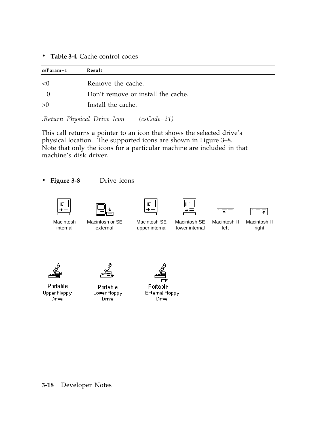#### • **Table 3-4** Cache control codes

| $csParam+1$ | Result                             |
|-------------|------------------------------------|
| $\lt$       | Remove the cache.                  |
|             | Don't remove or install the cache. |
| >0          | Install the cache.                 |

*.Return Physical Drive Icon (csCode=21)*

This call returns a pointer to an icon that shows the selected drive's physical location. The supported icons are shown in Figure 3–8. Note that only the icons for a particular machine are included in that machine's disk driver.









left

τ



Macintosh internal

Macintosh or SE external

Macintosh SE upper internal

Macintosh SE lower internal

Macintosh II Macintosh II right



Portable **Upper Floppy** Drive

Portable Lower Floppy Drive

Portable **External Floppy** Drive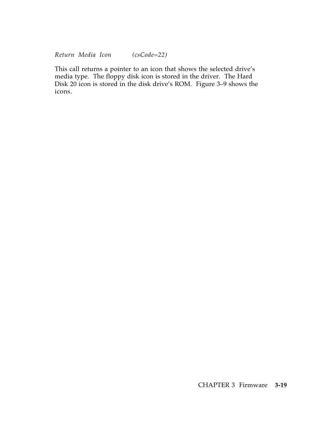*Return Media Icon (csCode=22)*

This call returns a pointer to an icon that shows the selected drive's media type. The floppy disk icon is stored in the driver. The Hard Disk 20 icon is stored in the disk drive's ROM. Figure 3–9 shows the icons.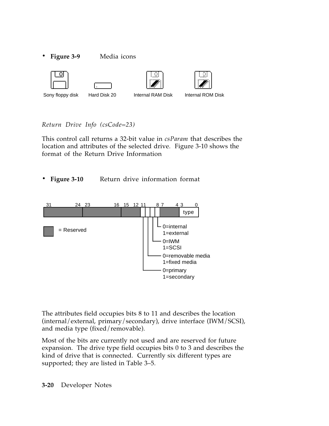







Sony floppy disk Hard Disk 20 Internal RAM Disk Internal ROM Disk

*Return Drive Info (csCode=23)*

This control call returns a 32-bit value in *csParam* that describes the location and attributes of the selected drive. Figure 3-10 shows the format of the Return Drive Information

• **Figure 3-10** Return drive information format



The attributes field occupies bits 8 to 11 and describes the location (internal/external, primary/secondary), drive interface (IWM/SCSI), and media type (fixed/removable).

Most of the bits are currently not used and are reserved for future expansion. The drive type field occupies bits 0 to 3 and describes the kind of drive that is connected. Currently six different types are supported; they are listed in Table 3–5.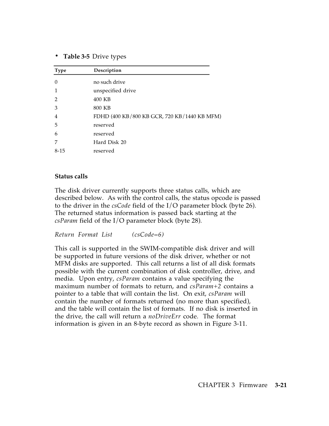#### • **Table 3-5** Drive types

| <b>Type</b>    | Description                                  |
|----------------|----------------------------------------------|
| $\Omega$       | no such drive                                |
|                | unspecified drive                            |
| 2              | 400 KB                                       |
| 3              | 800 KB                                       |
| $\overline{4}$ | FDHD (400 KB/800 KB GCR, 720 KB/1440 KB MFM) |
| 5              | reserved                                     |
| 6              | reserved                                     |
| 7              | Hard Disk 20                                 |
| $8 - 15$       | reserved                                     |
|                |                                              |

#### **Status calls**

The disk driver currently supports three status calls, which are described below. As with the control calls, the status opcode is passed to the driver in the *csCode* field of the I/O parameter block (byte 26). The returned status information is passed back starting at the *csParam* field of the I/O parameter block (byte 28).

*Return Format List (csCode=6)*

This call is supported in the SWIM-compatible disk driver and will be supported in future versions of the disk driver, whether or not MFM disks are supported. This call returns a list of all disk formats possible with the current combination of disk controller, drive, and media. Upon entry, *csParam* contains a value specifying the maximum number of formats to return, and *csParam+2* contains a pointer to a table that will contain the list. On exit, *csParam* will contain the number of formats returned (no more than specified), and the table will contain the list of formats. If no disk is inserted in the drive, the call will return a *noDriveErr* code. The format information is given in an 8-byte record as shown in Figure 3-11.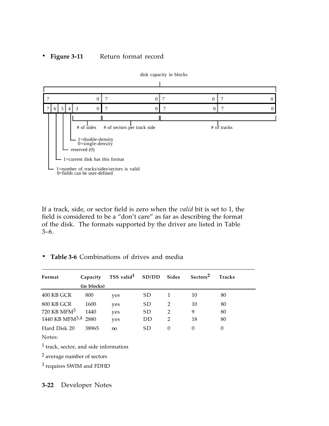# • **Figure 3-11** Return format record



If a track, side, or sector field is zero when the *valid* bit is set to 1, the field is considered to be a "don't care" as far as describing the format of the disk. The formats supported by the driver are listed in Table  $3-6.$ 

|  |  | • Table 3-6 Combinations of drives and media |  |  |  |  |
|--|--|----------------------------------------------|--|--|--|--|
|--|--|----------------------------------------------|--|--|--|--|

| Format                          | Capacity    | TSS valid <sup>1</sup> | SD/DD Sides |                | Sectors <sup>2</sup> | <b>Tracks</b> |
|---------------------------------|-------------|------------------------|-------------|----------------|----------------------|---------------|
|                                 | (in blocks) |                        |             |                |                      |               |
| 400 KB GCR                      | 800         | yes                    | <b>SD</b>   |                | 10                   | 80            |
| 800 KB GCR                      | 1600        | yes                    | <b>SD</b>   | $\overline{2}$ | 10                   | 80            |
| 720 KB MFM $3$                  | 1440        | yes                    | <b>SD</b>   | $\overline{2}$ | 9                    | 80            |
| 1440 KB MFM <sup>3,4</sup> 2880 |             | yes                    | DD          | $\mathcal{P}$  | 18                   | 80            |
| Hard Disk 20                    | 38965       | m                      | SD          | $\Omega$       | 0                    | 0             |
| $\sim$ $\sim$                   |             |                        |             |                |                      |               |

Notes:

1 track, sector, and side information

2 average number of sectors

3 requires SWIM and FDHD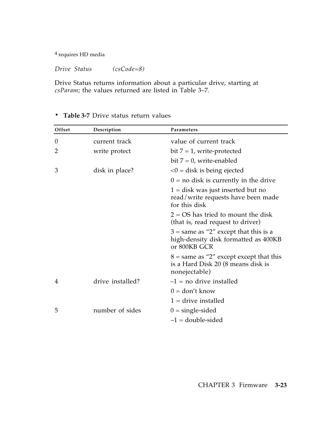4 requires HD media

*Drive Status (csCode=8)*

Drive Status returns information about a particular drive, starting at *csParam*; the values returned are listed in Table 3–7.

| Offset   | Description      | Parameters                                                                                       |
|----------|------------------|--------------------------------------------------------------------------------------------------|
| $\theta$ | current track    | value of current track                                                                           |
| 2        | write protect    | bit $7 = 1$ , write-protected                                                                    |
|          |                  | bit $7 = 0$ , write-enabled                                                                      |
| 3        | disk in place?   | $<$ 0 = disk is being ejected                                                                    |
|          |                  | $0 =$ no disk is currently in the drive                                                          |
|          |                  | $1 =$ disk was just inserted but no<br>read/write requests have been made<br>for this disk       |
|          |                  | $2 = OS$ has tried to mount the disk<br>(that is, read request to driver)                        |
|          |                  | $3 =$ same as "2" except that this is a<br>high-density disk formatted as 400KB<br>or 800KB GCR  |
|          |                  | $8 =$ same as "2" except except that this<br>is a Hard Disk 20 (8 means disk is<br>nonejectable) |
| 4        | drive installed? | $-1$ = no drive installed                                                                        |
|          |                  | $0 =$ don't know                                                                                 |
|          |                  | $1 =$ drive installed                                                                            |
| 5        | number of sides  | $0 = single-sided$                                                                               |
|          |                  | $-1 =$ double-sided                                                                              |

## • **Table 3-7** Drive status return values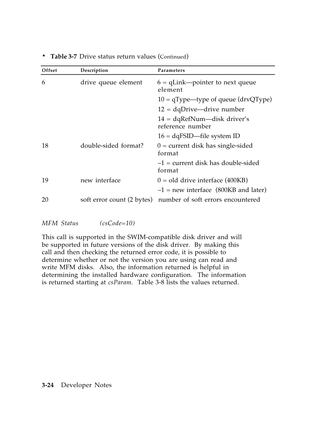| Offset | Description                | Parameters                                         |
|--------|----------------------------|----------------------------------------------------|
| 6      | drive queue element        | $6 = q$ Link—pointer to next queue<br>element      |
|        |                            | $10 = q$ Type—type of queue (drvQType)             |
|        |                            | $12 = dq$ Drive—drive number                       |
|        |                            | $14 = dqRefNum$ —disk driver's<br>reference number |
|        |                            | $16 = dqFSID$ -file system ID                      |
| 18     | double-sided format?       | $0 =$ current disk has single-sided<br>format      |
|        |                            | $-1$ = current disk has double-sided<br>format     |
| 19     | new interface              | $0 = old$ drive interface (400KB)                  |
|        |                            | $-1$ = new interface (800KB and later)             |
| 20     | soft error count (2 bytes) | number of soft errors encountered                  |

• **Table 3-7** Drive status return values (Continued)

*MFM Status (csCode=10)*

This call is supported in the SWIM-compatible disk driver and will be supported in future versions of the disk driver. By making this call and then checking the returned error code, it is possible to determine whether or not the version you are using can read and write MFM disks. Also, the information returned is helpful in determining the installed hardware configuration. The information is returned starting at *csParam.* Table 3-8 lists the values returned.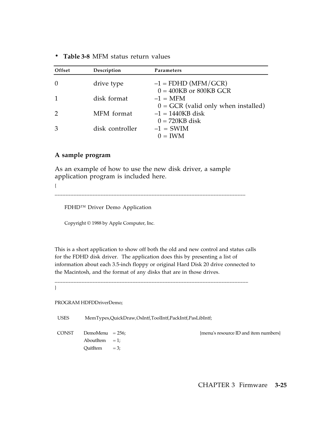#### • **Table 3-8** MFM status return values

| Offset   | Description     | Parameters                                                  |
|----------|-----------------|-------------------------------------------------------------|
| $\theta$ | drive type      | $-1 = FDHD(MFM/GCR)$<br>$0 = 400KB$ or 800KB GCR            |
|          | disk format     | $-1 = MFM$                                                  |
| 2        | MFM format      | $0 = GCR$ (valid only when installed)<br>$-1 = 1440KB$ disk |
| 3        | disk controller | $0 = 720KB$ disk<br>$-1 = SWIM$<br>$0 = IWM$                |

## **A sample program**

As an example of how to use the new disk driver, a sample application program is included here.

{

\_\_\_\_\_\_\_\_\_\_\_\_\_\_\_\_\_\_\_\_\_\_\_\_\_\_\_\_\_\_\_\_\_\_\_\_\_\_\_\_\_\_\_\_\_\_\_\_\_\_\_\_\_\_\_\_\_\_\_\_\_\_\_\_\_\_\_\_\_\_\_

FDHD™ Driver Demo Application

Copyright © 1988 by Apple Computer, Inc.

This is a short application to show off both the old and new control and status calls for the FDHD disk driver. The application does this by presenting a list of information about each 3.5-inch floppy or original Hard Disk 20 drive connected to the Macintosh, and the format of any disks that are in those drives.

\_\_\_\_\_\_\_\_\_\_\_\_\_\_\_\_\_\_\_\_\_\_\_\_\_\_\_\_\_\_\_\_\_\_\_\_\_\_\_\_\_\_\_\_\_\_\_\_\_\_\_\_\_\_\_\_\_\_\_\_\_\_\_\_\_\_\_\_\_\_\_\_

}

PROGRAM HDFDDriverDemo;

USES MemTypes,QuickDraw,OsIntf,ToolIntf,PackIntf,PasLibIntf;

AboutItem  $= 1$ ; QuitItem  $= 3;$ 

CONST DemoMenu = 256; {menu's resource ID and item numbers}

CHAPTER 3 Firmware **3-25**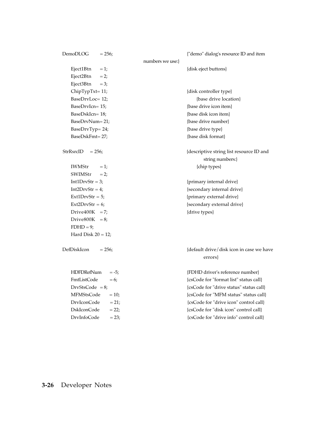| DemoDLOG              | $= 256;$ |                 | {"demo" dialog's resource ID and item               |
|-----------------------|----------|-----------------|-----------------------------------------------------|
|                       |          | numbers we use: |                                                     |
| Eject1Btn             | $= 1;$   |                 | {disk eject buttons}                                |
| Eject2Btn             | $= 2:$   |                 |                                                     |
| Eject3Btn             | $=3;$    |                 |                                                     |
| ChipTypTxt=11;        |          |                 | {disk controller type}                              |
| BaseDrvLoc= 12;       |          |                 | {base drive location}                               |
| BaseDrvIcn= 15;       |          |                 | {base drive icon item}                              |
| BaseDskIcn=18;        |          |                 | {base disk icon item}                               |
| BaseDrvNum=21;        |          |                 | {base drive number}                                 |
| BaseDrvTyp= 24;       |          |                 | {base drive type}                                   |
| BaseDskFmt=27;        |          |                 | {base disk format}                                  |
| StrRsrcID<br>$= 256;$ |          |                 | {descriptive string list resource ID and            |
|                       |          |                 | string numbers:}                                    |
| <b>IWMStr</b>         | $= 1$ ;  |                 | {chip types}                                        |
| SWIMStr               | $= 2;$   |                 |                                                     |
| Int $1DrvStr = 3$ ;   |          |                 | {primary internal drive}                            |
| Int2DrvStr = $4$ ;    |          |                 | {secondary internal drive}                          |
| $Ext1DrvStr = 5;$     |          |                 | {primary external drive}                            |
| Ext2DrvStr = $6$ ;    |          |                 | {secondary external drive}                          |
| Drive $400K = 7$ ;    |          |                 | {drive types}                                       |
| Drive800 $K = 8$ ;    |          |                 |                                                     |
| $FDHD = 9;$           |          |                 |                                                     |
| Hard Disk $20 = 12$ ; |          |                 |                                                     |
| DefDiskIcon           | $= 256;$ |                 | {default drive/disk icon in case we have<br>errors} |
| <b>HDFDRefNum</b>     | $=-5;$   |                 | {FDHD driver's reference number}                    |
| FmtListCode           | $= 6;$   |                 | {csCode for "format list" status call}              |
| $DrvStsCode = 8;$     |          |                 | {csCode for "drive status" status call}             |
| <b>MFMStsCode</b>     | $= 10;$  |                 | {csCode for "MFM status" status call}               |
| <b>DrvIconCode</b>    | $= 21;$  |                 | {csCode for "drive icon" control call}              |
| <b>DskIconCode</b>    | $= 22;$  |                 | {csCode for "disk icon" control call}               |
| DrvInfoCode           | $= 23;$  |                 | {csCode for "drive info" control call}              |
|                       |          |                 |                                                     |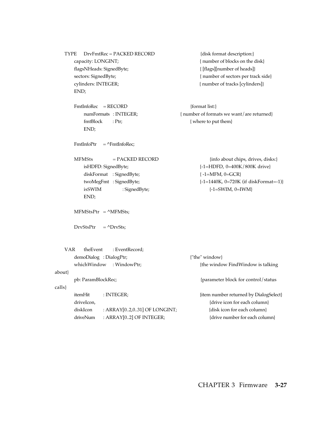TYPE DrvFmtRec = PACKED RECORD {disk format description:} capacity: LONGINT;  $\{ number of blocks on the disk \}$ flagsNHeads: SignedByte;  ${[flags][number of heads]}$ sectors: SignedByte;  ${$  mumber of sectors per track side cylinders: INTEGER; { number of tracks [cylinders]} END;

FmtInfoRec = RECORD {format list:} fmtBlock : Ptr;  $\{where to put them\}$ END;

 $FmtInfoPtr = \Delta FmtInfoRec$ ;

isHDFD: SignedByte; {-1=HDFD, 0=400K/800K drive} diskFormat : SignedByte;  $\{ -1 = MFM, 0 = GCR \}$ isSWIM : SignedByte; {-1=SWIM, 0=IWM} END;

 $MFMStsPtr = \Delta MFMSts;$ 

 $DrvStsPtr = \Delta DrvSts$ :

numFormats : INTEGER;  ${$   ${$  number of formats we want/are returned}

MFMSts = PACKED RECORD {info about chips, drives, disks:} twoMegFmt : SignedByte; {-1=1440K, 0=720K (if diskFormat=-1)}

VAR theEvent : EventRecord; demoDialog : DialogPtr; {"the" window} whichWindow : WindowPtr;  ${the$  window FindWindow is talking about} pb: ParamBlockRec;  ${p^2}$  {parameter block for control/status} calls} itemHit : INTEGER;  $\qquad \qquad \{item number returned by DialogSelect\}$ driveIcon,  $\{$ drive icon for each column $\}$ diskIcon : ARRAY[0..2,0..31] OF LONGINT; {disk icon for each column} driveNum : ARRAY[0..2] OF INTEGER; {drive number for each column}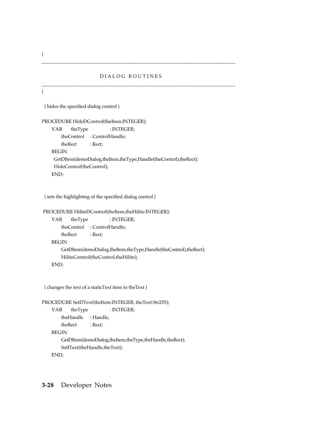#### DIALOG ROUTINES

\_\_\_\_\_\_\_\_\_\_\_\_\_\_\_\_\_\_\_\_\_\_\_\_\_\_\_\_\_\_\_\_\_\_\_\_\_\_\_\_\_\_\_\_\_\_\_\_\_\_\_\_\_\_\_\_\_\_\_\_\_\_\_\_\_\_\_\_\_\_\_\_

\_\_\_\_\_\_\_\_\_\_\_\_\_\_\_\_\_\_\_\_\_\_\_\_\_\_\_\_\_\_\_\_\_\_\_\_\_\_\_\_\_\_\_\_\_\_\_\_\_\_\_\_\_\_\_\_\_\_\_\_\_\_\_\_\_\_\_\_\_\_\_\_

}

{

{ hides the specified dialog control }

#### PROCEDURE HideDControl(theItem:INTEGER);

VAR theType : INTEGER; theControl : ControlHandle; theRect : Rect; BEGIN GetDItem(demoDialog,theItem,theType,Handle(theControl),theRect);

HideControl(theControl);

END;

{ sets the highlighting of the specified dialog control }

```
 PROCEDURE HiliteDControl(theItem,theHilite:INTEGER);
```
VAR theType : INTEGER;

theControl : ControlHandle;

theRect : Rect;

BEGIN

GetDItem(demoDialog,theItem,theType,Handle(theControl),theRect); HiliteControl(theControl,theHilite);

END;

{ changes the text of a staticText item to theText }

```
PROCEDURE SetDText(theItem:INTEGER; theText:Str255);
```

```
VAR theType : INTEGER;
   theHandle : Handle;
   theRect : Rect;
BEGIN
   GetDItem(demoDialog,theItem,theType,theHandle,theRect);
   SetIText(theHandle,theText);
END;
```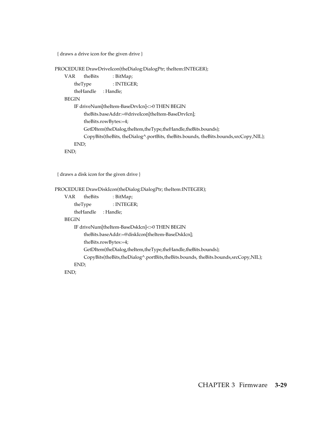{ draws a drive icon for the given drive }

```
PROCEDURE DrawDriveIcon(theDialog:DialogPtr; theItem:INTEGER);
    VAR theBits : BitMap;
        theType : INTEGER;
        theHandle : Handle;
    BEGIN
        IF driveNum[theItem-BaseDrvIcn]<>0 THEN BEGIN
            theBits.baseAddr:=@driveIcon[theItem-BaseDrvIcn];
            theBits.rowBytes:=4;
            GetDItem(theDialog,theItem,theType,theHandle,theBits.bounds);
            CopyBits(theBits, theDialog^.portBits, theBits.bounds, theBits.bounds,srcCopy,NIL);
       END;
    END;
```
{ draws a disk icon for the given drive }

```
PROCEDURE DrawDiskIcon(theDialog:DialogPtr; theItem:INTEGER);
```

| VAR | theBits   | : $BitMap$ ; |
|-----|-----------|--------------|
|     | theType   | : INTEGER;   |
|     | theHandle | : Handle;    |

#### BEGIN

IF driveNum[theItem-BaseDskIcn]<>0 THEN BEGIN

theBits.baseAddr:=@diskIcon[theItem-BaseDskIcn];

theBits.rowBytes:=4;

GetDItem(theDialog,theItem,theType,theHandle,theBits.bounds);

CopyBits(theBits,theDialog^.portBits,theBits.bounds, theBits.bounds,srcCopy,NIL);

END;

END;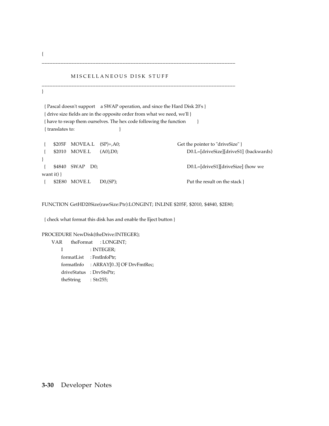#### M I S C E L L A N E O U S D I S K S T U F F

\_\_\_\_\_\_\_\_\_\_\_\_\_\_\_\_\_\_\_\_\_\_\_\_\_\_\_\_\_\_\_\_\_\_\_\_\_\_\_\_\_\_\_\_\_\_\_\_\_\_\_\_\_\_\_\_\_\_\_\_\_\_\_\_\_\_\_\_\_\_\_\_

\_\_\_\_\_\_\_\_\_\_\_\_\_\_\_\_\_\_\_\_\_\_\_\_\_\_\_\_\_\_\_\_\_\_\_\_\_\_\_\_\_\_\_\_\_\_\_\_\_\_\_\_\_\_\_\_\_\_\_\_\_\_\_\_\_\_\_\_\_\_\_\_

 { Pascal doesn't support a SWAP operation, and since the Hard Disk 20's } { drive size fields are in the opposite order from what we need, we'll } { have to swap them ourselves. The hex code following the function } { translates to: }

|               | $$205F$ MOVEA.L $(SP)+$ ,A0; |                 | Get the pointer to "driveSize" }      |
|---------------|------------------------------|-----------------|---------------------------------------|
| \$2010        | MOVE.L                       | $(A0)$ .D $0$ : | D0.L=[driveSize][driveS1] (backwards) |
|               |                              |                 |                                       |
|               | \$4840 SWAP D0:              |                 | D0.L=[driveS1][driveSize] (how we     |
| want it) $\}$ |                              |                 |                                       |
|               | \$2E80 MOVE.L                | D0.(SP):        | Put the result on the stack }         |

FUNCTION GetHD20Size(rawSize:Ptr):LONGINT; INLINE \$205F, \$2010, \$4840, \$2E80;

{ check what format this disk has and enable the Eject button }

PROCEDURE NewDisk(theDrive:INTEGER);

| VAR |            | theFormat : LONGINT;        |
|-----|------------|-----------------------------|
| Ι   |            | : INTEGER;                  |
|     |            | formatList : FmtInfoPtr;    |
|     | formatInfo | : $ARRAY[03]$ OF DrvFmtRec; |
|     |            | driveStatus : DrvStsPtr;    |
|     |            | the String $: Str255;$      |

{

}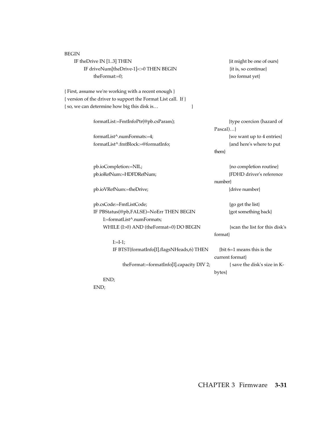| <b>BEGIN</b>                                                  |                                |
|---------------------------------------------------------------|--------------------------------|
| IF theDrive IN [13] THEN                                      | {it might be one of ours}      |
| IF driveNum[theDrive-1]<>0 THEN BEGIN                         | {it is, so continue}           |
| theFormat:=0;                                                 | {no format yet}                |
|                                                               |                                |
| { First, assume we're working with a recent enough }          |                                |
| { version of the driver to support the Format List call. If } |                                |
| { so, we can determine how big this disk is                   |                                |
| formatList:=FmtInfoPtr(@pb.csParam);                          | {type coercion (hazard of      |
|                                                               | Pascal)}                       |
| formatList^.numFormats:=4;                                    | {we want up to 4 entries}      |
| formatList^.fmtBlock:=@formatInfo;                            | {and here's where to put       |
|                                                               | them}                          |
|                                                               |                                |
| pb.ioCompletion:=NIL;                                         | {no completion routine}        |
| pb.ioRefNum:=HDFDRefNum;                                      | {FDHD driver's reference       |
|                                                               | number                         |
| pb.ioVRefNum:=theDrive;                                       | {drive number}                 |
| pb.csCode:=FmtListCode;                                       | {go get the list}              |
| IF PBStatus(@pb,FALSE)=NoErr THEN BEGIN                       | {got something back}           |
| I:=formatList^.numFormats;                                    |                                |
| WHILE (I>0) AND (theFormat=0) DO BEGIN                        | {scan the list for this disk's |
|                                                               | format                         |
| $I:=I-1;$                                                     |                                |
| IF BTST(formatInfo[I].flagsNHeads,6) THEN                     | {bit 6=1 means this is the     |
|                                                               | current format}                |
| theFormat:=formatInfo[I].capacity DIV 2;                      | { save the disk's size in K-   |
|                                                               | bytes}                         |
| END;                                                          |                                |

END;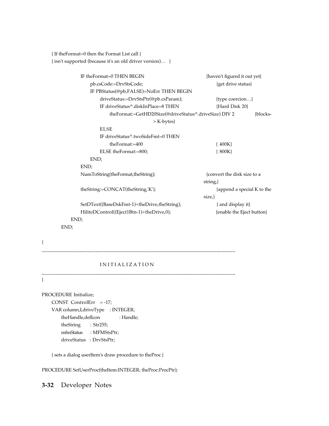{ If theFormat=0 then the Format List call } { isn't supported (because it's an old driver version)… }

| IF theFormat=0 THEN BEGIN                             | {haven't figured it out yet} |
|-------------------------------------------------------|------------------------------|
| pb.csCode:=DrvStsCode;                                | {get drive status}           |
| IF PBStatus(@pb,FALSE)=NoErr THEN BEGIN               |                              |
| driveStatus:=DrvStsPtr(@pb.csParam);                  | {type coercion}              |
| IF driveStatus^.diskInPlace=8 THEN                    | {Hard Disk 20}               |
| theFormat:=GetHD20Size(@driveStatus^.driveSize) DIV 2 | {blocks-                     |
| $>$ K-bytes $\}$                                      |                              |
| <b>ELSE</b>                                           |                              |
| IF driveStatus^.twoSideFmt=0 THEN                     |                              |
| theFormat:=400                                        | ${400K}$                     |
| ELSE theFormat:=800;                                  | ${800K}$                     |
| END;                                                  |                              |
| END;                                                  |                              |
| NumToString(theFormat,theString);                     | {convert the disk size to a  |
|                                                       | string,                      |
| theString:=CONCAT(theString,'K');                     | {append a special K to the   |
|                                                       | size,                        |
| SetDText((BaseDskFmt-1)+theDrive,theString);          | { and display it}            |
| HiliteDControl((Eject1Btn-1)+theDrive,0);             | {enable the Eject button}    |
| END;                                                  |                              |
| END;                                                  |                              |

{

#### I N I T I A L I Z A T I O N

\_\_\_\_\_\_\_\_\_\_\_\_\_\_\_\_\_\_\_\_\_\_\_\_\_\_\_\_\_\_\_\_\_\_\_\_\_\_\_\_\_\_\_\_\_\_\_\_\_\_\_\_\_\_\_\_\_\_\_\_\_\_\_\_\_\_\_\_\_\_\_\_

\_\_\_\_\_\_\_\_\_\_\_\_\_\_\_\_\_\_\_\_\_\_\_\_\_\_\_\_\_\_\_\_\_\_\_\_\_\_\_\_\_\_\_\_\_\_\_\_\_\_\_\_\_\_\_\_\_\_\_\_\_\_\_\_\_\_\_\_\_\_\_\_

}

```
PROCEDURE Initialize;
   CONST ControlErr = -17;
   VAR column,I,driveType : INTEGER;
       theHandle,defIcon : Handle;
       theString : Str255;
       mfmStatus : MFMStsPtr;
       driveStatus : DrvStsPtr;
```
{ sets a dialog userItem's draw procedure to theProc }

PROCEDURE SetUserProc(theItem:INTEGER; theProc:ProcPtr);

## **3-32** Developer Notes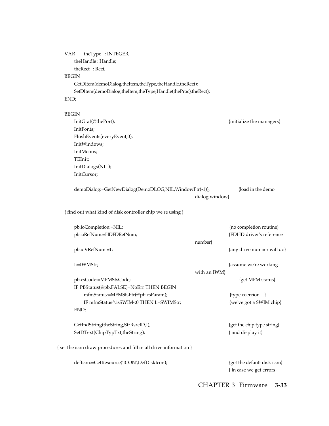| theType : INTEGER;<br>VAR                                          |                |                                                         |
|--------------------------------------------------------------------|----------------|---------------------------------------------------------|
| theHandle: Handle;                                                 |                |                                                         |
| theRect: Rect;                                                     |                |                                                         |
| <b>BEGIN</b>                                                       |                |                                                         |
| GetDItem(demoDialog,theItem,theType,theHandle,theRect);            |                |                                                         |
| SetDItem(demoDialog,theItem,theType,Handle(theProc),theRect);      |                |                                                         |
| END;                                                               |                |                                                         |
| <b>BEGIN</b>                                                       |                |                                                         |
| InitGraf(@thePort);                                                |                | {initialize the managers}                               |
| InitFonts;                                                         |                |                                                         |
| FlushEvents(everyEvent,0);                                         |                |                                                         |
| InitWindows;                                                       |                |                                                         |
| InitMenus;                                                         |                |                                                         |
| TEInit;                                                            |                |                                                         |
| InitDialogs(NIL);                                                  |                |                                                         |
| InitCursor;                                                        |                |                                                         |
| demoDialog:=GetNewDialog(DemoDLOG,NIL,WindowPtr(-1));              | dialog window} | {load in the demo                                       |
| pb.ioCompletion:=NIL;<br>pb.ioRefNum:=HDFDRefNum;                  |                | {no completion routine}<br>{FDHD driver's reference     |
| pb.ioVRefNum:=1;                                                   | number}        | {any drive number will do}                              |
| I:=IWMStr;                                                         |                | {assume we're working                                   |
|                                                                    | with an IWM}   |                                                         |
| pb.csCode:=MFMStsCode;                                             |                | {get MFM status}                                        |
| IF PBStatus(@pb,FALSE)=NoErr THEN BEGIN                            |                |                                                         |
| mfmStatus:=MFMStsPtr(@pb.csParam);                                 |                | {type coercion}                                         |
| IF mfmStatus^.isSWIM<0 THEN I:=SWIMStr;                            |                | {we've got a SWIM chip}                                 |
| END;                                                               |                |                                                         |
| GetIndString(theString,StrRsrcID,I);                               |                | {get the chip type string}                              |
| SetDText(ChipTypTxt,theString);                                    |                | { and display it}                                       |
| { set the icon draw procedures and fill in all drive information } |                |                                                         |
| deflcon:=GetResource('ICON',DefDiskIcon);                          |                | {get the default disk icon}<br>{ in case we get errors} |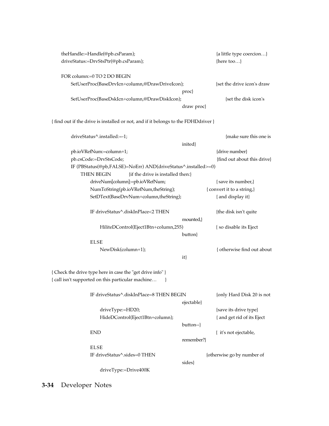| theHandle:=Handle(@pb.csParam);                                                   | {a little type coercion}  |
|-----------------------------------------------------------------------------------|---------------------------|
| driveStatus:=DrvStsPtr(@pb.csParam);                                              | {here too}                |
|                                                                                   |                           |
| FOR column:=0 TO 2 DO BEGIN                                                       |                           |
| SetUserProc(BaseDrvIcn+column,@DrawDriveIcon);                                    | set the drive icon's draw |
| proc                                                                              |                           |
| SetUserProc(BaseDskIcn+column,@DrawDiskIcon);                                     | {set the disk icon's      |
| draw proc                                                                         |                           |
| {find out if the drive is installed or not, and if it belongs to the FDHDdriver } |                           |
| $driveStatus^{\wedge}.installed:=-1;$                                             | {make sure this one is    |

|                                                   |                                                               | inited}    |                            |                             |
|---------------------------------------------------|---------------------------------------------------------------|------------|----------------------------|-----------------------------|
| pb.ioVRefNum:=column+1;                           |                                                               |            | {drive number}             |                             |
| pb.csCode:=DrvStsCode;                            |                                                               |            |                            | {find out about this drive} |
|                                                   | IF (PBStatus(@pb,FALSE)=NoErr) AND(driveStatus^.installed>=0) |            |                            |                             |
| <b>THEN BEGIN</b>                                 | {if the drive is installed then:}                             |            |                            |                             |
|                                                   | driveNum[column]:=pb.ioVRefNum;                               |            | {save its number,}         |                             |
|                                                   | NumToString(pb.ioVRefNum,theString);                          |            | {convert it to a string,}  |                             |
|                                                   | SetDText(BaseDrvNum+column,theString);                        |            | {and display it}           |                             |
|                                                   | IF driveStatus^.diskInPlace<2 THEN                            |            | {the disk isn't quite      |                             |
|                                                   |                                                               | mounted,   |                            |                             |
|                                                   | HiliteDControl(Eject1Btn+column,255)                          |            | { so disable its Eject     |                             |
|                                                   |                                                               | button}    |                            |                             |
| <b>ELSE</b>                                       |                                                               |            |                            |                             |
| NewDisk(column+1);                                |                                                               |            |                            | { otherwise find out about  |
|                                                   |                                                               | $it\}$     |                            |                             |
|                                                   | { Check the drive type here in case the "get drive info" }    |            |                            |                             |
| { call isn't supported on this particular machine | $\left\{ \right\}$                                            |            |                            |                             |
|                                                   | IF driveStatus^.diskInPlace=8 THEN BEGIN                      |            |                            | {only Hard Disk 20 is not   |
|                                                   |                                                               | ejectable} |                            |                             |
| driveType:=HD20;                                  |                                                               |            | {save its drive type}      |                             |
|                                                   | HideDControl(Eject1Btn+column);                               |            | { and get rid of its Eject |                             |
|                                                   |                                                               | button--}  |                            |                             |
| <b>END</b>                                        |                                                               |            | { it's not ejectable,      |                             |
|                                                   |                                                               | remember?} |                            |                             |
| <b>ELSE</b>                                       |                                                               |            |                            |                             |
| IF driveStatus^.sides=0 THEN                      |                                                               |            | {otherwise go by number of |                             |
|                                                   |                                                               | sides}     |                            |                             |
|                                                   |                                                               |            |                            |                             |

driveType:=Drive400K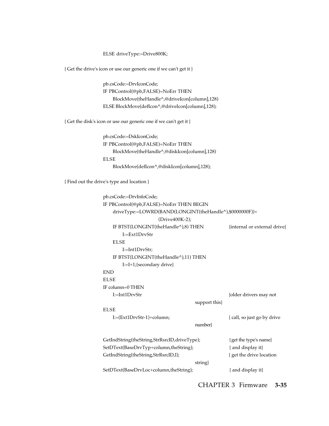#### ELSE driveType:=Drive800K;

{ Get the drive's icon or use our generic one if we can't get it }

pb.csCode:=DrvIconCode; IF PBControl(@pb,FALSE)=NoErr THEN BlockMove(theHandle^,@driveIcon[column],128) ELSE BlockMove(defIcon^,@driveIcon[column],128);

{ Get the disk's icon or use our generic one if we can't get it }

pb.csCode:=DskIconCode; IF PBControl(@pb,FALSE)=NoErr THEN BlockMove(theHandle^,@diskIcon[column],128) ELSE BlockMove(defIcon^,@diskIcon[column],128);

{ Find out the drive's type and location }

| pb.csCode:=DrvInfoCode;                                 |              |                              |
|---------------------------------------------------------|--------------|------------------------------|
| IF PBControl(@pb,FALSE)=NoErr THEN BEGIN                |              |                              |
| driveType:=LOWRD(BAND(LONGINT(theHandle^),\$0000000F))+ |              |                              |
| (Drive400K-2);                                          |              |                              |
| IF BTST(LONGINT(theHandle^),8) THEN                     |              | {internal or external drive} |
| $I:=Ext1DrvStr$                                         |              |                              |
| <b>ELSE</b>                                             |              |                              |
| I:=Int1DrvStr;                                          |              |                              |
| IF BTST(LONGINT(theHandle^),11) THEN                    |              |                              |
| I:=I+1;{secondary drive}                                |              |                              |
| <b>END</b>                                              |              |                              |
| <b>ELSE</b>                                             |              |                              |
| IF column=0 THEN                                        |              |                              |
| $I:=Int1DrvStr$                                         |              | {older drivers may not       |
|                                                         | support this |                              |
| <b>ELSE</b>                                             |              |                              |
| $I := (Ext1DrvStr-1) + column;$                         |              | {call, so just go by drive   |
|                                                         | number       |                              |
| GetIndString(theString,StrRsrcID,driveType);            |              | {get the type's name}        |
| SetDText(BaseDrvTyp+column,theString);                  |              | { and display it}            |
| GetIndString(theString,StrRsrcID,I);                    |              | { get the drive location     |
|                                                         | string       |                              |
| SetDText(BaseDrvLoc+column,theString);                  |              | { and display it}            |
|                                                         |              |                              |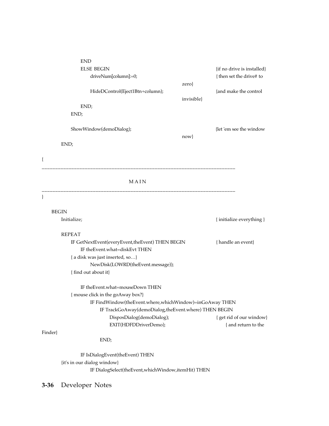| <b>END</b>                                              |                     |                            |
|---------------------------------------------------------|---------------------|----------------------------|
| <b>ELSE BEGIN</b>                                       |                     | {if no drive is installed} |
| driveNum[column]:=0;                                    |                     | {then set the drive# to    |
| HideDControl(Eject1Btn+column);                         | zero}<br>invisible} | {and make the control      |
| END;                                                    |                     |                            |
| END;                                                    |                     |                            |
| ShowWindow(demoDialog);                                 | $now\}$             | {let 'em see the window    |
| END;                                                    |                     |                            |
|                                                         |                     |                            |
| MAIN                                                    |                     |                            |
|                                                         |                     |                            |
| <b>BEGIN</b>                                            |                     |                            |
| Initialize;                                             |                     | { initialize everything }  |
| <b>REPEAT</b>                                           |                     |                            |
| IF GetNextEvent(everyEvent,theEvent) THEN BEGIN         |                     | {handle an event}          |
| IF the Event.what=diskEvt THEN                          |                     |                            |
| { a disk was just inserted, so}                         |                     |                            |
| NewDisk(LOWRD(theEvent.message));                       |                     |                            |
| {find out about it}                                     |                     |                            |
| IF the Event.what=mouseDown THEN                        |                     |                            |
| { mouse click in the goAway box?}                       |                     |                            |
| IF FindWindow(theEvent.where,whichWindow)=inGoAway THEN |                     |                            |
| IF TrackGoAway(demoDialog,theEvent.where) THEN BEGIN    |                     |                            |
| DisposDialog(demoDialog);                               |                     | { get rid of our window}   |
| EXIT(HDFDDriverDemo);                                   |                     | { and return to the        |
| Finder}                                                 |                     |                            |
| END;                                                    |                     |                            |
| IF IsDialogEvent(theEvent) THEN                         |                     |                            |
| {it's in our dialog window}                             |                     |                            |
| IF DialogSelect(theEvent,whichWindow,itemHit) THEN      |                     |                            |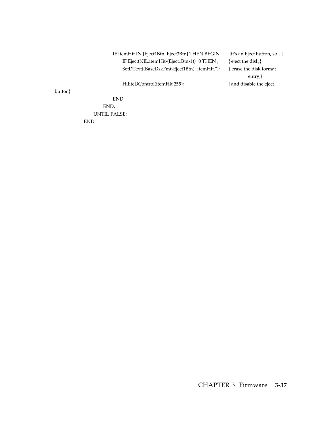IF itemHit IN [Eject1Btn..Eject3Btn] THEN BEGIN {it's an Eject button, so…} IF Eject(NIL,itemHit-(Eject1Btn-1))=0 THEN ; { eject the disk,} SetDText((BaseDskFmt-Eject1Btn)+itemHit,''); { erase the disk format

entry,} HiliteDControl(itemHit,255); { and disable the eject

button}

END; END; UNTIL FALSE; END.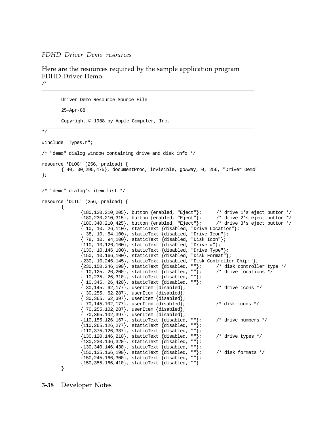#### *FDHD Driver Demo resources*

Here are the resources required by the sample application program FDHD Driver Demo. /\*

```
_______________________________________________________________________________
        Driver Demo Resource Source File
        25-Apr-88
        Copyright © 1988 by Apple Computer, Inc.
_______________________________________________________________________________
*/
#include "Types.r";
/* "demo" dialog window containing drive and disk info */
resource 'DLOG' (256, preload) {
        { 40, 30,295,475}, documentProc, invisible, goAway, 0, 256, "Driver Demo"
};
/* "demo" dialog's item list */
resource 'DITL' (256, preload) {
        \left\{ \right.{180,120,210,205}, button {enabled, "Eject"}; /* drive 1's eject button */<br>{180,230,210,315}, button {enabled, "Eject"}; /* drive 2's eject button */<br>{180,340,210,425}, button {enabled, "Eject"}; /* drive 3's eject button
                 {180,230,210,315}, button {enabled, "Eject"};
                 {180,340,210,425}, button {enabled, "Eject"};
                  10, 10, 26,110}, staticText \{disabled, "Drive Location"};
                 \{ 38, 10, 54,100\}, staticText \{disabled, "Drive Icon"\};
                  78, 10, 94,100}, staticText \{disabled, "Disk Icon"};
                 {110, 10, 126, 100}, staticText {disabeled, "Drive #"};
                 \{130, 10, 146, 100\}, staticText \{disabled, "Drive Type"\};
                 \{150, 10, 166, 100\}, staticText \{\text{disabled}, \text{ "Disk Format"}\};
                 {230, 10,246,145}, staticText {disabled, "Disk Controller Chip:"};
                 {230, 150, 246, 190}, staticText {disabled, ""\}; /* disk controller type */
                 \{ 10, 125, 26, 200 \}, staticText \{ \text{disabled}, ""\}; /* drive locations */
                 {10,235, 26,310}, staticText {disabeled, ""\}.{10,345, 26,420}, staticText {disabeled, ""\};
                  30,145, 62,177}, userItem \{ \text{disabeled} \}; /* drive icons */
                  30,255, 62,287}, userItem \{ \text{disable} \};
                 \begin{bmatrix} 30,365, 62,397 \end{bmatrix}, userItem \{\text{disable}\}\;
                  70,145,102,177, userItem \{disabled\}; /* disk icons */
                  { 70,255,102,287}, userItem {disabled};
                  { 70,365,102,397}, userItem {disabled};
                 \{110, 155, 126, 167\}, staticText \{ \text{disabeled}, \text{""} \}; /* drive numbers */
                 {110, 265, 126, 277}, staticText {disabeled, ""\}.\{110, 375, 126, 387\}, staticText \{ \text{disabeled, ""}\};
                 \{130, 120, 146, 210\}, staticText \{ \text{disabled, "" } \}; /* drive types */
                 {130,230,146,320}, staticText {disabeled, ""\}.{130,340,146,430}, staticText {^{[d]}}isabled, ""1;
                 \{150, 135, 166, 190\}, staticText \{disabled, ""\}; /* disk formats */
                 {150, 245, 166, 300}, staticText {disabeled, ""\};
                 {150,355,166,410}, staticText {disabled, ""}
        }
```
**3-38** Developer Notes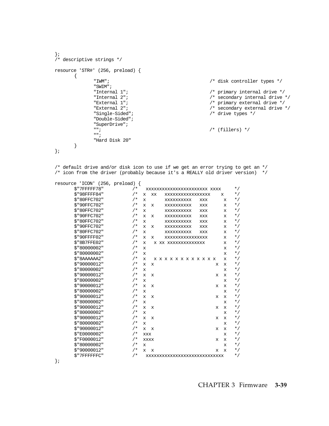```
};
 /* descriptive strings */
resource 'STR#' (256, preload) {
            {
                        "IWM"; /* disk controller types */
                        "SWIM";
                        "Internal 1"; /* primary internal drive */
                        "Internal 2"; /* secondary internal drive */
                                                                                                /* primary external drive */"External 2"; /* secondary external drive */
                        "Single-Sided"; /* drive types */
                        "Double-Sided";
                        "SuperDrive";
                                                                                                /* (fillers) */
                        "";
                        "Hard Disk 20"
          }
};
/* default drive and/or disk icon to use if we get an error trying to get an */
/* icon from the driver (probably because it's a REALLY old driver version) */
resource 'ICON' (256, preload) {<br> $^{\circ} 7FFFFF78" \qquad /*
            $"7FFFFF78" /* xxxxxxxxxxxxxxxxxxxxxxx xxxx */
            $"98FFFF84" /* x xx xxxxxxxxxxxxxxxxxx x */<br>$"80FFC702" /* x xxxxxxxxxxx xxx x */
            \begin{array}{ccccccccc} \xi\text{"80FFC702"} & & & \text{/* x} & & & \text{xxxxxxxxxxx} & & \text{xxx} & & \star \text{/} \\ \xi\text{"90FFC702"} & & & \text{/* x x} & & & \text{xxxxxxxxxxx} & & \text{xxx} & & \star \text{/} \\ \end{array}$"90FFC702" /* x x xxxxxxxxxx xxx x */
                                                                 {\bf XXXXXXXXX}~~{\bf XXX}~~{\bf x}$"90FFC702" /* x x xxxxxxxxxxx xxx x */<br>$"80FFC702" /* x xxxxxxxxxxx xxx x */
            $"80FFC702" /* x xxxxxxxxxx xxx x */
            $"90FFC702" /* x x xxxxxxxxxxx xxx x */<br>$"80FFC702" /* x xxxxxxxxxx xxx x */
            $"80FFC702" /* x xxxxxxxxxx xxx x */
            $^{\circ}$90FFFF02" /* x x xxxxxxxxxxxxxxxx x */<br>$^{\circ}$90FFFF02" /* x xxxxxxxxxxxxxxxx x */
                                                \frac{1}{8} x x xx xxxxxxxxxxxxx x \frac{1}{8} x \frac{1}{8} x
            \frac{1}{2} $"80000002" \frac{1}{2} \frac{1}{2} \frac{1}{2} \frac{1}{2} \frac{1}{2} \frac{1}{2} \frac{1}{2} \frac{1}{2} \frac{1}{2} \frac{1}{2} \frac{1}{2} \frac{1}{2} \frac{1}{2} \frac{1}{2} \frac{1}{2} \frac{1}{2} \frac{1}{2} \frac{1}{2} \frac{1}{2} \frac{1}{2}$^{\circ}80000002" /* x \frac{1}{2} x \frac{1}{2}\begin{array}{lllllll} \texttt{\$``8AAAAAA2''} & \texttt{\#} & \texttt{\#} & \texttt{x} & \texttt{x} & \texttt{x} & \texttt{x} & \texttt{x} & \texttt{x} & \texttt{x} & \texttt{*} \texttt{\#} \\ \texttt{\$``90000012''} & & \texttt{\#} & \texttt{x} & \texttt{x} & & & & & & \texttt{x} & \texttt{*} \texttt{\#} \end{array}\begin{array}{ccccccc} \xi "90000012" & & & \not\quad * & x & x & & & x & * \ f "80000002" & & & \not\quad * & x & & & & & x & * \end{array}$"80000002" /* x x */
                                                \begin{array}{ccccc} \mbox{\hspace{0.8cm}/}{*} & x & x & & & x & *{\hspace{-0.2cm}/}{*} \\ \mbox{\hspace{0.8cm}/} & & x & & & x & *{\hspace{-0.2cm}/}{*} \\ \mbox{\hspace{0.8cm}/} & & & & x & *{\hspace{-0.2cm}/}{*} \\ \end{array}\sin 80000002" /* x \frac{x}{100000002}$"90000012" /* x x x x */
            \begin{array}{ccccccccc}\n\mathsf{S}^{\mathrm{u}}\mathsf{80000002}^{\mathrm{u}} & & & /^{\mathrm{*}} & \times & & & & & & & \times & \star/ \\
\mathsf{S}^{\mathrm{u}}\mathsf{90000012}^{\mathrm{u}} & & & /^{\mathrm{*}} & \times & \times & & & & & & & \times & \star/ \\
\end{array}\begin{array}{ccccccc} \xi "90000012" & & & \not\quad * & x & x & & & x & * \ f "80000002" & & & \not\quad * & x & & & & & x & * \end{array}\begin{array}{ccccccccc} \xi^* & 80000002 & & & & \nearrow & x & & & & & x & * \end{array}<br/>\begin{array}{ccccccccc} \xi^* & 80000002 & & & & \nearrow & x & & & & & x & * \end{array}\begin{array}{ccccccccc} \xi^{\text{u}} & 90000012^{\text{u}} & & \not & \star & \text{x} & & & & & & \text{x} & \text{x} \\ \xi^{\text{u}} & 80000002^{\text{u}} & & & \not & \star & \text{x} & & & & & \text{x} & \text{x} \\ \end{array}$^{\circ}80000002" /* x x x */<br>$^{\circ}90000012" /* x x x x */
            $"90000012" /* x x x x */<br>$"80000002" /* x x x */
            \begin{array}{ccccccccc} \xi^{\text{II}} & 80000002 \text{''} & & & \text{/*} & \text{x} & & & \text{x} & \text{*} / \\ \xi^{\text{II}} & 90000012 \text{''} & & & \text{/*} & \text{x} & \text{x} & & & \text{x} & \text{x} & \text{*} / \\ \end{array}\begin{array}{ccccccc} \xi "90000012" & & & \not\quad * & x & x & & & x & * \ f' \to 0000002" & & & \not\quad * & x \times x & & & & x & * \end{array}$"E0000002" /* xxx x */
            \begin{array}{ccccccc}\n\dot{\mathbf{S}}^{\text{\text{II}}}\text{F0000012''} & & & \text{\textit{/*}} & & \text{xxxx} & & & \mathbf{x} & \mathbf{x} \\
\mathbf{\dot{S}}^{\text{\text{II}}}\text{80000002''} & & & \text{\textit{/*}} & & \mathbf{x} & & & \mathbf{x} \\
\end{array}$"80000002" /* x x */
            \hspace{.55cm} \begin{array}{ccccccc} \xi "90000012" & & & \not & * & x & x & & & x & & * \end{array}$"7FFFFFFC" /* xxxxxxxxxxxxxxxxxxxxxxxxxxxxx */
```
};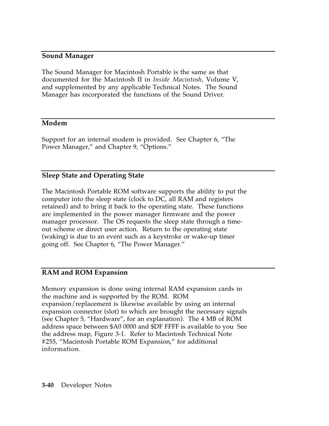## **Sound Manager**

The Sound Manager for Macintosh Portable is the same as that documented for the Macintosh II in *Inside Macintosh*, Volume V, and supplemented by any applicable Technical Notes. The Sound Manager has incorporated the functions of the Sound Driver.

#### **Modem**

Support for an internal modem is provided. See Chapter 6, "The Power Manager," and Chapter 9, "Options."

## **Sleep State and Operating State**

The Macintosh Portable ROM software supports the ability to put the computer into the sleep state (clock to DC, all RAM and registers retained) and to bring it back to the operating state. These functions are implemented in the power manager firmware and the power manager processor. The OS requests the sleep state through a timeout scheme or direct user action. Return to the operating state (waking) is due to an event such as a keystroke or wake-up timer going off. See Chapter 6, "The Power Manager."

## **RAM and ROM Expansion**

Memory expansion is done using internal RAM expansion cards in the machine and is supported by the ROM. ROM expansion/replacement is likewise available by using an internal expansion connector (slot) to which are brought the necessary signals (see Chapter 5, "Hardware", for an explanation). The 4 MB of ROM address space between \$A0 0000 and \$DF FFFF is available to you See the address map, Figure 3-1. Refer to Macintosh Technical Note #255, "Macintosh Portable ROM Expansion," for additional information.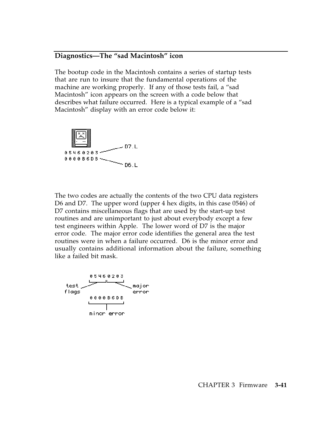## **Diagnostics—The "sad Macintosh" icon**

The bootup code in the Macintosh contains a series of startup tests that are run to insure that the fundamental operations of the machine are working properly. If any of those tests fail, a "sad Macintosh" icon appears on the screen with a code below that describes what failure occurred. Here is a typical example of a "sad Macintosh" display with an error code below it:



The two codes are actually the contents of the two CPU data registers D6 and D7. The upper word (upper 4 hex digits, in this case 0546) of D7 contains miscellaneous flags that are used by the start-up test routines and are unimportant to just about everybody except a few test engineers within Apple. The lower word of D7 is the major error code. The major error code identifies the general area the test routines were in when a failure occurred. D6 is the minor error and usually contains additional information about the failure, something like a failed bit mask.

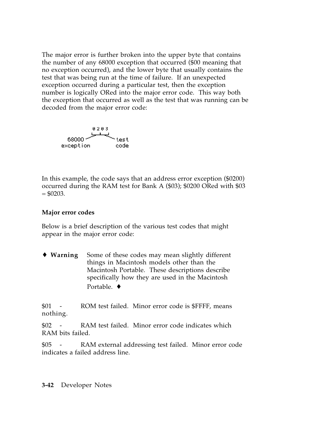The major error is further broken into the upper byte that contains the number of any 68000 exception that occurred (\$00 meaning that no exception occurred), and the lower byte that usually contains the test that was being run at the time of failure. If an unexpected exception occurred during a particular test, then the exception number is logically ORed into the major error code. This way both the exception that occurred as well as the test that was running can be decoded from the major error code:



In this example, the code says that an address error exception (\$0200) occurred during the RAM test for Bank A (\$03); \$0200 ORed with \$03  $= $0203.$ 

### **Major error codes**

Below is a brief description of the various test codes that might appear in the major error code:

♦ **Warning** Some of these codes may mean slightly different things in Macintosh models other than the Macintosh Portable. These descriptions describe specifically how they are used in the Macintosh Portable. ♦

\$01 - ROM test failed. Minor error code is \$FFFF, means nothing.

\$02 - RAM test failed. Minor error code indicates which RAM bits failed.

\$05 - RAM external addressing test failed. Minor error code indicates a failed address line.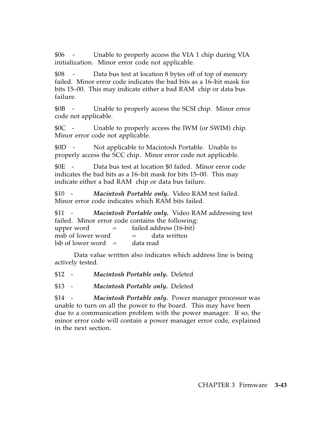\$06 - Unable to properly access the VIA 1 chip during VIA initialization. Minor error code not applicable.

\$08 - Data bus test at location 8 bytes off of top of memory failed. Minor error code indicates the bad bits as a 16–bit mask for bits 15–00. This may indicate either a bad RAM chip or data bus failure.

\$0B - Unable to properly access the SCSI chip. Minor error code not applicable.

\$0C - Unable to properly access the IWM (or SWIM) chip. Minor error code not applicable.

\$0D - Not applicable to Macintosh Portable. Unable to properly access the SCC chip. Minor error code not applicable.

\$0E - Data bus test at location \$0 failed. Minor error code indicates the bad bits as a 16–bit mask for bits 15–00. This may indicate either a bad RAM chip or data bus failure.

\$10 - *Macintosh Portable only.* Video RAM test failed. Minor error code indicates which RAM bits failed.

\$11 - *Macintosh Portable only.* Video RAM addressing test failed. Minor error code contains the following:

| upper word<br>$=$                          |           | failed address (16-bit) |
|--------------------------------------------|-----------|-------------------------|
| msb of lower word                          | $=$ $-$   | data written            |
| $\mathsf{lsb}\$ of lower word $\mathsf{=}$ | data read |                         |

Data value written also indicates which address line is being actively tested.

\$12 - *Macintosh Portable only.* Deleted

\$13 - *Macintosh Portable only.* Deleted

\$14 - *Macintosh Portable only.* Power manager processor was unable to turn on all the power to the board. This may have been due to a communication problem with the power manager. If so, the minor error code will contain a power manager error code, explained in the next section.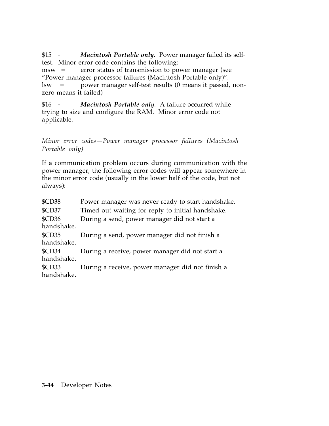\$15 - *Macintosh Portable only.* Power manager failed its selftest. Minor error code contains the following: msw = error status of transmission to power manager (see "Power manager processor failures (Macintosh Portable only)".

lsw = power manager self-test results (0 means it passed, nonzero means it failed)

\$16 - *Macintosh Portable only.* A failure occurred while trying to size and configure the RAM. Minor error code not applicable.

*Minor error codes—Power manager processor failures (Macintosh Portable only)*

If a communication problem occurs during communication with the power manager, the following error codes will appear somewhere in the minor error code (usually in the lower half of the code, but not always):

| <b>\$CD38</b> | Power manager was never ready to start handshake. |
|---------------|---------------------------------------------------|
| \$CD37        | Timed out waiting for reply to initial handshake. |
| \$CD36        | During a send, power manager did not start a      |
| handshake.    |                                                   |
| \$CD35        | During a send, power manager did not finish a     |
| handshake.    |                                                   |
| \$CD34        | During a receive, power manager did not start a   |
| handshake.    |                                                   |
| \$CD33        | During a receive, power manager did not finish a  |
| handshake.    |                                                   |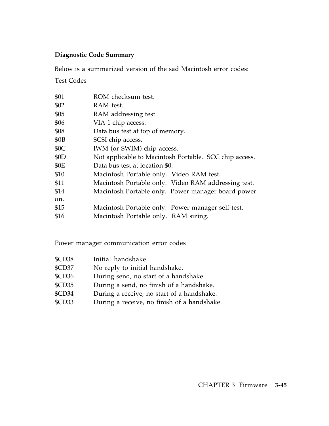# **Diagnostic Code Summary**

Below is a summarized version of the sad Macintosh error codes:

Test Codes

| \$01 | ROM checksum test.                                     |
|------|--------------------------------------------------------|
| \$02 | RAM test.                                              |
| \$05 | RAM addressing test.                                   |
| \$06 | VIA 1 chip access.                                     |
| \$08 | Data bus test at top of memory.                        |
| \$0B | SCSI chip access.                                      |
| \$0C | IWM (or SWIM) chip access.                             |
| \$0D | Not applicable to Macintosh Portable. SCC chip access. |
| \$0E | Data bus test at location \$0.                         |
| \$10 | Macintosh Portable only. Video RAM test.               |
| \$11 | Macintosh Portable only. Video RAM addressing test.    |
| \$14 | Macintosh Portable only. Power manager board power     |
| on.  |                                                        |
| \$15 | Macintosh Portable only. Power manager self-test.      |
| \$16 | Macintosh Portable only. RAM sizing.                   |

Power manager communication error codes

| \$CD38        | Initial handshake.                          |
|---------------|---------------------------------------------|
| <b>\$CD37</b> | No reply to initial handshake.              |
| \$CD36        | During send, no start of a handshake.       |
| \$CD35        | During a send, no finish of a handshake.    |
| <b>\$CD34</b> | During a receive, no start of a handshake.  |
| <b>\$CD33</b> | During a receive, no finish of a handshake. |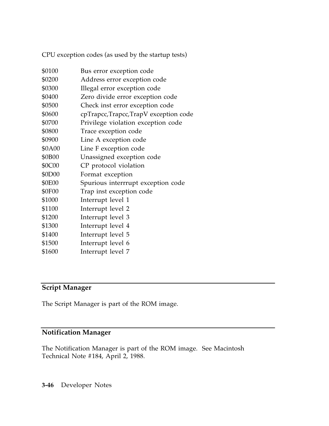CPU exception codes (as used by the startup tests)

| \$0100 | Bus error exception code             |
|--------|--------------------------------------|
| \$0200 | Address error exception code         |
| \$0300 | Illegal error exception code         |
| \$0400 | Zero divide error exception code     |
| \$0500 | Check inst error exception code      |
| \$0600 | cpTrapcc,Trapcc,TrapV exception code |
| \$0700 | Privilege violation exception code   |
| \$0800 | Trace exception code                 |
| \$0900 | Line A exception code                |
| \$0A00 | Line F exception code                |
| \$0B00 | Unassigned exception code            |
| \$0C00 | CP protocol violation                |
| \$0D00 | Format exception                     |
| \$0E00 | Spurious interrrupt exception code   |
| \$0F00 | Trap inst exception code             |
| \$1000 | Interrupt level 1                    |
| \$1100 | Interrupt level 2                    |
| \$1200 | Interrupt level 3                    |
| \$1300 | Interrupt level 4                    |
| \$1400 | Interrupt level 5                    |
| \$1500 | Interrupt level 6                    |
| \$1600 | Interrupt level 7                    |

# **Script Manager**

The Script Manager is part of the ROM image.

# **Notification Manager**

The Notification Manager is part of the ROM image. See Macintosh Technical Note #184, April 2, 1988.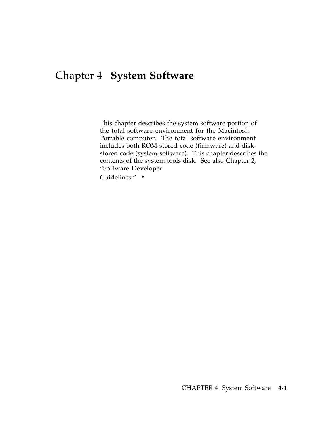# Chapter 4 **System Software**

This chapter describes the system software portion of the total software environment for the Macintosh Portable computer. The total software environment includes both ROM-stored code (firmware) and diskstored code (system software). This chapter describes the contents of the system tools disk. See also Chapter 2, "Software Developer

Guidelines." •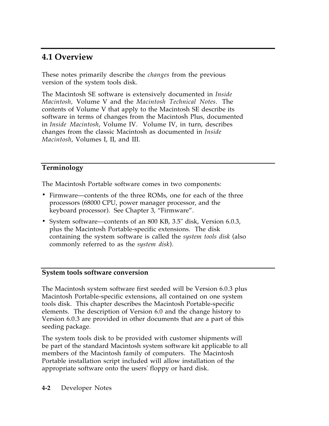# **4.1 Overview**

These notes primarily describe the *changes* from the previous version of the system tools disk.

The Macintosh SE software is extensively documented in *Inside Macintosh,* Volume V and the *Macintosh Technical Notes*. The contents of Volume V that apply to the Macintosh SE describe its software in terms of changes from the Macintosh Plus, documented in *Inside Macintosh*, Volume IV. Volume IV, in turn, describes changes from the classic Macintosh as documented in *Inside Macintosh*, Volumes I, II, and III.

# **Terminology**

The Macintosh Portable software comes in two components:

- Firmware—contents of the three ROMs, one for each of the three processors (68000 CPU, power manager processor, and the keyboard processor). See Chapter 3, "Firmware".
- System software—contents of an 800 KB, 3.5" disk, Version 6.0.3, plus the Macintosh Portable-specific extensions. The disk containing the system software is called the *system tools disk* (also commonly referred to as the *system disk*).

### **System tools software conversion**

The Macintosh system software first seeded will be Version 6.0.3 plus Macintosh Portable-specific extensions, all contained on one system tools disk. This chapter describes the Macintosh Portable-specific elements. The description of Version 6.0 and the change history to Version 6.0.3 are provided in other documents that are a part of this seeding package.

The system tools disk to be provided with customer shipments will be part of the standard Macintosh system software kit applicable to all members of the Macintosh family of computers. The Macintosh Portable installation script included will allow installation of the appropriate software onto the users' floppy or hard disk.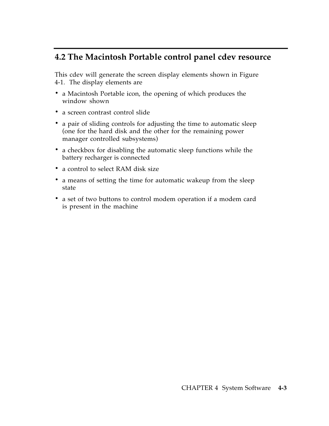# **4.2 The Macintosh Portable control panel cdev resource**

This cdev will generate the screen display elements shown in Figure 4-1. The display elements are

- a Macintosh Portable icon, the opening of which produces the window shown
- a screen contrast control slide
- a pair of sliding controls for adjusting the time to automatic sleep (one for the hard disk and the other for the remaining power manager controlled subsystems)
- a checkbox for disabling the automatic sleep functions while the battery recharger is connected
- a control to select RAM disk size
- a means of setting the time for automatic wakeup from the sleep state
- a set of two buttons to control modem operation if a modem card is present in the machine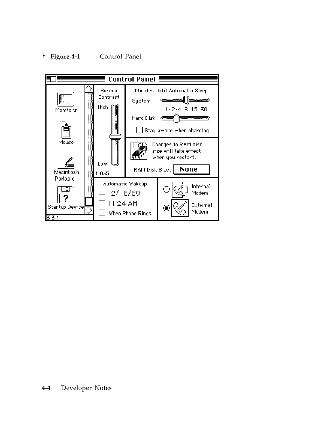### • **Figure 4-1** Control Panel

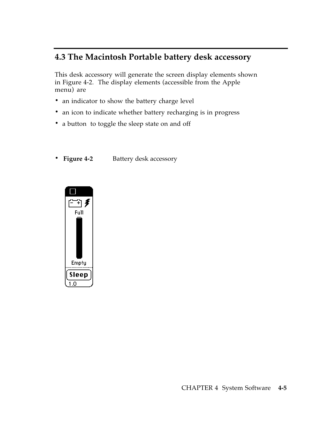# **4.3 The Macintosh Portable battery desk accessory**

This desk accessory will generate the screen display elements shown in Figure 4-2. The display elements (accessible from the Apple menu) are

- an indicator to show the battery charge level
- an icon to indicate whether battery recharging is in progress
- a button to toggle the sleep state on and off
- **Figure 4-2** Battery desk accessory

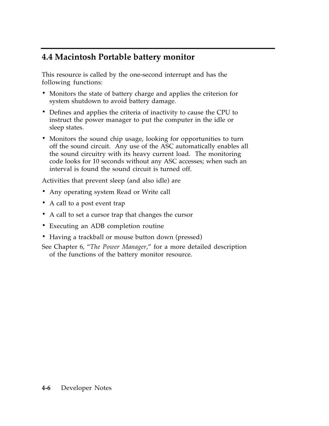# **4.4 Macintosh Portable battery monitor**

This resource is called by the one-second interrupt and has the following functions:

- Monitors the state of battery charge and applies the criterion for system shutdown to avoid battery damage.
- Defines and applies the criteria of inactivity to cause the CPU to instruct the power manager to put the computer in the idle or sleep states.
- Monitors the sound chip usage, looking for opportunities to turn off the sound circuit. Any use of the ASC automatically enables all the sound circuitry with its heavy current load. The monitoring code looks for 10 seconds without any ASC accesses; when such an interval is found the sound circuit is turned off.

Activities that prevent sleep (and also idle) are

- Any operating system Read or Write call
- A call to a post event trap
- A call to set a cursor trap that changes the cursor
- Executing an ADB completion routine
- Having a trackball or mouse button down (pressed)
- See Chapter 6, "*The Power Manager*," for a more detailed description of the functions of the battery monitor resource.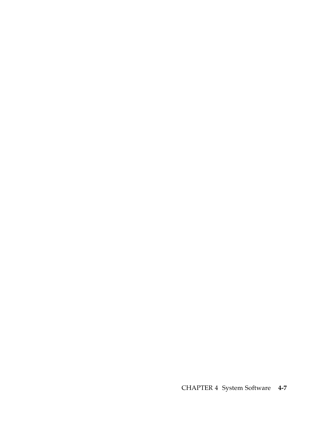CHAPTER 4 System Software **4-7**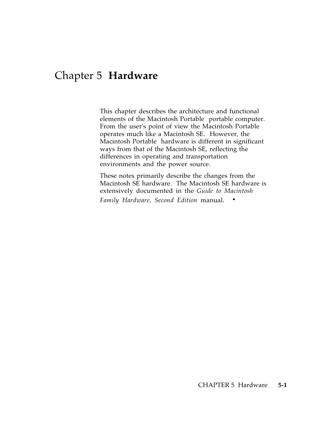# Chapter 5 **Hardware**

This chapter describes the architecture and functional elements of the Macintosh Portable portable computer. From the user's point of view the Macintosh Portable operates much like a Macintosh SE. However, the Macintosh Portable hardware is different in significant ways from that of the Macintosh SE, reflecting the differences in operating and transportation environments and the power source.

These notes primarily describe the changes from the Macintosh SE hardware. The Macintosh SE hardware is extensively documented in the *Guide to Macintosh Family Hardware, Second Edition* manual. •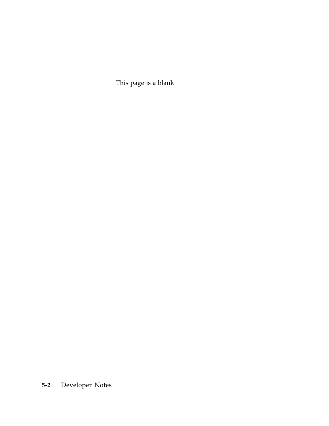This page is a blank

# **5-2** Developer Notes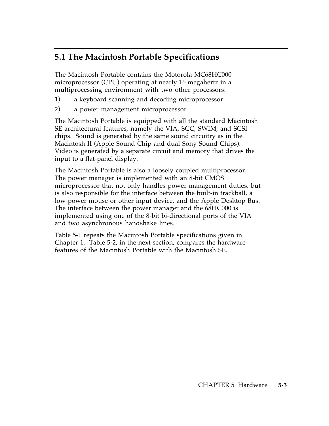# **5.1 The Macintosh Portable Specifications**

The Macintosh Portable contains the Motorola MC68HC000 microprocessor (CPU) operating at nearly 16 megahertz in a multiprocessing environment with two other processors:

- 1) a keyboard scanning and decoding microprocessor
- 2) a power management microprocessor

The Macintosh Portable is equipped with all the standard Macintosh SE architectural features, namely the VIA, SCC, SWIM, and SCSI chips. Sound is generated by the same sound circuitry as in the Macintosh II (Apple Sound Chip and dual Sony Sound Chips). Video is generated by a separate circuit and memory that drives the input to a flat-panel display.

The Macintosh Portable is also a loosely coupled multiprocessor. The power manager is implemented with an 8-bit CMOS microprocessor that not only handles power management duties, but is also responsible for the interface between the built-in trackball, a low-power mouse or other input device, and the Apple Desktop Bus. The interface between the power manager and the 68HC000 is implemented using one of the 8-bit bi-directional ports of the VIA and two asynchronous handshake lines.

Table 5-1 repeats the Macintosh Portable specifications given in Chapter 1. Table 5-2, in the next section, compares the hardware features of the Macintosh Portable with the Macintosh SE.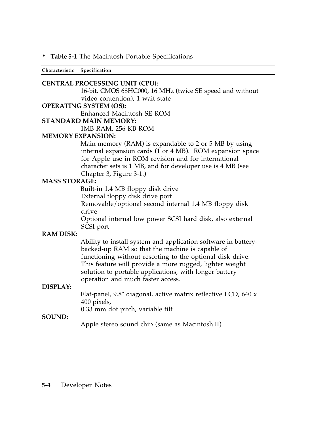• **Table 5-1** The Macintosh Portable Specifications

**Characteristic Specification**

#### **CENTRAL PROCESSING UNIT (CPU):**

16-bit, CMOS 68HC000, 16 MHz (twice SE speed and without video contention), 1 wait state

#### **OPERATING SYSTEM (OS):**

Enhanced Macintosh SE ROM

### **STANDARD MAIN MEMORY:**

1MB RAM, 256 KB ROM

#### **MEMORY EXPANSION:**

Main memory (RAM) is expandable to 2 or 5 MB by using internal expansion cards (1 or 4 MB). ROM expansion space for Apple use in ROM revision and for international character sets is 1 MB, and for developer use is 4 MB (see Chapter 3, Figure 3-1.)

#### **MASS STORAGE:**

Built-in 1.4 MB floppy disk drive

External floppy disk drive port

Removable/optional second internal 1.4 MB floppy disk drive

Optional internal low power SCSI hard disk, also external SCSI port

#### **RAM DISK:**

Ability to install system and application software in batterybacked-up RAM so that the machine is capable of functioning without resorting to the optional disk drive. This feature will provide a more rugged, lighter weight solution to portable applications, with longer battery operation and much faster access.

#### **DISPLAY:**

Flat-panel, 9.8" diagonal, active matrix reflective LCD, 640 x 400 pixels,

0.33 mm dot pitch, variable tilt

#### **SOUND:**

Apple stereo sound chip (same as Macintosh II)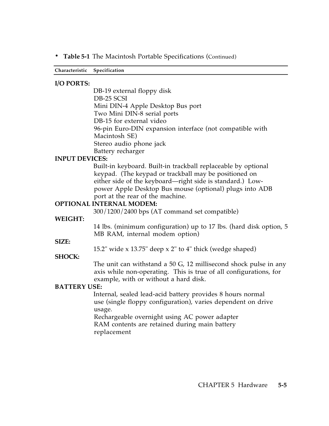• **Table 5-1** The Macintosh Portable Specifications (Continued)

#### **Characteristic Specification**

#### **I/O PORTS:**

DB-19 external floppy disk DB-25 SCSI Mini DIN-4 Apple Desktop Bus port Two Mini DIN-8 serial ports DB-15 for external video 96-pin Euro-DIN expansion interface (not compatible with Macintosh SE) Stereo audio phone jack Battery recharger

#### **INPUT DEVICES:**

Built-in keyboard. Built-in trackball replaceable by optional keypad. (The keypad or trackball may be positioned on either side of the keyboard—right side is standard.) Lowpower Apple Desktop Bus mouse (optional) plugs into ADB port at the rear of the machine.

### **OPTIONAL INTERNAL MODEM:**

300/1200/2400 bps (AT command set compatible)

#### **WEIGHT:**

14 lbs. (minimum configuration) up to 17 lbs. (hard disk option, 5 MB RAM, internal modem option)

#### **SIZE:**

15.2" wide x 13.75" deep x 2" to 4" thick (wedge shaped)

### **SHOCK:**

The unit can withstand a 50 G, 12 millisecond shock pulse in any axis while non-operating. This is true of all configurations, for example, with or without a hard disk.

### **BATTERY USE:**

Internal, sealed lead-acid battery provides 8 hours normal use (single floppy configuration), varies dependent on drive usage.

Rechargeable overnight using AC power adapter RAM contents are retained during main battery replacement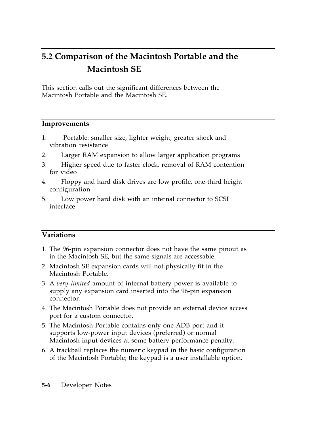# **5.2 Comparison of the Macintosh Portable and the Macintosh SE**

This section calls out the significant differences between the Macintosh Portable and the Macintosh SE.

### **Improvements**

- 1. Portable: smaller size, lighter weight, greater shock and vibration resistance
- 2. Larger RAM expansion to allow larger application programs
- 3. Higher speed due to faster clock, removal of RAM contention for video
- 4. Floppy and hard disk drives are low profile, one-third height configuration
- 5. Low power hard disk with an internal connector to SCSI interface

### **Variations**

- 1. The 96-pin expansion connector does not have the same pinout as in the Macintosh SE, but the same signals are accessable.
- 2. Macintosh SE expansion cards will not physically fit in the Macintosh Portable.
- 3. A *very limited* amount of internal battery power is available to supply any expansion card inserted into the 96-pin expansion connector.
- 4. The Macintosh Portable does not provide an external device access port for a custom connector.
- 5. The Macintosh Portable contains only one ADB port and it supports low-power input devices (preferred) or normal Macintosh input devices at some battery performance penalty.
- 6. A trackball replaces the numeric keypad in the basic configuration of the Macintosh Portable; the keypad is a user installable option.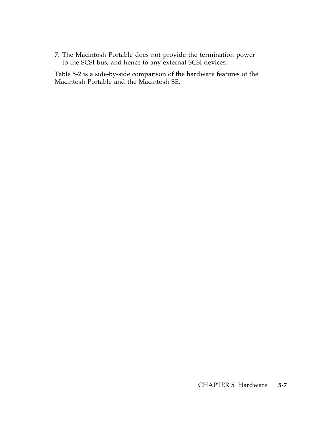7. The Macintosh Portable does not provide the termination power to the SCSI bus, and hence to any external SCSI devices.

Table 5-2 is a side-by-side comparison of the hardware features of the Macintosh Portable and the Macintosh SE.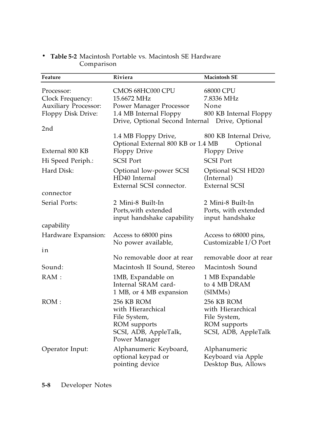| Feature                     | Riviera                                           | <b>Macintosh SE</b>                |
|-----------------------------|---------------------------------------------------|------------------------------------|
| Processor:                  | CMOS 68HC000 CPU                                  | 68000 CPU                          |
| Clock Frequency:            | 15.6672 MHz                                       | 7.8336 MHz                         |
| <b>Auxiliary Processor:</b> |                                                   | None                               |
|                             | Power Manager Processor<br>1.4 MB Internal Floppy |                                    |
| Floppy Disk Drive:          | Drive, Optional Second Internal Drive, Optional   | 800 KB Internal Floppy             |
| 2 <sub>nd</sub>             |                                                   |                                    |
|                             | 1.4 MB Floppy Drive,                              | 800 KB Internal Drive,             |
|                             | Optional External 800 KB or 1.4 MB                | Optional                           |
| External 800 KB             | <b>Floppy Drive</b>                               | <b>Floppy Drive</b>                |
| Hi Speed Periph.:           | <b>SCSI Port</b>                                  | <b>SCSI Port</b>                   |
| Hard Disk:                  |                                                   |                                    |
|                             | Optional low-power SCSI<br>HD40 Internal          | Optional SCSI HD20                 |
|                             | External SCSI connector.                          | (Internal)<br><b>External SCSI</b> |
| connector                   |                                                   |                                    |
|                             |                                                   |                                    |
| <b>Serial Ports:</b>        | 2 Mini-8 Built-In                                 | 2 Mini-8 Built-In                  |
|                             | Ports, with extended                              | Ports, with extended               |
|                             | input handshake capability                        | input handshake                    |
| capability                  |                                                   |                                    |
| Hardware Expansion:         | Access to 68000 pins                              | Access to 68000 pins,              |
|                             | No power available,                               | Customizable I/O Port              |
| in                          |                                                   |                                    |
|                             | No removable door at rear                         | removable door at rear             |
| Sound:                      | Macintosh II Sound, Stereo                        | Macintosh Sound                    |
| RAM:                        | 1MB, Expandable on                                | 1 MB Expandable                    |
|                             | Internal SRAM card-                               | to 4 MB DRAM                       |
|                             | 1 MB, or 4 MB expansion                           | (SIMMs)                            |
| ROM:                        | <b>256 KB ROM</b>                                 | 256 KB ROM                         |
|                             | with Hierarchical                                 | with Hierarchical                  |
|                             | File System,                                      | File System,                       |
|                             | ROM supports                                      | ROM supports                       |
|                             | SCSI, ADB, AppleTalk,                             | SCSI, ADB, AppleTalk               |
|                             | Power Manager                                     |                                    |
|                             | Alphanumeric Keyboard,                            |                                    |
| Operator Input:             | optional keypad or                                | Alphanumeric                       |
|                             |                                                   | Keyboard via Apple                 |
|                             | pointing device                                   | Desktop Bus, Allows                |

# • **Table 5-2** Macintosh Portable vs. Macintosh SE Hardware Comparison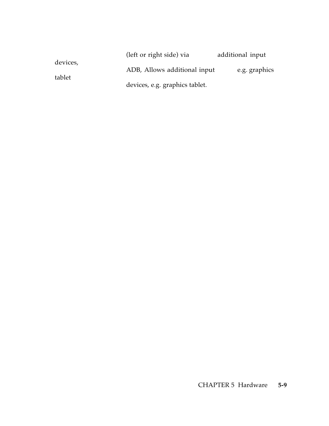| devices, | (left or right side) via       | additional input |
|----------|--------------------------------|------------------|
|          | ADB, Allows additional input   | e.g. graphics    |
| tablet   | devices, e.g. graphics tablet. |                  |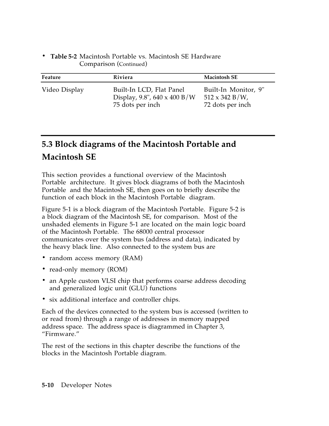• **Table 5-2** Macintosh Portable vs. Macintosh SE Hardware Comparison (Continued)

| Feature       | Riviera                                                                      | <b>Macintosh SE</b>                                        |
|---------------|------------------------------------------------------------------------------|------------------------------------------------------------|
| Video Display | Built-In LCD, Flat Panel<br>Display, 9.8", 640 x 400 B/W<br>75 dots per inch | Built-In Monitor, 9"<br>512 x 342 B/W,<br>72 dots per inch |

# **5.3 Block diagrams of the Macintosh Portable and Macintosh SE**

This section provides a functional overview of the Macintosh Portable architecture. It gives block diagrams of both the Macintosh Portable and the Macintosh SE, then goes on to briefly describe the function of each block in the Macintosh Portable diagram.

Figure 5-1 is a block diagram of the Macintosh Portable. Figure 5-2 is a block diagram of the Macintosh SE, for comparison. Most of the unshaded elements in Figure 5-1 are located on the main logic board of the Macintosh Portable. The 68000 central processor communicates over the system bus (address and data), indicated by the heavy black line. Also connected to the system bus are

- random access memory (RAM)
- read-only memory (ROM)
- an Apple custom VLSI chip that performs coarse address decoding and generalized logic unit (GLU) functions
- six additional interface and controller chips.

Each of the devices connected to the system bus is accessed (written to or read from) through a range of addresses in memory mapped address space. The address space is diagrammed in Chapter 3, "Firmware."

The rest of the sections in this chapter describe the functions of the blocks in the Macintosh Portable diagram.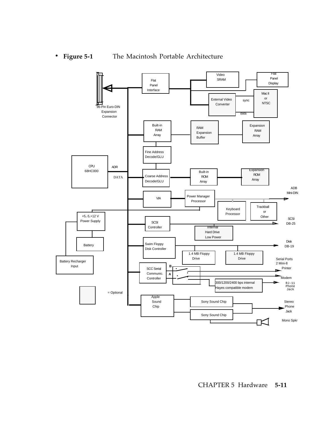

### • **Figure 5-1** The Macintosh Portable Architecture

CHAPTER 5 Hardware **5-11**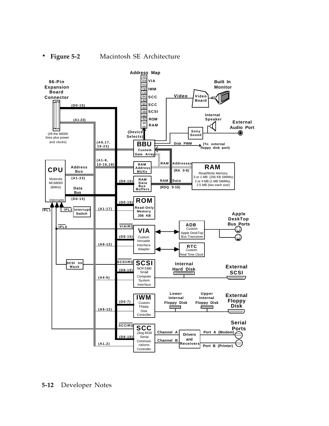

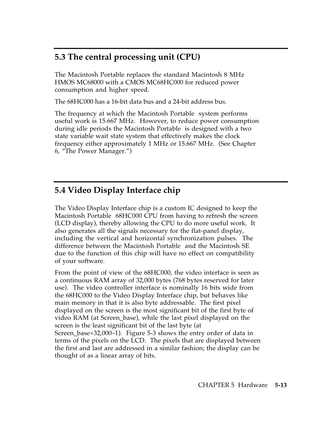# **5.3 The central processing unit (CPU)**

The Macintosh Portable replaces the standard Macintosh 8 MHz HMOS MC68000 with a CMOS MC68HC000 for reduced power consumption and higher speed.

The 68HC000 has a 16-bit data bus and a 24-bit address bus.

The frequency at which the Macintosh Portable system performs useful work is 15.667 MHz. However, to reduce power consumption during idle periods the Macintosh Portable is designed with a two state variable wait state system that effectively makes the clock frequency either approximately 1 MHz or 15.667 MHz. (See Chapter 6, "The Power Manager.")

# **5.4 Video Display Interface chip**

The Video Display Interface chip is a custom IC designed to keep the Macintosh Portable 68HC000 CPU from having to refresh the screen (LCD display), thereby allowing the CPU to do more useful work. It also generates all the signals necessary for the flat-panel display, including the vertical and horizontal synchronization pulses. The difference between the Macintosh Portable and the Macintosh SE due to the function of this chip will have no effect on compatibility of your software.

From the point of view of the 68HC000, the video interface is seen as a continuous RAM array of 32,000 bytes (768 bytes reserved for later use). The video controller interface is nominally 16 bits wide from the 68HC000 to the Video Display Interface chip, but behaves like main memory in that it is also byte addressable. The first pixel displayed on the screen is the most significant bit of the first byte of video RAM (at Screen\_base), while the last pixel displayed on the screen is the least significant bit of the last byte (at Screen\_base+32,000–1). Figure 5-3 shows the entry order of data in terms of the pixels on the LCD. The pixels that are displayed between the first and last are addressed in a similar fashion; the display can be thought of as a linear array of bits.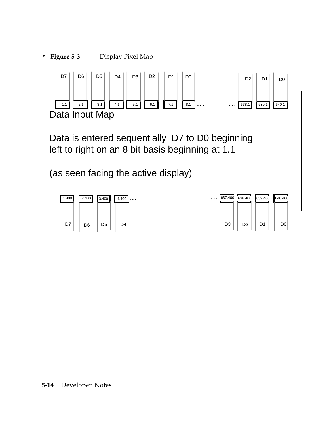### • **Figure 5-3** Display Pixel Map

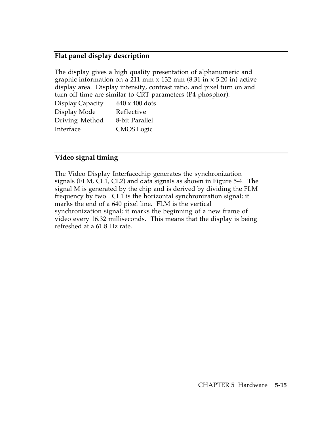### **Flat panel display description**

The display gives a high quality presentation of alphanumeric and graphic information on a 211 mm x 132 mm (8.31 in x 5.20 in) active display area. Display intensity, contrast ratio, and pixel turn on and turn off time are similar to CRT parameters (P4 phosphor).

| Display Capacity | $640 \times 400$ dots |
|------------------|-----------------------|
| Display Mode     | Reflective            |
| Driving Method   | 8-bit Parallel        |
| Interface        | <b>CMOS</b> Logic     |

### **Video signal timing**

The Video Display Interfacechip generates the synchronization signals (FLM, CL1, CL2) and data signals as shown in Figure 5-4. The signal M is generated by the chip and is derived by dividing the FLM frequency by two. CL1 is the horizontal synchronization signal; it marks the end of a 640 pixel line. FLM is the vertical synchronization signal; it marks the beginning of a new frame of video every 16.32 milliseconds. This means that the display is being refreshed at a 61.8 Hz rate.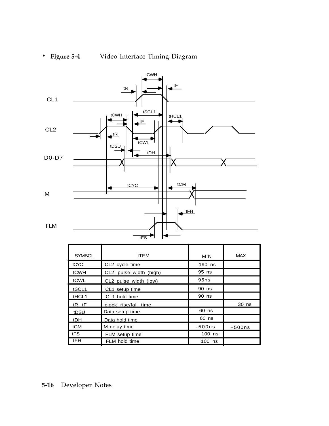

# • **Figure 5-4** Video Interface Timing Diagram

| <b>SYMBOL</b> | <b>ITEM</b>            | <b>MIN</b>       | <b>MAX</b> |
|---------------|------------------------|------------------|------------|
| tCYC          | CL2 cycle time         | 190 ns           |            |
| tCWH          | CL2 pulse width (high) | 95 ns            |            |
| tCWL          | CL2 pulse width (low)  | 95 <sub>ns</sub> |            |
| tSCL1         | CL1 setup time         | 90 ns            |            |
| tHCL1         | CL1 hold time          | 90 ns            |            |
| tR, tF        | clock rise/fall time   |                  | 30 ns      |
| tDSU          | Data setup time        | 60 ns            |            |
| tDH           | Data hold time         | 60 ns            |            |
| tCM           | M delay time           | $-500ns$         | $+500ns$   |
| tFS           | FLM setup time         | $100$ ns         |            |
| tFH           | FLM hold time          | 100 ns           |            |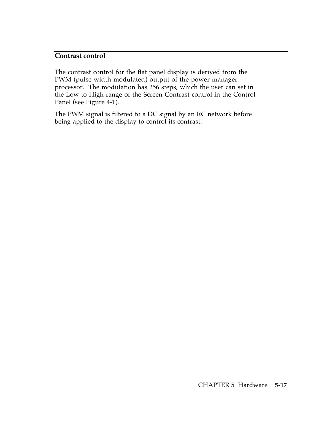### **Contrast control**

The contrast control for the flat panel display is derived from the PWM (pulse width modulated) output of the power manager processor. The modulation has 256 steps, which the user can set in the Low to High range of the Screen Contrast control in the Control Panel (see Figure 4-1).

The PWM signal is filtered to a DC signal by an RC network before being applied to the display to control its contrast.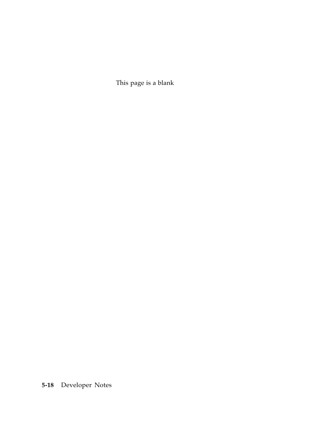This page is a blank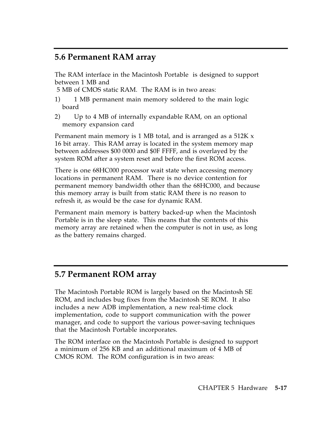# **5.6 Permanent RAM array**

The RAM interface in the Macintosh Portable is designed to support between 1 MB and

5 MB of CMOS static RAM. The RAM is in two areas:

- 1) 1 MB permanent main memory soldered to the main logic board
- 2) Up to 4 MB of internally expandable RAM, on an optional memory expansion card

Permanent main memory is 1 MB total, and is arranged as a 512K x 16 bit array. This RAM array is located in the system memory map between addresses \$00 0000 and \$0F FFFF, and is overlayed by the system ROM after a system reset and before the first ROM access.

There is one 68HC000 processor wait state when accessing memory locations in permanent RAM. There is no device contention for permanent memory bandwidth other than the 68HC000, and because this memory array is built from static RAM there is no reason to refresh it, as would be the case for dynamic RAM.

Permanent main memory is battery backed-up when the Macintosh Portable is in the sleep state. This means that the contents of this memory array are retained when the computer is not in use, as long as the battery remains charged.

# **5.7 Permanent ROM array**

The Macintosh Portable ROM is largely based on the Macintosh SE ROM, and includes bug fixes from the Macintosh SE ROM. It also includes a new ADB implementation, a new real-time clock implementation, code to support communication with the power manager, and code to support the various power-saving techniques that the Macintosh Portable incorporates.

The ROM interface on the Macintosh Portable is designed to support a minimum of 256 KB and an additional maximum of 4 MB of CMOS ROM. The ROM configuration is in two areas: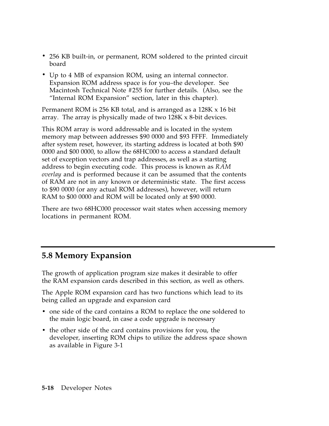- 256 KB built-in, or permanent, ROM soldered to the printed circuit board
- Up to 4 MB of expansion ROM, using an internal connector. Expansion ROM address space is for you–the developer. See Macintosh Technical Note #255 for further details. (Also, see the "Internal ROM Expansion" section, later in this chapter).

Permanent ROM is 256 KB total, and is arranged as a 128K x 16 bit array. The array is physically made of two 128K x 8-bit devices.

This ROM array is word addressable and is located in the system memory map between addresses \$90 0000 and \$93 FFFF. Immediately after system reset, however, its starting address is located at both \$90 0000 and \$00 0000, to allow the 68HC000 to access a standard default set of exception vectors and trap addresses, as well as a starting address to begin executing code. This process is known as *RAM overlay* and is performed because it can be assumed that the contents of RAM are not in any known or deterministic state. The first access to \$90 0000 (or any actual ROM addresses), however, will return RAM to \$00 0000 and ROM will be located only at \$90 0000.

There are two 68HC000 processor wait states when accessing memory locations in permanent ROM.

# **5.8 Memory Expansion**

The growth of application program size makes it desirable to offer the RAM expansion cards described in this section, as well as others.

The Apple ROM expansion card has two functions which lead to its being called an upgrade and expansion card

- one side of the card contains a ROM to replace the one soldered to the main logic board, in case a code upgrade is necessary
- the other side of the card contains provisions for you, the developer, inserting ROM chips to utilize the address space shown as available in Figure 3-1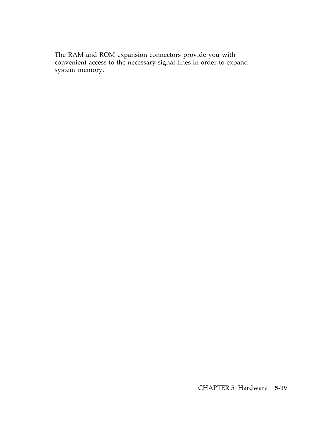The RAM and ROM expansion connectors provide you with convenient access to the necessary signal lines in order to expand system memory.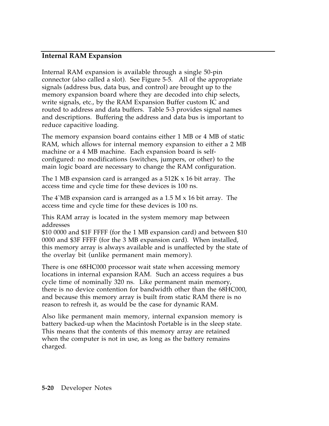### **Internal RAM Expansion**

Internal RAM expansion is available through a single 50-pin connector (also called a slot). See Figure 5-5. All of the appropriate signals (address bus, data bus, and control) are brought up to the memory expansion board where they are decoded into chip selects, write signals, etc., by the RAM Expansion Buffer custom IC and routed to address and data buffers. Table 5-3 provides signal names and descriptions. Buffering the address and data bus is important to reduce capacitive loading.

The memory expansion board contains either 1 MB or 4 MB of static RAM, which allows for internal memory expansion to either a 2 MB machine or a 4 MB machine. Each expansion board is selfconfigured: no modifications (switches, jumpers, or other) to the main logic board are necessary to change the RAM configuration.

The 1 MB expansion card is arranged as a 512K x 16 bit array. The access time and cycle time for these devices is 100 ns.

The 4`MB expansion card is arranged as a 1.5 M x 16 bit array. The access time and cycle time for these devices is 100 ns.

This RAM array is located in the system memory map between addresses

\$10 0000 and \$1F FFFF (for the 1 MB expansion card) and between \$10 0000 and \$3F FFFF (for the 3 MB expansion card). When installed, this memory array is always available and is unaffected by the state of the overlay bit (unlike permanent main memory).

There is one 68HC000 processor wait state when accessing memory locations in internal expansion RAM. Such an access requires a bus cycle time of nominally 320 ns. Like permanent main memory, there is no device contention for bandwidth other than the 68HC000, and because this memory array is built from static RAM there is no reason to refresh it, as would be the case for dynamic RAM.

Also like permanent main memory, internal expansion memory is battery backed-up when the Macintosh Portable is in the sleep state. This means that the contents of this memory array are retained when the computer is not in use, as long as the battery remains charged.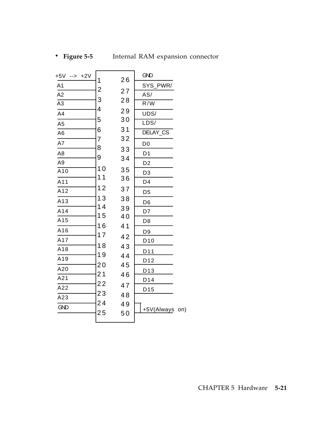| $+5V$<br>$\rightarrow +2V$ | 1        | 26 | GND               |
|----------------------------|----------|----|-------------------|
| A <sub>1</sub>             | 2        |    | SYS PWR/          |
| A2                         |          | 27 | AS/               |
| A3                         | 3        | 28 | R/W               |
| A4                         | 4        | 29 | UDS/              |
| A <sub>5</sub>             | 5        | 30 | LDS/              |
| A <sub>6</sub>             | 6        | 31 | DELAY_CS          |
| A7                         | 7        | 32 | D <sub>0</sub>    |
| A <sub>8</sub>             | 8        | 33 | D <sub>1</sub>    |
| A <sub>9</sub>             | 9        | 34 | D <sub>2</sub>    |
| A10                        | 10       | 35 | D <sub>3</sub>    |
| A11                        | 11       | 36 | D <sub>4</sub>    |
| A12                        | 12       | 37 | D <sub>5</sub>    |
| A13                        | 13       | 38 | D <sub>6</sub>    |
| A14                        | 14<br>15 | 39 | D7                |
| A15                        |          | 40 | D8                |
| A16                        | 16<br>17 | 41 | D <sub>9</sub>    |
| A17                        |          | 42 | D10               |
| A18                        | 18       | 43 | D11               |
| A19                        | 19       | 44 | D12               |
| A20                        | 20       | 45 | D <sub>13</sub>   |
| A21                        | 21       | 46 | D14               |
| A22                        | 22       | 47 | D <sub>15</sub>   |
| A23                        | 23       | 48 |                   |
| <b>GND</b>                 | 24       | 49 | +5V(Always<br>on) |
|                            | 25       | 50 |                   |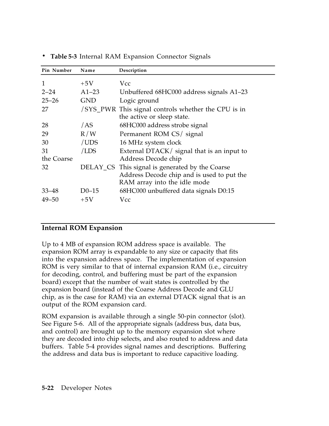| Pin Number       | Name       | Description                                                                                                                   |
|------------------|------------|-------------------------------------------------------------------------------------------------------------------------------|
| 1                | $+5V$      | <b>Vcc</b>                                                                                                                    |
| $2 - 24$         | $A1-23$    | Unbuffered 68HC000 address signals A1-23                                                                                      |
| $25 - 26$        | <b>GND</b> | Logic ground                                                                                                                  |
| 27               |            | /SYS_PWR This signal controls whether the CPU is in<br>the active or sleep state.                                             |
| 28               | /AS        | 68HC000 address strobe signal                                                                                                 |
| 29               | R/W        | Permanent ROM CS/ signal                                                                                                      |
| 30               | /UDS       | 16 MHz system clock                                                                                                           |
| 31<br>the Coarse | /LDS       | External DTACK/ signal that is an input to<br>Address Decode chip                                                             |
| 32               |            | DELAY_CS This signal is generated by the Coarse<br>Address Decode chip and is used to put the<br>RAM array into the idle mode |
| $33 - 48$        | $D0-15$    | 68HC000 unbuffered data signals D0:15                                                                                         |
| $49 - 50$        | $+5V$      | Vcc                                                                                                                           |

### • **Table 5-3** Internal RAM Expansion Connector Signals

### **Internal ROM Expansion**

Up to 4 MB of expansion ROM address space is available. The expansion ROM array is expandable to any size or capacity that fits into the expansion address space. The implementation of expansion ROM is very similar to that of internal expansion RAM (i.e., circuitry for decoding, control, and buffering must be part of the expansion board) except that the number of wait states is controlled by the expansion board (instead of the Coarse Address Decode and GLU chip, as is the case for RAM) via an external DTACK signal that is an output of the ROM expansion card.

ROM expansion is available through a single 50-pin connector (slot). See Figure 5-6. All of the appropriate signals (address bus, data bus, and control) are brought up to the memory expansion slot where they are decoded into chip selects, and also routed to address and data buffers. Table 5-4 provides signal names and descriptions. Buffering the address and data bus is important to reduce capacitive loading.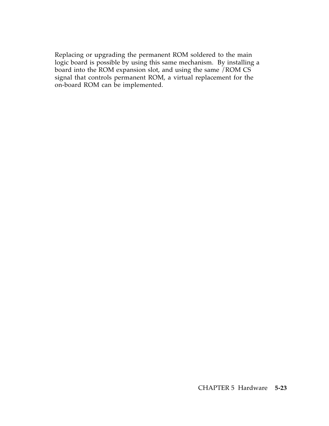Replacing or upgrading the permanent ROM soldered to the main logic board is possible by using this same mechanism. By installing a board into the ROM expansion slot, and using the same /ROM CS signal that controls permanent ROM, a virtual replacement for the on-board ROM can be implemented.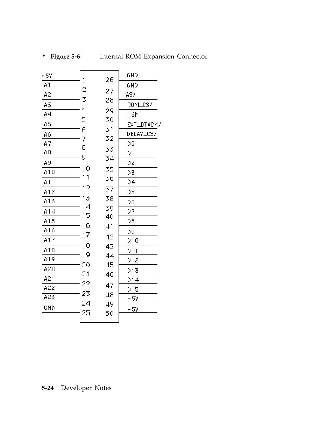| + 5Y | 1        | 26       | GND        |
|------|----------|----------|------------|
| A1   |          |          | GND        |
| A2   | 2        | 27       | AS7        |
| A3   | 3<br>4   | 28       | ROM_CS/    |
| A4   |          | 29       | 16M        |
| A5   | 5        | 30       | EXT_DTACK/ |
| A6   | 6<br>7   | 31<br>32 | DELAY_CS/  |
| A7   | 8        |          | DO         |
| A8   | 9        | 33       | D1         |
| A9   |          | 34       | D2         |
| A10  | 10<br>11 | 35       | D3         |
| A11  |          | 36       | D4         |
| A12  | 12       | 37       | D5         |
| A13  | 13       | 38       | D6         |
| A14  | 14<br>15 | 39       | D7         |
| A15  | 16       | 40       | D8         |
| A16  | 17       | 41       | D9         |
| A17  |          | 42       | D10        |
| A18  | 18<br>19 | 43       | D11        |
| A19  |          | 44       | D12        |
| A20  | 20<br>21 | 45       | D13        |
| A21  | 22       | 46       | D14        |
| A22  | 23       | 47       | D15        |
| A23  | 24       | 48       | +5Y        |
| GND  | 25       | 49<br>50 | + 5Y       |
|      |          |          |            |
|      |          |          |            |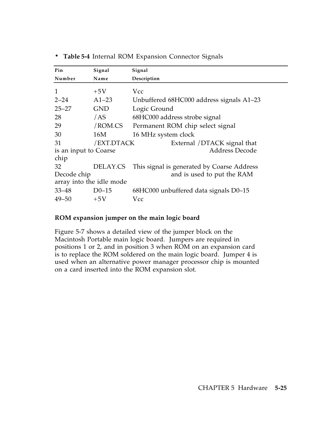| Pin                           | Signal     | Signal                                                                   |
|-------------------------------|------------|--------------------------------------------------------------------------|
| Number                        | Name       | Description                                                              |
| 1                             | $+5V$      | <b>Vcc</b>                                                               |
| $2 - 24$                      | $A1-23$    | Unbuffered 68HC000 address signals A1-23                                 |
| $25 - 27$                     | <b>GND</b> | Logic Ground                                                             |
| 28                            | /AS        | 68HC000 address strobe signal                                            |
| 29                            | /ROM.CS    | Permanent ROM chip select signal                                         |
| 30                            | 16M        | 16 MHz system clock                                                      |
| 31                            | /EXT.DTACK | External / DTACK signal that                                             |
| is an input to Coarse<br>chip |            | <b>Address Decode</b>                                                    |
| 32<br>Decode chip             | DELAY.CS   | This signal is generated by Coarse Address<br>and is used to put the RAM |
| array into the idle mode      |            |                                                                          |
| $33 - 48$<br>$49 - 50$        | $D0-15$    | 68HC000 unbuffered data signals D0-15                                    |
|                               | $+5V$      | Vcc                                                                      |

#### • **Table 5-4** Internal ROM Expansion Connector Signals

#### **ROM expansion jumper on the main logic board**

Figure 5-7 shows a detailed view of the jumper block on the Macintosh Portable main logic board. Jumpers are required in positions 1 or 2, and in position 3 when ROM on an expansion card is to replace the ROM soldered on the main logic board. Jumper 4 is used when an alternative power manager processor chip is mounted on a card inserted into the ROM expansion slot.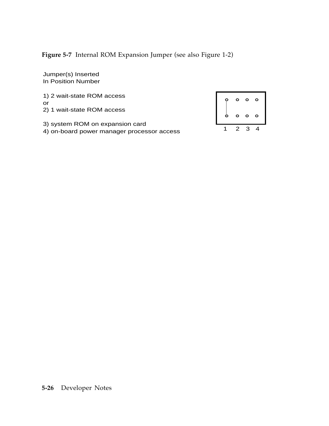**Figure 5-7** Internal ROM Expansion Jumper (see also Figure 1-2)

Jumper(s) Inserted In Position Number

1) 2 wait-state ROM access or 2) 1 wait-state ROM access

3) system ROM on expansion card

4) on-board power manager processor access 1 2 3 4

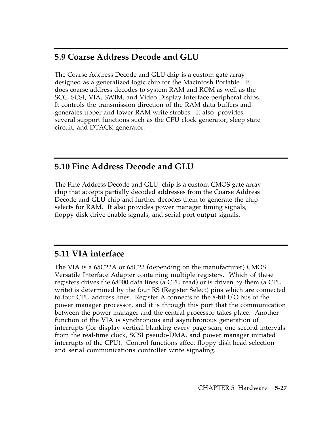# **5.9 Coarse Address Decode and GLU**

The Coarse Address Decode and GLU chip is a custom gate array designed as a generalized logic chip for the Macintosh Portable. It does coarse address decodes to system RAM and ROM as well as the SCC, SCSI, VIA, SWIM, and Video Display Interface peripheral chips. It controls the transmission direction of the RAM data buffers and generates upper and lower RAM write strobes. It also provides several support functions such as the CPU clock generator, sleep state circuit, and DTACK generator.

### **5.10 Fine Address Decode and GLU**

The Fine Address Decode and GLU chip is a custom CMOS gate array chip that accepts partially decoded addresses from the Coarse Address Decode and GLU chip and further decodes them to generate the chip selects for RAM. It also provides power manager timing signals, floppy disk drive enable signals, and serial port output signals.

### **5.11 VIA interface**

The VIA is a 65C22A or 65C23 (depending on the manufacturer) CMOS Versatile Interface Adapter containing multiple registers. Which of these registers drives the 68000 data lines (a CPU read) or is driven by them (a CPU write) is determined by the four RS (Register Select) pins which are connected to four CPU address lines. Register A connects to the 8-bit  $I/O$  bus of the power manager processor, and it is through this port that the communication between the power manager and the central processor takes place. Another function of the VIA is synchronous and asynchronous generation of interrupts (for display vertical blanking every page scan, one-second intervals from the real-time clock, SCSI pseudo-DMA, and power manager initiated interrupts of the CPU). Control functions affect floppy disk head selection and serial communications controller write signaling.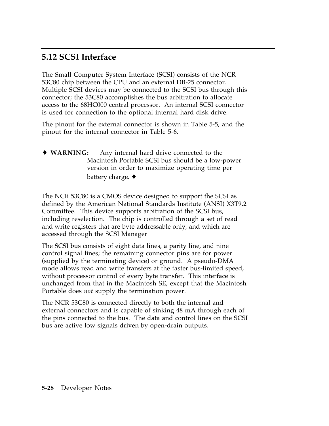# **5.12 SCSI Interface**

The Small Computer System Interface (SCSI) consists of the NCR 53C80 chip between the CPU and an external DB-25 connector. Multiple SCSI devices may be connected to the SCSI bus through this connector; the 53C80 accomplishes the bus arbitration to allocate access to the 68HC000 central processor. An internal SCSI connector is used for connection to the optional internal hard disk drive.

The pinout for the external connector is shown in Table 5-5, and the pinout for the internal connector in Table 5-6.

♦ **WARNING:** Any internal hard drive connected to the Macintosh Portable SCSI bus should be a low-power version in order to maximize operating time per battery charge. ♦

The NCR 53C80 is a CMOS device designed to support the SCSI as defined by the American National Standards Institute (ANSI) X3T9.2 Committee. This device supports arbitration of the SCSI bus, including reselection. The chip is controlled through a set of read and write registers that are byte addressable only, and which are accessed through the SCSI Manager

The SCSI bus consists of eight data lines, a parity line, and nine control signal lines; the remaining connector pins are for power (supplied by the terminating device) or ground. A pseudo-DMA mode allows read and write transfers at the faster bus-limited speed, without processor control of every byte transfer. This interface is unchanged from that in the Macintosh SE, except that the Macintosh Portable does *not* supply the termination power.

The NCR 53C80 is connected directly to both the internal and external connectors and is capable of sinking 48 mA through each of the pins connected to the bus. The data and control lines on the SCSI bus are active low signals driven by open-drain outputs.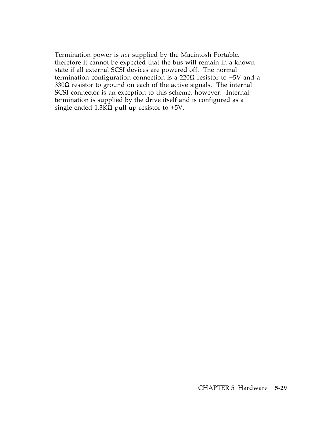Termination power is *not* supplied by the Macintosh Portable, therefore it cannot be expected that the bus will remain in a known state if all external SCSI devices are powered off. The normal termination configuration connection is a 220 $\Omega$  resistor to +5V and a 330 $\Omega$  resistor to ground on each of the active signals. The internal SCSI connector is an exception to this scheme, however. Internal termination is supplied by the drive itself and is configured as a single-ended  $1.3\overline{\text{K}}\Omega$  pull-up resistor to +5V.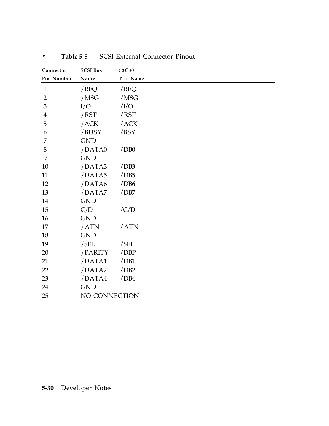| Connector      | <b>SCSI Bus</b> | 53C80    |
|----------------|-----------------|----------|
| Pin Number     | Name            | Pin Name |
| $\mathbf{1}$   | /REQ            | /REQ     |
| $\overline{2}$ | $/$ MSG         | /MSG     |
| 3              | I/O             | /I/O     |
| $\overline{4}$ | / RST           | / RST    |
| 5              | $/$ ACK         | /ACK     |
| 6              | /BUSY           | /BSY     |
| 7              | <b>GND</b>      |          |
| 8              | /DATA0          | /DB0     |
| 9              | <b>GND</b>      |          |
| 10             | /DATA3          | /DB3     |
| 11             | /DATA5          | /DB5     |
| 12             | /DATA6          | /DB6     |
| 13             | /DATA7          | /DB7     |
| 14             | <b>GND</b>      |          |
| 15             | C/D             | /C/D     |
| 16             | <b>GND</b>      |          |
| 17             | /ATN            | /ATN     |
| 18             | <b>GND</b>      |          |
| 19             | /SEL            | $/$ SEL  |
| 20             | /PARITY         | /DBP     |
| 21             | /DATA1          | /DB1     |
| 22             | /DATA2          | /DB2     |
| 23             | /DATA4          | /DB4     |
| 24             | <b>GND</b>      |          |
| 25             | NO CONNECTION   |          |

### • **Table 5-5** SCSI External Connector Pinout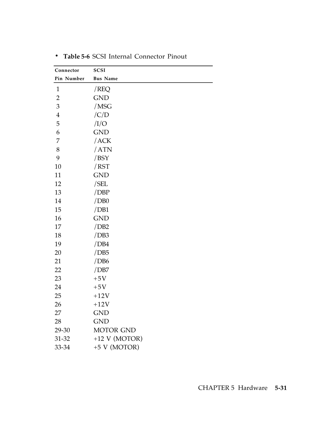| Connector        | <b>SCSI</b>      |
|------------------|------------------|
| Pin Number       | <b>Bus Name</b>  |
| $\mathbf{1}$     | /REQ             |
| $\overline{2}$   | <b>GND</b>       |
| $\mathfrak{Z}$   | /MSG             |
| $\boldsymbol{4}$ | /C/D             |
| $\overline{5}$   | /I/O             |
| 6                | <b>GND</b>       |
| 7                | $/$ ACK          |
| $8\,$            | /ATN             |
| 9                | /BSY             |
| 10               | / RST            |
| 11               | <b>GND</b>       |
| 12               | $/$ SEL          |
| 13               | /DBP             |
| 14               | /DB0             |
| 15               | /DB1             |
| 16               | <b>GND</b>       |
| 17               | /DB2             |
| 18               | /DB3             |
| 19               | /DB4             |
| 20               | /DB5             |
| 21               | /DB6             |
| 22               | /DB7             |
| 23               | $+5V$            |
| 24               | $+5V$            |
| 25               | $+12V$           |
| 26               | $+12V$           |
| 27               | <b>GND</b>       |
| 28               | <b>GND</b>       |
| 29-30            | <b>MOTOR GND</b> |
| 31-32            | $+12$ V (MOTOR)  |
| 33-34            | +5 V (MOTOR)     |

|  |  |  |  | • Table 5-6 SCSI Internal Connector Pinout |  |
|--|--|--|--|--------------------------------------------|--|
|--|--|--|--|--------------------------------------------|--|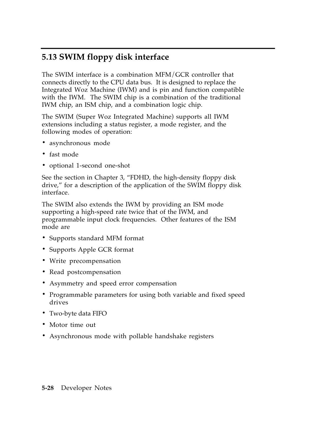# **5.13 SWIM floppy disk interface**

The SWIM interface is a combination MFM/GCR controller that connects directly to the CPU data bus. It is designed to replace the Integrated Woz Machine (IWM) and is pin and function compatible with the IWM. The SWIM chip is a combination of the traditional IWM chip, an ISM chip, and a combination logic chip.

The SWIM (Super Woz Integrated Machine) supports all IWM extensions including a status register, a mode register, and the following modes of operation:

- asynchronous mode
- fast mode
- optional 1-second one-shot

See the section in Chapter 3, "FDHD, the high-density floppy disk drive," for a description of the application of the SWIM floppy disk interface.

The SWIM also extends the IWM by providing an ISM mode supporting a high-speed rate twice that of the IWM, and programmable input clock frequencies. Other features of the ISM mode are

- Supports standard MFM format
- Supports Apple GCR format
- Write precompensation
- Read postcompensation
- Asymmetry and speed error compensation
- Programmable parameters for using both variable and fixed speed drives
- Two-byte data FIFO
- Motor time out
- Asynchronous mode with pollable handshake registers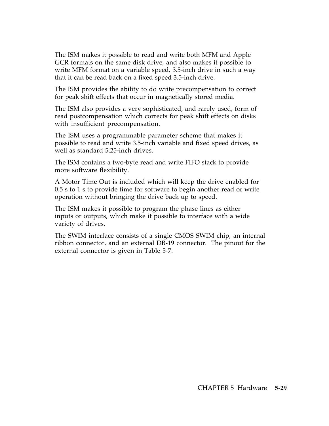The ISM makes it possible to read and write both MFM and Apple GCR formats on the same disk drive, and also makes it possible to write MFM format on a variable speed, 3.5-inch drive in such a way that it can be read back on a fixed speed 3.5-inch drive.

The ISM provides the ability to do write precompensation to correct for peak shift effects that occur in magnetically stored media.

The ISM also provides a very sophisticated, and rarely used, form of read postcompensation which corrects for peak shift effects on disks with insufficient precompensation.

The ISM uses a programmable parameter scheme that makes it possible to read and write 3.5-inch variable and fixed speed drives, as well as standard 5.25-inch drives.

The ISM contains a two-byte read and write FIFO stack to provide more software flexibility.

A Motor Time Out is included which will keep the drive enabled for 0.5 s to 1 s to provide time for software to begin another read or write operation without bringing the drive back up to speed.

The ISM makes it possible to program the phase lines as either inputs or outputs, which make it possible to interface with a wide variety of drives.

The SWIM interface consists of a single CMOS SWIM chip, an internal ribbon connector, and an external DB-19 connector. The pinout for the external connector is given in Table 5-7.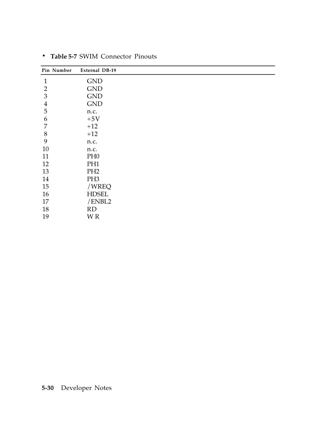| Pin Number     | External DB-19  |  |
|----------------|-----------------|--|
| $\mathbf{1}$   | <b>GND</b>      |  |
| $\overline{2}$ | <b>GND</b>      |  |
| 3              | <b>GND</b>      |  |
| $\overline{4}$ | <b>GND</b>      |  |
| 5              | n.c.            |  |
| 6              | $+5V$           |  |
| 7              | $+12$           |  |
| $\,$ 8 $\,$    | $+12$           |  |
| 9              | n.c.            |  |
| 10             | n.c.            |  |
| 11             | PH <sub>0</sub> |  |
| 12             | PH1             |  |
| 13             | PH <sub>2</sub> |  |
| 14             | PH <sub>3</sub> |  |
| 15             | /WREQ           |  |
| 16             | <b>HDSEL</b>    |  |
| 17             | /ENBL2          |  |
| 18             | <b>RD</b>       |  |
| 19             | WR              |  |

### • **Table 5-7** SWIM Connector Pinouts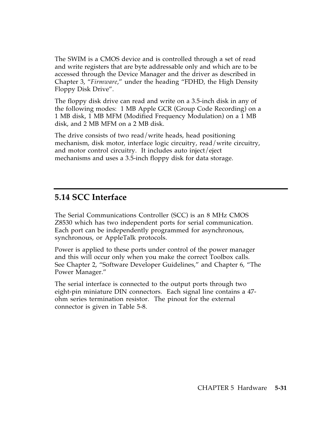The SWIM is a CMOS device and is controlled through a set of read and write registers that are byte addressable only and which are to be accessed through the Device Manager and the driver as described in Chapter 3, "*Firmware*," under the heading "FDHD, the High Density Floppy Disk Drive".

The floppy disk drive can read and write on a 3.5-inch disk in any of the following modes: 1 MB Apple GCR (Group Code Recording) on a 1 MB disk, 1 MB MFM (Modified Frequency Modulation) on a 1 MB disk, and 2 MB MFM on a 2 MB disk.

The drive consists of two read/write heads, head positioning mechanism, disk motor, interface logic circuitry, read/write circuitry, and motor control circuitry. It includes auto inject/eject mechanisms and uses a 3.5-inch floppy disk for data storage.

### **5.14 SCC Interface**

The Serial Communications Controller (SCC) is an 8 MHz CMOS Z8530 which has two independent ports for serial communication. Each port can be independently programmed for asynchronous, synchronous, or AppleTalk protocols.

Power is applied to these ports under control of the power manager and this will occur only when you make the correct Toolbox calls. See Chapter 2, "Software Developer Guidelines," and Chapter 6, "The Power Manager."

The serial interface is connected to the output ports through two eight-pin miniature DIN connectors. Each signal line contains a 47 ohm series termination resistor. The pinout for the external connector is given in Table 5-8.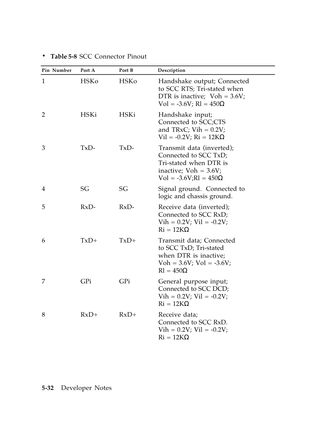| Pin Number     | Port A            | Port B      | Description                                                                                                                                      |
|----------------|-------------------|-------------|--------------------------------------------------------------------------------------------------------------------------------------------------|
| $\mathbf{1}$   | <b>HSKo</b>       | <b>HSKo</b> | Handshake output; Connected<br>to SCC RTS; Tri-stated when<br>DTR is inactive; $Voh = 3.6V$ ;<br>$Vol = -3.6V$ ; R1 = $450\Omega$                |
| $\overline{2}$ | <b>HSKi</b>       | <b>HSKi</b> | Handshake input;<br>Connected to SCC;CTS<br>and TRxC; Vih $= 0.2V$ ;<br>$Vil = -0.2V$ ; Ri = 12K $\Omega$                                        |
| 3              | T <sub>x</sub> D- | $TxD-$      | Transmit data (inverted);<br>Connected to SCC TxD;<br>Tri-stated when DTR is<br>inactive; $V \circ h = 3.6 V$ ;<br>$Vol = -3.6V; R1 = 450\Omega$ |
| $\overline{4}$ | SG                | SG          | Signal ground. Connected to<br>logic and chassis ground.                                                                                         |
| 5              | $RxD-$            | $RxD-$      | Receive data (inverted);<br>Connected to SCC RxD;<br>$Vih = 0.2V; Vil = -0.2V;$<br>$\text{Ri} = 12\text{K}\Omega$                                |
| 6              | $TxD+$            | $TxD+$      | Transmit data; Connected<br>to SCC TxD; Tri-stated<br>when DTR is inactive;<br>$Voh = 3.6V$ ; $Vol = -3.6V$ ;<br>$\text{R1} = 450\Omega$         |
| 7              | GPi               | GPi         | General purpose input;<br>Connected to SCC DCD;<br>$Vih = 0.2V; Vil = -0.2V;$<br>$\text{Ri} = 12\text{K}\Omega$                                  |
| 8              | $RxD+$            | $RxD+$      | Receive data;<br>Connected to SCC RxD.<br>$Vih = 0.2V; Vil = -0.2V;$<br>$\text{Ri} = 12\text{K}\Omega$                                           |

### • **Table 5-8** SCC Connector Pinout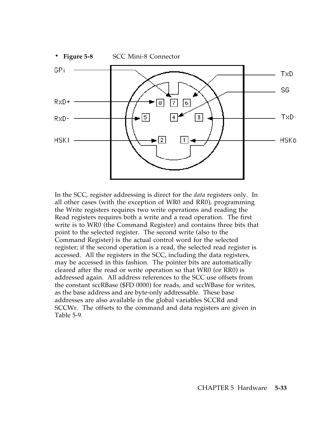

In the SCC, register addressing is direct for the *data* registers only. In all other cases (with the exception of WR0 and RR0), programming the Write registers requires two write operations and reading the Read registers requires both a write and a read operation. The first write is to WR0 (the Command Register) and contains three bits that point to the selected register. The second write (also to the Command Register) is the actual control word for the selected register; if the second operation is a read, the selected read register is accessed. All the registers in the SCC, including the data registers, may be accessed in this fashion. The pointer bits are automatically cleared after the read or write operation so that WR0 (or RR0) is addressed again. All address references to the SCC use offsets from the constant sccRBase (\$FD 0000) for reads, and sccWBase for writes, as the base address and are byte-only addressable. These base addresses are also available in the global variables SCCRd and SCCWr. The offsets to the command and data registers are given in Table 5-9.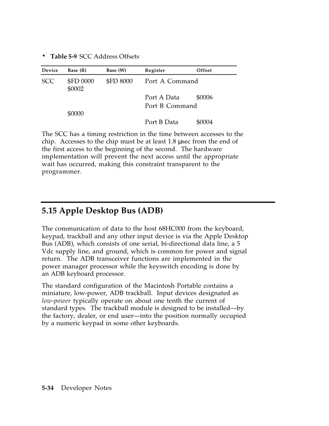#### • **Table 5-9** SCC Address Offsets

| Device     | Base (R)            | Base (W)  | Register       | Offset |
|------------|---------------------|-----------|----------------|--------|
| <b>SCC</b> | \$FD 0000<br>\$0002 | \$FD 8000 | Port A Command |        |
|            |                     |           | Port A Data    | \$0006 |
|            |                     |           | Port B Command |        |
|            | \$0000              |           |                |        |
|            |                     |           | Port B Data    | \$0004 |

The SCC has a timing restriction in the time between accesses to the chip. Accesses to the chip must be at least 1.8 µsec from the end of the first access to the beginning of the second. The hardware implementation will prevent the next access until the appropriate wait has occurred, making this constraint transparent to the programmer.

### **5.15 Apple Desktop Bus (ADB)**

The communication of data to the host 68HC000 from the keyboard, keypad, trackball and any other input device is via the Apple Desktop Bus (ADB), which consists of one serial, bi-directional data line, a 5 Vdc supply line, and ground, which is common for power and signal return. The ADB transceiver functions are implemented in the power manager processor while the keyswitch encoding is done by an ADB keyboard processor.

The standard configuration of the Macintosh Portable contains a miniature, low-power, ADB trackball. Input devices designated as *low-power* typically operate on about one tenth the current of standard types. The trackball module is designed to be installed—by the factory, dealer, or end user—into the position normally occupied by a numeric keypad in some other keyboards.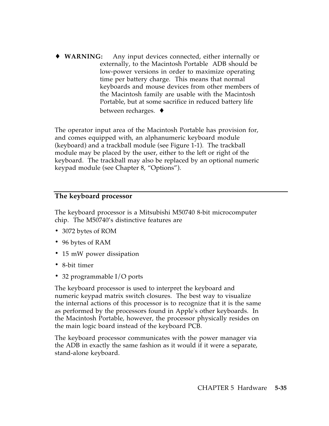♦ **WARNING:** Any input devices connected, either internally or externally, to the Macintosh Portable ADB should be low-power versions in order to maximize operating time per battery charge. This means that normal keyboards and mouse devices from other members of the Macintosh family are usable with the Macintosh Portable, but at some sacrifice in reduced battery life between recharges. ♦

The operator input area of the Macintosh Portable has provision for, and comes equipped with, an alphanumeric keyboard module (keyboard) and a trackball module (see Figure 1-1). The trackball module may be placed by the user, either to the left or right of the keyboard. The trackball may also be replaced by an optional numeric keypad module (see Chapter 8, "Options").

#### **The keyboard processor**

The keyboard processor is a Mitsubishi M50740 8-bit microcomputer chip. The M50740's distinctive features are

- 3072 bytes of ROM
- 96 bytes of RAM
- 15 mW power dissipation
- 8-bit timer
- 32 programmable I/O ports

The keyboard processor is used to interpret the keyboard and numeric keypad matrix switch closures. The best way to visualize the internal actions of this processor is to recognize that it is the same as performed by the processors found in Apple's other keyboards. In the Macintosh Portable, however, the processor physically resides on the main logic board instead of the keyboard PCB.

The keyboard processor communicates with the power manager via the ADB in exactly the same fashion as it would if it were a separate, stand-alone keyboard.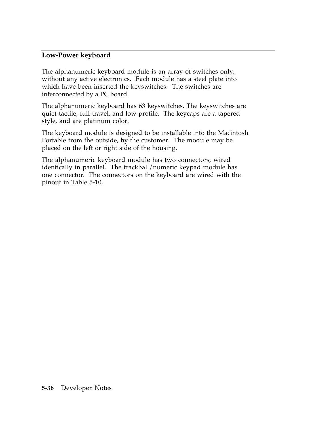#### **Low-Power keyboard**

The alphanumeric keyboard module is an array of switches only, without any active electronics. Each module has a steel plate into which have been inserted the keyswitches. The switches are interconnected by a PC board.

The alphanumeric keyboard has 63 keyswitches. The keyswitches are quiet-tactile, full-travel, and low-profile. The keycaps are a tapered style, and are platinum color.

The keyboard module is designed to be installable into the Macintosh Portable from the outside, by the customer. The module may be placed on the left or right side of the housing.

The alphanumeric keyboard module has two connectors, wired identically in parallel. The trackball/numeric keypad module has one connector. The connectors on the keyboard are wired with the pinout in Table 5-10.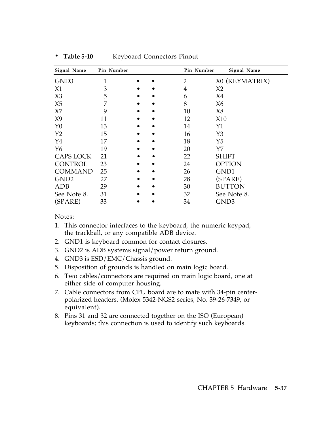| Signal Name      | Pin Number |  | Pin Number | Signal Name    |
|------------------|------------|--|------------|----------------|
| GND3             | 1          |  | 2          | X0 (KEYMATRIX) |
| X1               | 3          |  | 4          | X <sub>2</sub> |
| X3               | 5          |  | 6          | X4             |
| X5               | 7          |  | 8          | X6             |
| X7               | 9          |  | 10         | X8             |
| X9               | 11         |  | 12         | X10            |
| Y <sub>0</sub>   | 13         |  | 14         | Y1             |
| Y <sub>2</sub>   | 15         |  | 16         | Y3             |
| Y <sub>4</sub>   | 17         |  | 18         | Y <sub>5</sub> |
| Y <sub>6</sub>   | 19         |  | 20         | Y7             |
| <b>CAPS LOCK</b> | 21         |  | 22         | <b>SHIFT</b>   |
| <b>CONTROL</b>   | 23         |  | 24         | <b>OPTION</b>  |
| <b>COMMAND</b>   | 25         |  | 26         | GND1           |
| GND <sub>2</sub> | 27         |  | 28         | (SPARE)        |
| ADB              | 29         |  | 30         | <b>BUTTON</b>  |
| See Note 8.      | 31         |  | 32         | See Note 8.    |
| (SPARE)          | 33         |  | 34         | GND3           |

#### • **Table 5-10** Keyboard Connectors Pinout

Notes:

- 1. This connector interfaces to the keyboard, the numeric keypad, the trackball, or any compatible ADB device.
- 2. GND1 is keyboard common for contact closures.
- 3. GND2 is ADB systems signal/power return ground.
- 4. GND3 is ESD/EMC/Chassis ground.
- 5. Disposition of grounds is handled on main logic board.
- 6. Two cables/connectors are required on main logic board, one at either side of computer housing.
- 7. Cable connectors from CPU board are to mate with 34-pin centerpolarized headers. (Molex 5342-NGS2 series, No. 39-26-7349, or equivalent).
- 8. Pins 31 and 32 are connected together on the ISO (European) keyboards; this connection is used to identify such keyboards.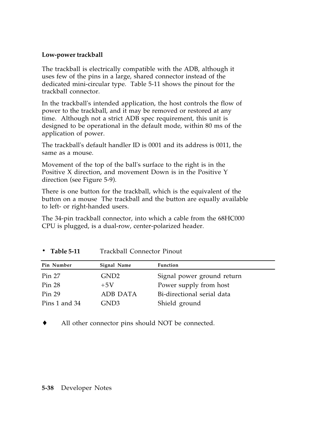#### **Low-power trackball**

The trackball is electrically compatible with the ADB, although it uses few of the pins in a large, shared connector instead of the dedicated mini-circular type. Table 5-11 shows the pinout for the trackball connector.

In the trackball's intended application, the host controls the flow of power to the trackball, and it may be removed or restored at any time. Although not a strict ADB spec requirement, this unit is designed to be operational in the default mode, within 80 ms of the application of power.

The trackball's default handler ID is 0001 and its address is 0011, the same as a mouse.

Movement of the top of the ball's surface to the right is in the Positive X direction, and movement Down is in the Positive Y direction (see Figure 5-9).

There is one button for the trackball, which is the equivalent of the button on a mouse The trackball and the button are equally available to left- or right-handed users.

The 34-pin trackball connector, into which a cable from the 68HC000 CPU is plugged, is a dual-row, center-polarized header.

| Pin Number    | Signal Name      | <b>Function</b>            |
|---------------|------------------|----------------------------|
| Pin 27        | GND <sub>2</sub> | Signal power ground return |
| Pin 28        | $+5V$            | Power supply from host     |
| Pin 29        | <b>ADB DATA</b>  | Bi-directional serial data |
| Pins 1 and 34 | GND3             | Shield ground              |

• **Table 5-11** Trackball Connector Pinout

♦ All other connector pins should NOT be connected.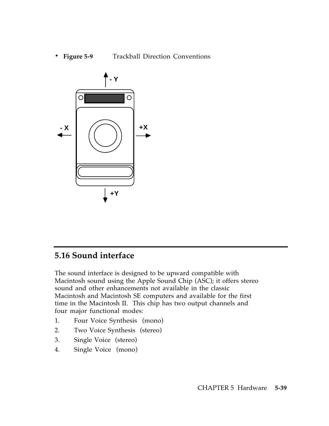• **Figure 5-9** Trackball Direction Conventions



# **5.16 Sound interface**

The sound interface is designed to be upward compatible with Macintosh sound using the Apple Sound Chip (ASC); it offers stereo sound and other enhancements not available in the classic Macintosh and Macintosh SE computers and available for the first time in the Macintosh II. This chip has two output channels and four major functional modes:

- 1. Four Voice Synthesis (mono)
- 2. Two Voice Synthesis (stereo)
- 3. Single Voice (stereo)
- 4. Single Voice (mono)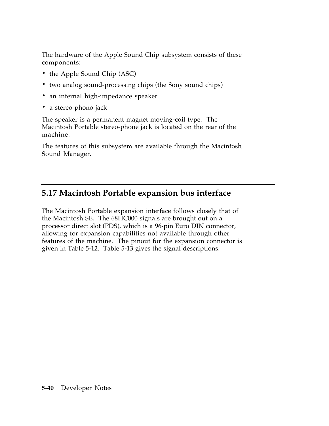The hardware of the Apple Sound Chip subsystem consists of these components:

- the Apple Sound Chip (ASC)
- two analog sound-processing chips (the Sony sound chips)
- an internal high-impedance speaker
- a stereo phono jack

The speaker is a permanent magnet moving-coil type. The Macintosh Portable stereo-phone jack is located on the rear of the machine.

The features of this subsystem are available through the Macintosh Sound Manager.

# **5.17 Macintosh Portable expansion bus interface**

The Macintosh Portable expansion interface follows closely that of the Macintosh SE. The 68HC000 signals are brought out on a processor direct slot (PDS), which is a 96-pin Euro DIN connector, allowing for expansion capabilities not available through other features of the machine. The pinout for the expansion connector is given in Table 5-12. Table 5-13 gives the signal descriptions.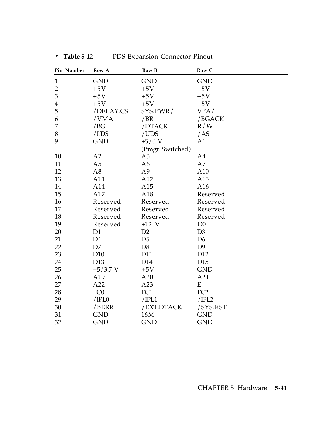| Pin Number     | Row A          | Row B           | Row C           |
|----------------|----------------|-----------------|-----------------|
| $\mathbf{1}$   | <b>GND</b>     | <b>GND</b>      | <b>GND</b>      |
| $\overline{2}$ | $+5V$          | $+5V$           | $+5V$           |
| $\mathfrak{Z}$ | $+5V$          | $+5V$           | $+5V$           |
| $\overline{4}$ | $+5V$          | $+5V$           | $+5V$           |
| 5              | /DELAY.CS      | SYS.PWR/        | VPA/            |
| 6              | /VMA           | / $BR$          | /BGACK          |
| 7              | / BG           | /DTACK          | R/W             |
| $8\,$          | /LDS           | /UDS            | /AS             |
| 9              | <b>GND</b>     | $+5/0$ V        | A1              |
|                |                | (Pmgr Switched) |                 |
| 10             | A <sub>2</sub> | A <sub>3</sub>  | A4              |
| 11             | A <sub>5</sub> | A <sub>6</sub>  | A7              |
| 12             | A8             | A <sub>9</sub>  | A10             |
| 13             | A11            | A12             | A13             |
| 14             | A14            | A15             | A16             |
| 15             | A17            | A18             | Reserved        |
| 16             | Reserved       | Reserved        | Reserved        |
| 17             | Reserved       | Reserved        | Reserved        |
| 18             | Reserved       | Reserved        | Reserved        |
| 19             | Reserved       | $+12$ V         | D <sub>0</sub>  |
| 20             | D <sub>1</sub> | D2              | D <sub>3</sub>  |
| 21             | D <sub>4</sub> | D <sub>5</sub>  | D <sub>6</sub>  |
| 22             | D <sub>7</sub> | D <sub>8</sub>  | D <sub>9</sub>  |
| 23             | D10            | D11             | D <sub>12</sub> |
| 24             | D13            | D14             | D <sub>15</sub> |
| 25             | $+5/3.7$ V     | $+5V$           | <b>GND</b>      |
| 26             | A19            | A20             | A21             |
| 27             | A22            | A23             | ${\bf E}$       |
| 28             | FC0            | FC1             | FC <sub>2</sub> |
| 29             | $/$ IPLO       | $/$ IPL1        | $/$ IPL2        |
| 30             | /BERR          | /EXT.DTACK      | /SYS.RST        |
| 31             | <b>GND</b>     | 16M             | <b>GND</b>      |
| 32             | <b>GND</b>     | <b>GND</b>      | <b>GND</b>      |

# • **Table 5-12** PDS Expansion Connector Pinout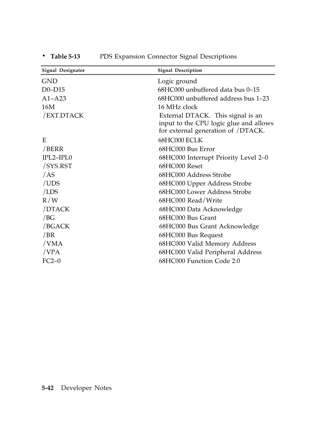| Signal Designator | <b>Signal Description</b>                                                                                         |
|-------------------|-------------------------------------------------------------------------------------------------------------------|
| <b>GND</b>        | Logic ground                                                                                                      |
| $D0-D15$          | 68HC000 unbuffered data bus 0-15                                                                                  |
| $A1 - A23$        | 68HC000 unbuffered address bus 1–23                                                                               |
| 16M               | 16 MHz clock                                                                                                      |
| /EXT.DTACK        | External DTACK. This signal is an<br>input to the CPU logic glue and allows<br>for external generation of /DTACK. |
| E                 | 68HC000 ECLK                                                                                                      |
| /BERR             | 68HC000 Bus Error                                                                                                 |
| $IPL2-IPL0$       | 68HC000 Interrupt Priority Level 2–0                                                                              |
| $/$ SYS.RST       | 68HC000 Reset                                                                                                     |
| /AS               | 68HC000 Address Strobe                                                                                            |
| /UDS              | 68HC000 Upper Address Strobe                                                                                      |
| /LDS              | 68HC000 Lower Address Strobe                                                                                      |
| R/W               | 68HC000 Read/Write                                                                                                |
| /DTACK            | 68HC000 Data Acknowledge                                                                                          |
| /BG               | 68HC000 Bus Grant                                                                                                 |
| /BGACK            | 68HC000 Bus Grant Acknowledge                                                                                     |
| /BR               | 68HC000 Bus Request                                                                                               |
| /VMA              | 68HC000 Valid Memory Address                                                                                      |
| /VPA              | 68HC000 Valid Peripheral Address                                                                                  |
| $FC2-0$           | 68HC000 Function Code 2:0                                                                                         |

### • **Table 5-13** PDS Expansion Connector Signal Descriptions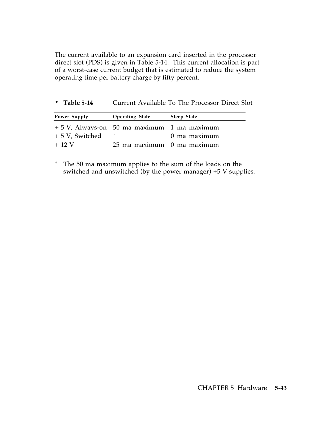The current available to an expansion card inserted in the processor direct slot (PDS) is given in Table 5-14. This current allocation is part of a worst-case current budget that is estimated to reduce the system operating time per battery charge by fifty percent.

• **Table 5-14** Current Available To The Processor Direct Slot

| Power Supply    | <b>Operating State</b>                       | Sleep State  |
|-----------------|----------------------------------------------|--------------|
|                 | $+5$ V, Always-on 50 ma maximum 1 ma maximum |              |
| + 5 V, Switched | $\star$                                      | 0 ma maximum |
| $+12$ V         | 25 ma maximum 0 ma maximum                   |              |

\* The 50 ma maximum applies to the sum of the loads on the switched and unswitched (by the power manager) +5 V supplies.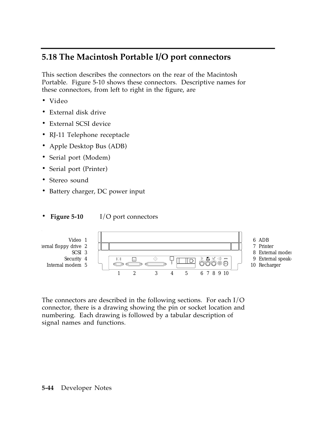# **5.18 The Macintosh Portable I/O port connectors**

This section describes the connectors on the rear of the Macintosh Portable. Figure 5-10 shows these connectors. Descriptive names for these connectors, from left to right in the figure, are

- Video
- External disk drive
- External SCSI device
- RJ-11 Telephone receptacle
- Apple Desktop Bus (ADB)
- Serial port (Modem)
- Serial port (Printer)
- Stereo sound
- Battery charger, DC power input

### • **Figure 5-10** I/O port connectors



The connectors are described in the following sections. For each I/O connector, there is a drawing showing the pin or socket location and numbering. Each drawing is followed by a tabular description of signal names and functions.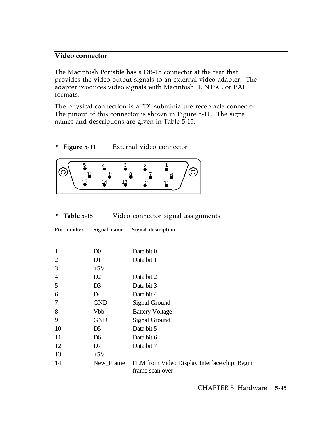#### **Video connector**

The Macintosh Portable has a DB-15 connector at the rear that provides the video output signals to an external video adapter. The adapter produces video signals with Macintosh II, NTSC, or PAL formats.

The physical connection is a "D" subminiature receptacle connector. The pinout of this connector is shown in Figure 5-11. The signal names and descriptions are given in Table 5-15.

#### • **Figure 5-11** External video connector



• **Table 5-15** Video connector signal assignments

| Pin number     | Signal name    | Signal description                                              |
|----------------|----------------|-----------------------------------------------------------------|
|                |                |                                                                 |
| $\mathbf{1}$   | D <sub>0</sub> | Data bit 0                                                      |
| $\overline{2}$ | D1             | Data bit 1                                                      |
| 3              | $+5V$          |                                                                 |
| 4              | D <sub>2</sub> | Data bit 2                                                      |
| 5              | D <sub>3</sub> | Data bit 3                                                      |
| 6              | D4             | Data bit 4                                                      |
| 7              | <b>GND</b>     | Signal Ground                                                   |
| 8              | Vbb            | <b>Battery Voltage</b>                                          |
| 9              | <b>GND</b>     | <b>Signal Ground</b>                                            |
| 10             | D <sub>5</sub> | Data bit 5                                                      |
| 11             | D <sub>6</sub> | Data bit 6                                                      |
| 12             | D7             | Data bit 7                                                      |
| 13             | $+5V$          |                                                                 |
| 14             | New_Frame      | FLM from Video Display Interface chip, Begin<br>frame scan over |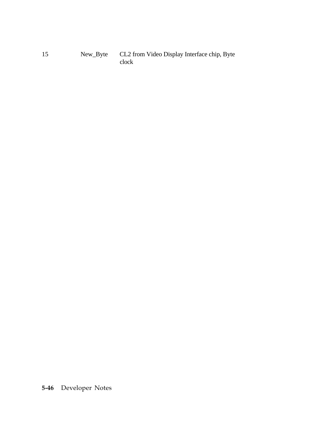| 15 | New Byte | CL2 from Video Display Interface chip, Byte |
|----|----------|---------------------------------------------|
|    |          | clock                                       |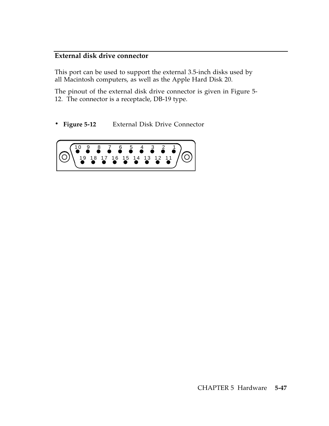### **External disk drive connector**

This port can be used to support the external 3.5-inch disks used by all Macintosh computers, as well as the Apple Hard Disk 20.

The pinout of the external disk drive connector is given in Figure 5- 12. The connector is a receptacle, DB-19 type.

• **Figure 5-12** External Disk Drive Connector

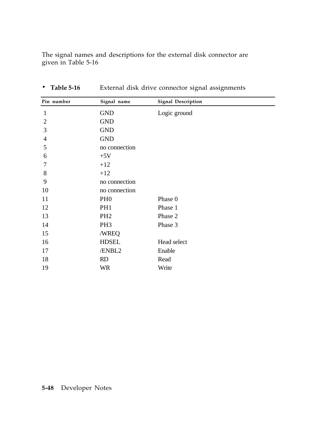The signal names and descriptions for the external disk connector are given in Table 5-16

| Pin number     | Signal name     | <b>Signal Description</b> |
|----------------|-----------------|---------------------------|
| 1              | <b>GND</b>      | Logic ground              |
| $\overline{2}$ | <b>GND</b>      |                           |
| 3              | <b>GND</b>      |                           |
| $\overline{4}$ | <b>GND</b>      |                           |
| 5              | no connection   |                           |
| 6              | $+5V$           |                           |
| 7              | $+12$           |                           |
| 8              | $+12$           |                           |
| 9              | no connection   |                           |
| 10             | no connection   |                           |
| 11             | PH <sub>0</sub> | Phase 0                   |
| 12             | PH1             | Phase 1                   |
| 13             | PH <sub>2</sub> | Phase 2                   |
| 14             | PH <sub>3</sub> | Phase 3                   |
| 15             | /WREQ           |                           |
| 16             | <b>HDSEL</b>    | Head select               |
| 17             | /ENBL2          | Enable                    |
| 18             | RD              | Read                      |
| 19             | <b>WR</b>       | Write                     |

• **Table 5-16** External disk drive connector signal assignments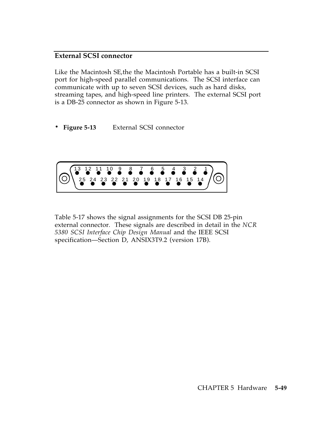#### **External SCSI connector**

Like the Macintosh SE,the the Macintosh Portable has a built-in SCSI port for high-speed parallel communications. The SCSI interface can communicate with up to seven SCSI devices, such as hard disks, streaming tapes, and high-speed line printers. The external SCSI port is a DB-25 connector as shown in Figure 5-13.

• **Figure 5-13** External SCSI connector



Table 5-17 shows the signal assignments for the SCSI DB 25-pin external connector. These signals are described in detail in the *NCR 5380 SCSI Interface Chip Design Manual* and the IEEE SCSI specification—Section D, ANSIX3T9.2 (version 17B).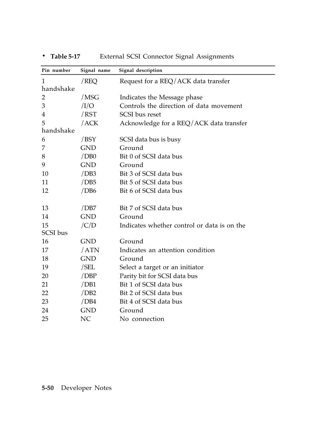| Pin number     | Signal name | Signal description                          |
|----------------|-------------|---------------------------------------------|
| 1              | /REQ        | Request for a REQ/ACK data transfer         |
| handshake      |             |                                             |
| $\overline{2}$ | $/$ MSG     | Indicates the Message phase                 |
| 3              | /I/O        | Controls the direction of data movement     |
| $\overline{4}$ | / RST       | <b>SCSI</b> bus reset                       |
| 5              | $/$ ACK     | Acknowledge for a REQ/ACK data transfer     |
| handshake      |             |                                             |
| 6              | $/$ BSY     | SCSI data bus is busy                       |
| 7              | <b>GND</b>  | Ground                                      |
| 8              | /DB0        | Bit 0 of SCSI data bus                      |
| 9              | <b>GND</b>  | Ground                                      |
| 10             | /DB3        | Bit 3 of SCSI data bus                      |
| 11             | /DB5        | Bit 5 of SCSI data bus                      |
| 12             | /DB6        | Bit 6 of SCSI data bus                      |
|                |             |                                             |
| 13             | /DB7        | Bit 7 of SCSI data bus                      |
| 14             | <b>GND</b>  | Ground                                      |
| 15             | /C/D        | Indicates whether control or data is on the |
| SCSI bus       |             |                                             |
| 16             | <b>GND</b>  | Ground                                      |
| 17             | /ATN        | Indicates an attention condition            |
| 18             | <b>GND</b>  | Ground                                      |
| 19             | $/$ SEL     | Select a target or an initiator             |
| 20             | /DBP        | Parity bit for SCSI data bus                |
| 21             | /DB1        | Bit 1 of SCSI data bus                      |
| 22             | /DB2        | Bit 2 of SCSI data bus                      |
| 23             | /DB4        | Bit 4 of SCSI data bus                      |
| 24             | <b>GND</b>  | Ground                                      |
| 25             | <b>NC</b>   | No connection                               |

# • **Table 5-17** External SCSI Connector Signal Assignments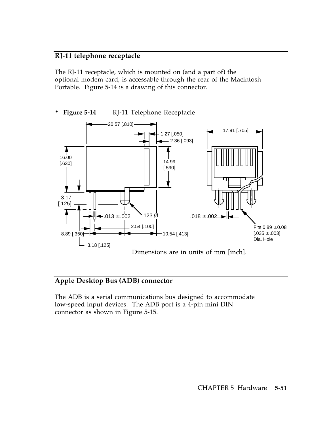#### **RJ-11 telephone receptacle**

The RJ-11 receptacle, which is mounted on (and a part of) the optional modem card, is accessable through the rear of the Macintosh Portable. Figure 5-14 is a drawing of this connector.



#### **Apple Desktop Bus (ADB) connector**

The ADB is a serial communications bus designed to accommodate low-speed input devices. The ADB port is a 4-pin mini DIN connector as shown in Figure 5-15.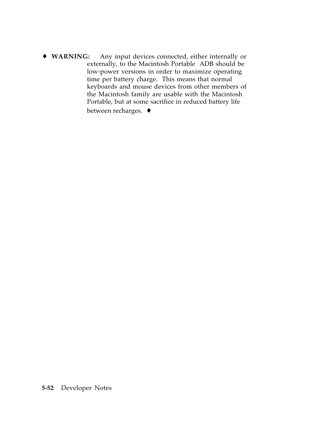♦ **WARNING:** Any input devices connected, either internally or externally, to the Macintosh Portable ADB should be low-power versions in order to maximize operating time per battery charge. This means that normal keyboards and mouse devices from other members of the Macintosh family are usable with the Macintosh Portable, but at some sacrifice in reduced battery life between recharges. ♦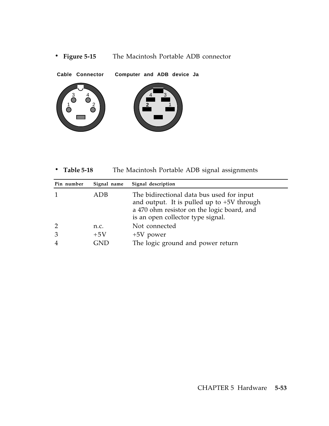• **Figure 5-15** The Macintosh Portable ADB connector



| $\bullet$ Table 5-18<br>The Macintosh Portable ADB signal assignments |             |                                                                                                                                                                              |
|-----------------------------------------------------------------------|-------------|------------------------------------------------------------------------------------------------------------------------------------------------------------------------------|
| Pin number                                                            | Signal name | Signal description                                                                                                                                                           |
| 1                                                                     | ADB         | The bidirectional data bus used for input<br>and output. It is pulled up to $+5V$ through<br>a 470 ohm resistor on the logic board, and<br>is an open collector type signal. |
| $\overline{2}$                                                        | n.c.        | Not connected                                                                                                                                                                |
| 3                                                                     | $+5V$       | $+5V$ power                                                                                                                                                                  |
| $\overline{4}$                                                        | GND         | The logic ground and power return                                                                                                                                            |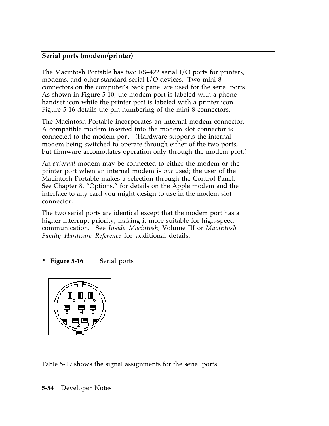### **Serial ports (modem/printer)**

The Macintosh Portable has two RS–422 serial I/O ports for printers, modems, and other standard serial I/O devices. Two mini-8 connectors on the computer's back panel are used for the serial ports. As shown in Figure 5-10, the modem port is labeled with a phone handset icon while the printer port is labeled with a printer icon. Figure 5-16 details the pin numbering of the mini-8 connectors.

The Macintosh Portable incorporates an internal modem connector. A compatible modem inserted into the modem slot connector is connected to the modem port. (Hardware supports the internal modem being switched to operate through either of the two ports, but firmware accomodates operation only through the modem port.)

An *external* modem may be connected to either the modem or the printer port when an internal modem is *not* used; the user of the Macintosh Portable makes a selection through the Control Panel. See Chapter 8, "Options," for details on the Apple modem and the interface to any card you might design to use in the modem slot connector.

The two serial ports are identical except that the modem port has a higher interrupt priority, making it more suitable for high-speed communication. See *Inside Macintosh*, Volume III or *Macintosh Family Hardware Reference* for additional details.

• **Figure 5-16** Serial ports



Table 5-19 shows the signal assignments for the serial ports.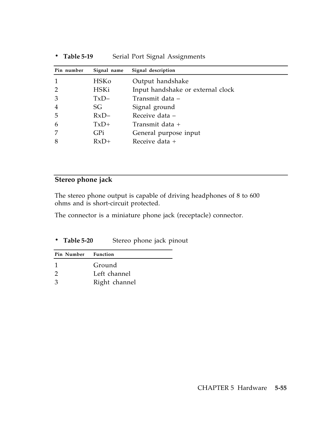| Pin number     | Signal name | Signal description                |
|----------------|-------------|-----------------------------------|
| $\mathbf{1}$   | <b>HSKo</b> | Output handshake                  |
| $\overline{2}$ | HSKi        | Input handshake or external clock |
| 3              | $TxD-$      | Transmit data -                   |
| $\overline{4}$ | SG          | Signal ground                     |
| 5              | $RxD-$      | Receive data -                    |
| 6              | $TxD+$      | Transmit data +                   |
| 7              | GPi         | General purpose input             |
| 8              | $RxD+$      | Receive data +                    |
|                |             |                                   |

#### • **Table 5-19** Serial Port Signal Assignments

#### **Stereo phone jack**

The stereo phone output is capable of driving headphones of 8 to 600 ohms and is short-circuit protected.

The connector is a miniature phone jack (receptacle) connector.

#### • **Table 5-20** Stereo phone jack pinout

| <b>Pin Number</b> Function |               |
|----------------------------|---------------|
| -1                         | Ground        |
| 2                          | Left channel  |
| 3                          | Right channel |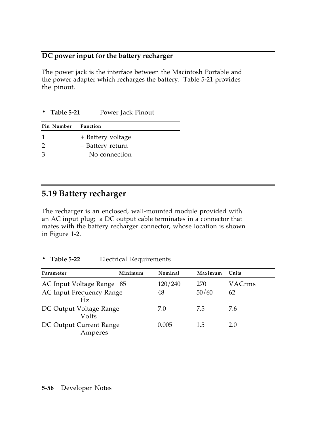#### **DC power input for the battery recharger**

The power jack is the interface between the Macintosh Portable and the power adapter which recharges the battery. Table 5-21 provides the pinout.

• **Table 5-21** Power Jack Pinout

| Pin Number    | Function          |
|---------------|-------------------|
|               | + Battery voltage |
| $\mathcal{P}$ | – Battery return  |
| 3             | No connection     |

### **5.19 Battery recharger**

The recharger is an enclosed, wall-mounted module provided with an AC input plug; a DC output cable terminates in a connector that mates with the battery recharger connector, whose location is shown in Figure 1-2.

|  | <b>Table 5-22</b> |  | <b>Electrical Requirements</b> |
|--|-------------------|--|--------------------------------|
|--|-------------------|--|--------------------------------|

| Parameter                                                    | Minimum | Nominal       | Maximum      | Units        |
|--------------------------------------------------------------|---------|---------------|--------------|--------------|
| AC Input Voltage Range 85<br>AC Input Frequency Range<br>Hz. |         | 120/240<br>48 | 270<br>50/60 | VACrms<br>62 |
| DC Output Voltage Range<br>Volts                             |         | 7.0           | 7.5          | 7.6          |
| DC Output Current Range<br>Amperes                           |         | 0.005         | 1.5          | 2.0          |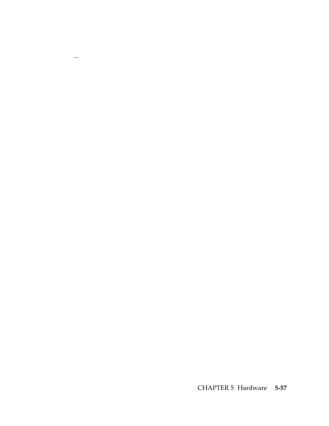CHAPTER 5 Hardware **5-57**

...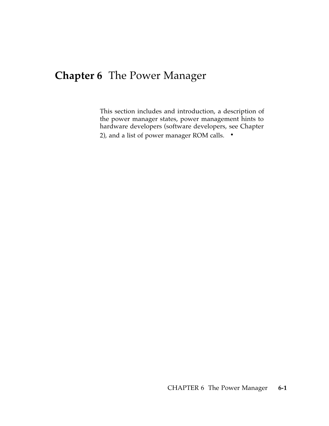# **Chapter 6** The Power Manager

This section includes and introduction, a description of the power manager states, power management hints to hardware developers (software developers, see Chapter 2), and a list of power manager ROM calls.  $\bullet$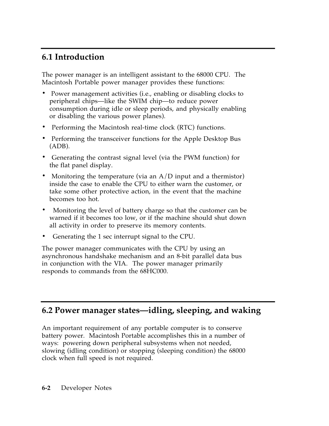## **6.1 Introduction**

The power manager is an intelligent assistant to the 68000 CPU. The Macintosh Portable power manager provides these functions:

- Power management activities (i.e., enabling or disabling clocks to peripheral chips—like the SWIM chip—to reduce power consumption during idle or sleep periods, and physically enabling or disabling the various power planes).
- Performing the Macintosh real-time clock (RTC) functions.
- Performing the transceiver functions for the Apple Desktop Bus (ADB).
- Generating the contrast signal level (via the PWM function) for the flat panel display.
- Monitoring the temperature (via an  $A/D$  input and a thermistor) inside the case to enable the CPU to either warn the customer, or take some other protective action, in the event that the machine becomes too hot.
- Monitoring the level of battery charge so that the customer can be warned if it becomes too low, or if the machine should shut down all activity in order to preserve its memory contents.
- Generating the 1 sec interrupt signal to the CPU.

The power manager communicates with the CPU by using an asynchronous handshake mechanism and an 8-bit parallel data bus in conjunction with the VIA. The power manager primarily responds to commands from the 68HC000.

## **6.2 Power manager states—idling, sleeping, and waking**

An important requirement of any portable computer is to conserve battery power. Macintosh Portable accomplishes this in a number of ways: powering down peripheral subsystems when not needed, slowing (idling condition) or stopping (sleeping condition) the 68000 clock when full speed is not required.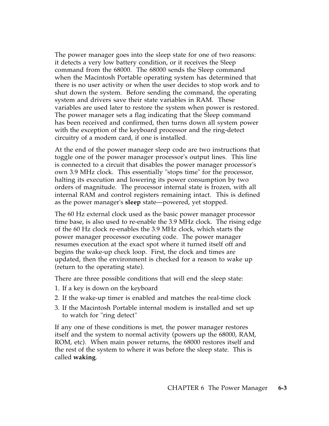The power manager goes into the sleep state for one of two reasons: it detects a very low battery condition, or it receives the Sleep command from the 68000. The 68000 sends the Sleep command when the Macintosh Portable operating system has determined that there is no user activity or when the user decides to stop work and to shut down the system. Before sending the command, the operating system and drivers save their state variables in RAM. These variables are used later to restore the system when power is restored. The power manager sets a flag indicating that the Sleep command has been received and confirmed, then turns down all system power with the exception of the keyboard processor and the ring-detect circuitry of a modem card, if one is installed.

At the end of the power manager sleep code are two instructions that toggle one of the power manager processor's output lines. This line is connected to a circuit that disables the power manager processor's own 3.9 MHz clock. This essentially "stops time" for the processor, halting its execution and lowering its power consumption by two orders of magnitude. The processor internal state is frozen, with all internal RAM and control registers remaining intact. This is defined as the power manager's **sleep** state—powered, yet stopped.

The 60 Hz external clock used as the basic power manager processor time base, is also used to re-enable the 3.9 MHz clock. The rising edge of the 60 Hz clock re-enables the 3.9 MHz clock, which starts the power manager processor executing code. The power manager resumes execution at the exact spot where it turned itself off and begins the wake-up check loop. First, the clock and times are updated, then the environment is checked for a reason to wake up (return to the operating state).

There are three possible conditions that will end the sleep state:

- 1. If a key is down on the keyboard
- 2. If the wake-up timer is enabled and matches the real-time clock
- 3. If the Macintosh Portable internal modem is installed and set up to watch for "ring detect"

If any one of these conditions is met, the power manager restores itself and the system to normal activity (powers up the 68000, RAM, ROM, etc). When main power returns, the 68000 restores itself and the rest of the system to where it was before the sleep state. This is called **waking**.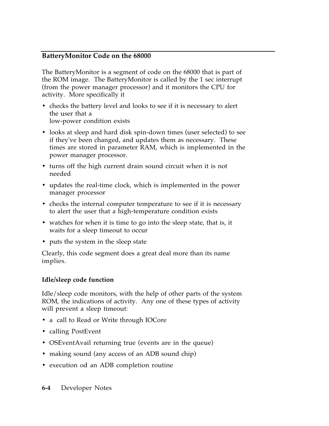#### **BatteryMonitor Code on the 68000**

The BatteryMonitor is a segment of code on the 68000 that is part of the ROM image. The BatteryMonitor is called by the 1 sec interrupt (from the power manager processor) and it monitors the CPU for activity. More specifically it

- checks the battery level and looks to see if it is necessary to alert the user that a low-power condition exists
- looks at sleep and hard disk spin-down times (user selected) to see if they've been changed, and updates them as necessary. These times are stored in parameter RAM, which is implemented in the power manager processor.
- turns off the high current drain sound circuit when it is not needed
- updates the real-time clock, which is implemented in the power manager processor
- checks the internal computer temperature to see if it is necessary to alert the user that a high-temperature condition exists
- watches for when it is time to go into the sleep state, that is, it waits for a sleep timeout to occur
- puts the system in the sleep state

Clearly, this code segment does a great deal more than its name implies.

#### **Idle/sleep code function**

Idle/sleep code monitors, with the help of other parts of the system ROM, the indications of activity. Any one of these types of activity will prevent a sleep timeout:

- a call to Read or Write through IOCore
- calling PostEvent
- OSEventAvail returning true (events are in the queue)
- making sound (any access of an ADB sound chip)
- execution od an ADB completion routine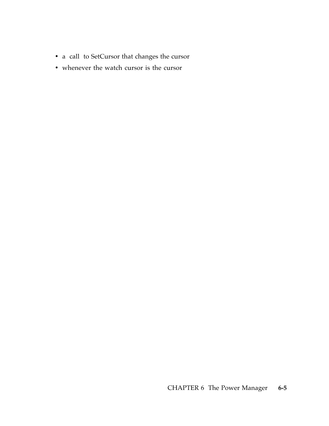- a call to SetCursor that changes the cursor
- whenever the watch cursor is the cursor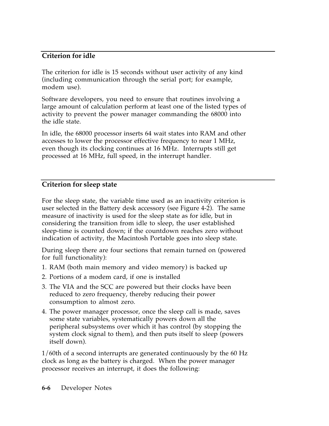#### **Criterion for idle**

The criterion for idle is 15 seconds without user activity of any kind (including communication through the serial port; for example, modem use).

Software developers, you need to ensure that routines involving a large amount of calculation perform at least one of the listed types of activity to prevent the power manager commanding the 68000 into the idle state.

In idle, the 68000 processor inserts 64 wait states into RAM and other accesses to lower the processor effective frequency to near 1 MHz, even though its clocking continues at 16 MHz. Interrupts still get processed at 16 MHz, full speed, in the interrupt handler.

#### **Criterion for sleep state**

For the sleep state, the variable time used as an inactivity criterion is user selected in the Battery desk accessory (see Figure 4-2). The same measure of inactivity is used for the sleep state as for idle, but in considering the transition from idle to sleep, the user established sleep-time is counted down; if the countdown reaches zero without indication of activity, the Macintosh Portable goes into sleep state.

During sleep there are four sections that remain turned on (powered for full functionality):

- 1. RAM (both main memory and video memory) is backed up
- 2. Portions of a modem card, if one is installed
- 3. The VIA and the SCC are powered but their clocks have been reduced to zero frequency, thereby reducing their power consumption to almost zero.
- 4. The power manager processor, once the sleep call is made, saves some state variables, systematically powers down all the peripheral subsystems over which it has control (by stopping the system clock signal to them), and then puts itself to sleep (powers itself down).

1/60th of a second interrupts are generated continuously by the 60 Hz clock as long as the battery is charged. When the power manager processor receives an interrupt, it does the following: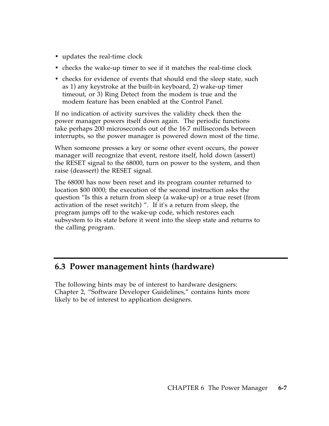- updates the real-time clock
- checks the wake-up timer to see if it matches the real-time clock
- checks for evidence of events that should end the sleep state, such as 1) any keystroke at the built-in keyboard, 2) wake-up timer timeout, or 3) Ring Detect from the modem is true and the modem feature has been enabled at the Control Panel.

If no indication of activity survives the validity check then the power manager powers itself down again. The periodic functions take perhaps 200 microseconds out of the 16.7 milliseconds between interrupts, so the power manager is powered down most of the time.

When someone presses a key or some other event occurs, the power manager will recognize that event, restore itself, hold down (assert) the RESET signal to the 68000, turn on power to the system, and then raise (deassert) the RESET signal.

The 68000 has now been reset and its program counter returned to location \$00 0000; the execution of the second instruction asks the question "Is this a return from sleep (a wake-up) or a true reset (from activation of the reset switch) ". If it's a return from sleep, the program jumps off to the wake-up code, which restores each subsystem to its state before it went into the sleep state and returns to the calling program.

### **6.3 Power management hints (hardware)**

The following hints may be of interest to hardware designers: Chapter 2, "Software Developer Guidelines," contains hints more likely to be of interest to application designers.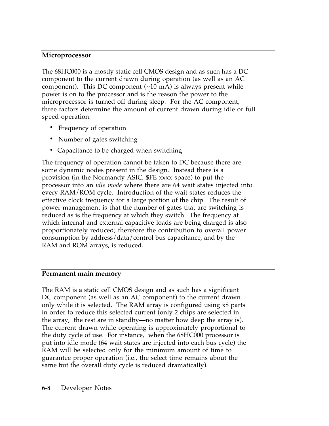#### **Microprocessor**

The 68HC000 is a mostly static cell CMOS design and as such has a DC component to the current drawn during operation (as well as an AC component). This DC component  $(\sim 10 \text{ mA})$  is always present while power is on to the processor and is the reason the power to the microprocessor is turned off during sleep. For the AC component, three factors determine the amount of current drawn during idle or full speed operation:

- Frequency of operation
- Number of gates switching
- Capacitance to be charged when switching

The frequency of operation cannot be taken to DC because there are some dynamic nodes present in the design. Instead there is a provision (in the Normandy ASIC, \$FE xxxx space) to put the processor into an *idle mode* where there are 64 wait states injected into every RAM/ROM cycle. Introduction of the wait states reduces the effective clock frequency for a large portion of the chip. The result of power management is that the number of gates that are switching is reduced as is the frequency at which they switch. The frequency at which internal and external capacitive loads are being charged is also proportionately reduced; therefore the contribution to overall power consumption by address/data/control bus capacitance, and by the RAM and ROM arrays, is reduced.

#### **Permanent main memory**

The RAM is a static cell CMOS design and as such has a significant DC component (as well as an AC component) to the current drawn only while it is selected. The RAM array is configured using x8 parts in order to reduce this selected current (only 2 chips are selected in the array, the rest are in standby—no matter how deep the array is). The current drawn while operating is approximately proportional to the duty cycle of use. For instance, when the 68HC000 processor is put into idle mode (64 wait states are injected into each bus cycle) the RAM will be selected only for the minimum amount of time to guarantee proper operation (i.e., the select time remains about the same but the overall duty cycle is reduced dramatically).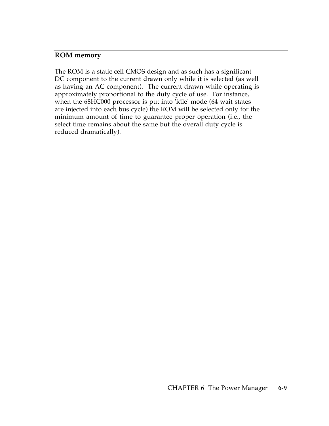#### **ROM memory**

The ROM is a static cell CMOS design and as such has a significant DC component to the current drawn only while it is selected (as well as having an AC component). The current drawn while operating is approximately proportional to the duty cycle of use. For instance, when the 68HC000 processor is put into 'idle' mode (64 wait states are injected into each bus cycle) the ROM will be selected only for the minimum amount of time to guarantee proper operation (i.e., the select time remains about the same but the overall duty cycle is reduced dramatically).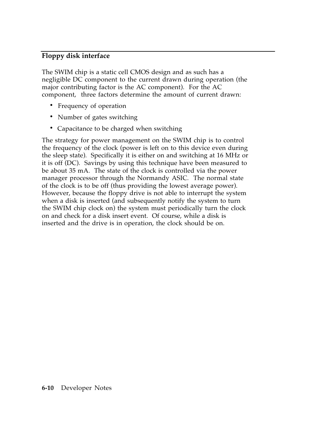#### **Floppy disk interface**

The SWIM chip is a static cell CMOS design and as such has a negligible DC component to the current drawn during operation (the major contributing factor is the AC component). For the AC component, three factors determine the amount of current drawn:

- Frequency of operation
- Number of gates switching
- Capacitance to be charged when switching

The strategy for power management on the SWIM chip is to control the frequency of the clock (power is left on to this device even during the sleep state). Specifically it is either on and switching at 16 MHz or it is off (DC). Savings by using this technique have been measured to be about 35 mA. The state of the clock is controlled via the power manager processor through the Normandy ASIC. The normal state of the clock is to be off (thus providing the lowest average power). However, because the floppy drive is not able to interrupt the system when a disk is inserted (and subsequently notify the system to turn the SWIM chip clock on) the system must periodically turn the clock on and check for a disk insert event. Of course, while a disk is inserted and the drive is in operation, the clock should be on.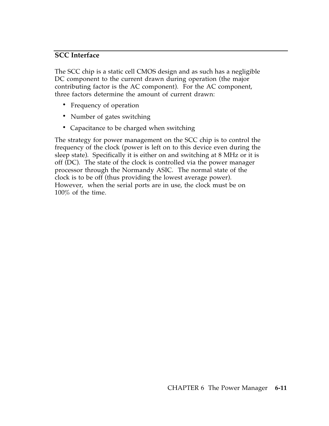#### **SCC Interface**

The SCC chip is a static cell CMOS design and as such has a negligible DC component to the current drawn during operation (the major contributing factor is the AC component). For the AC component, three factors determine the amount of current drawn:

- Frequency of operation
- Number of gates switching
- Capacitance to be charged when switching

The strategy for power management on the SCC chip is to control the frequency of the clock (power is left on to this device even during the sleep state). Specifically it is either on and switching at 8 MHz or it is off (DC). The state of the clock is controlled via the power manager processor through the Normandy ASIC. The normal state of the clock is to be off (thus providing the lowest average power). However, when the serial ports are in use, the clock must be on 100% of the time.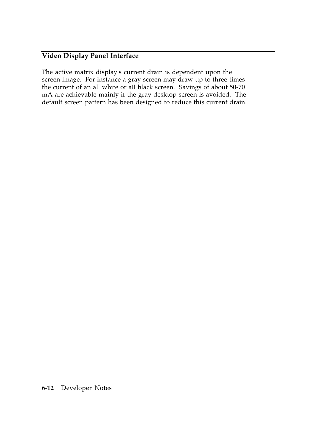#### **Video Display Panel Interface**

The active matrix display's current drain is dependent upon the screen image. For instance a gray screen may draw up to three times the current of an all white or all black screen. Savings of about 50-70 mA are achievable mainly if the gray desktop screen is avoided. The default screen pattern has been designed to reduce this current drain.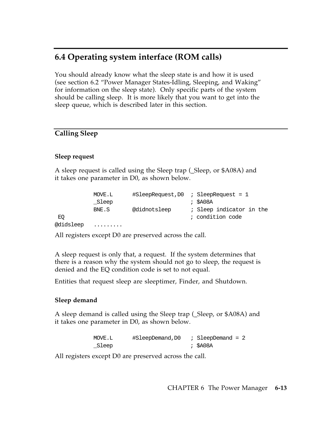### **6.4 Operating system interface (ROM calls)**

You should already know what the sleep state is and how it is used (see section 6.2 "Power Manager States-Idling, Sleeping, and Waking" for information on the sleep state). Only specific parts of the system should be calling sleep. It is more likely that you want to get into the sleep queue, which is described later in this section.

#### **Calling Sleep**

#### **Sleep request**

A sleep request is called using the Sleep trap (\_Sleep, or \$A08A) and it takes one parameter in D0, as shown below.

|           | MOVE.L |              | $#SleepRequest, D0$ ; $SleepRequest = 1$ |
|-----------|--------|--------------|------------------------------------------|
|           | Sleep  |              | 5.508A                                   |
|           | BNE.S  | @didnotsleep | ; Sleep indicator in the                 |
| EO        |        |              | ; condition code                         |
| @didsleep |        |              |                                          |

All registers except D0 are preserved across the call.

A sleep request is only that, a request. If the system determines that there is a reason why the system should not go to sleep, the request is denied and the EQ condition code is set to not equal.

Entities that request sleep are sleeptimer, Finder, and Shutdown.

#### **Sleep demand**

A sleep demand is called using the Sleep trap (\_Sleep, or \$A08A) and it takes one parameter in D0, as shown below.

> MOVE.L #SleepDemand,D0 ; SleepDemand = 2 sleep ; \$A08A

All registers except D0 are preserved across the call.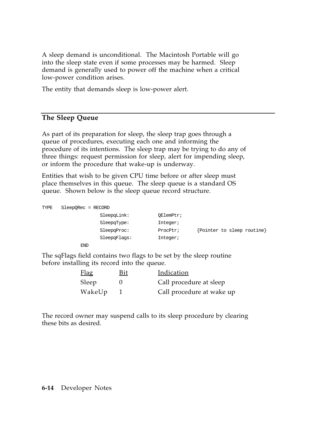A sleep demand is unconditional. The Macintosh Portable will go into the sleep state even if some processes may be harmed. Sleep demand is generally used to power off the machine when a critical low-power condition arises.

The entity that demands sleep is low-power alert.

#### **The Sleep Queue**

As part of its preparation for sleep, the sleep trap goes through a queue of procedures, executing each one and informing the procedure of its intentions. The sleep trap may be trying to do any of three things: request permission for sleep, alert for impending sleep, or inform the procedure that wake-up is underway.

Entities that wish to be given CPU time before or after sleep must place themselves in this queue. The sleep queue is a standard OS queue. Shown below is the sleep queue record structure.

| <b>TYPE</b> | $SleepQRec = RECORD$ |              |           |                            |
|-------------|----------------------|--------------|-----------|----------------------------|
|             |                      | SleepqLink:  | OElemPtr; |                            |
|             |                      | SleepqType:  | Integer;  |                            |
|             |                      | SleepqProc:  | ProcPtr;  | {Pointer to sleep routine} |
|             |                      | SleepqFlags: | Integer;  |                            |
|             | <b>END</b>           |              |           |                            |

The sqFlags field contains two flags to be set by the sleep routine before installing its record into the queue.

| Flag   | Bit | Indication                |
|--------|-----|---------------------------|
| Sleep  |     | Call procedure at sleep   |
| WakeUp |     | Call procedure at wake up |

The record owner may suspend calls to its sleep procedure by clearing these bits as desired.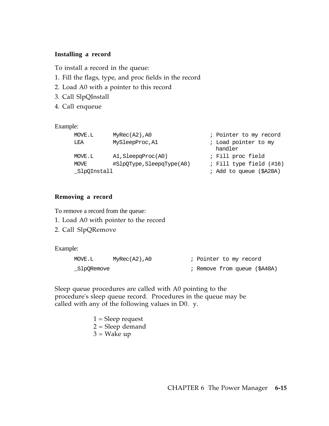#### **Installing a record**

To install a record in the queue:

- 1. Fill the flags, type, and proc fields in the record
- 2. Load A0 with a pointer to this record
- 3. Call SlpQInstall
- 4. Call enqueue

#### Example:

| MOVE.L      | $MyRec(A2)$ , AO          | ; Pointer to my record  |
|-------------|---------------------------|-------------------------|
| LEA         | MySleepProc, A1           | ; Load pointer to my    |
|             |                           | handler                 |
| MOVE.L      | A1, SleepqProc(A0)        | ; Fill proc field       |
| MOVE        | #SlpQType, SleepqType(A0) | ; Fill type field (#16) |
| SlpOInstall |                           | ; Add to queue (\$A28A) |
|             |                           |                         |

#### **Removing a record**

To remove a record from the queue:

- 1. Load A0 with pointer to the record
- 2. Call SlpQRemove

Example:

| MOVE.L      | $MyRec(A2)$ , $A0$ | ; Pointer to my record       |
|-------------|--------------------|------------------------------|
| _SlpQRemove |                    | ; Remove from queue (\$A48A) |

Sleep queue procedures are called with A0 pointing to the procedure's sleep queue record. Procedures in the queue may be called with any of the following values in D0. y.

> $1 =$ Sleep request  $2 =$ Sleep demand  $3$  = Wake up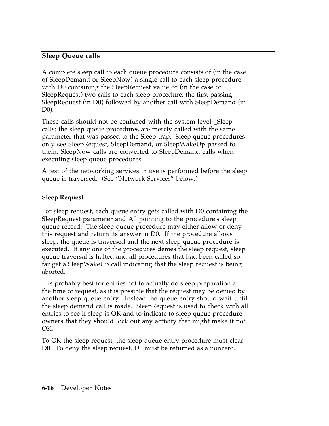#### **Sleep Queue calls**

A complete sleep call to each queue procedure consists of (in the case of SleepDemand or SleepNow) a single call to each sleep procedure with D0 containing the SleepRequest value or (in the case of SleepRequest) two calls to each sleep procedure, the first passing SleepRequest (in D0) followed by another call with SleepDemand (in D0).

These calls should not be confused with the system level \_Sleep calls; the sleep queue procedures are merely called with the same parameter that was passed to the Sleep trap. Sleep queue procedures only see SleepRequest, SleepDemand, or SleepWakeUp passed to them; SleepNow calls are converted to SleepDemand calls when executing sleep queue procedures.

A test of the networking services in use is performed before the sleep queue is traversed. (See "Network Services" below.)

#### **Sleep Request**

For sleep request, each queue entry gets called with D0 containing the SleepRequest parameter and A0 pointing to the procedure's sleep queue record. The sleep queue procedure may either allow or deny this request and return its answer in D0. If the procedure allows sleep, the queue is traversed and the next sleep queue procedure is executed. If any one of the procedures denies the sleep request, sleep queue traversal is halted and all procedures that had been called so far get a SleepWakeUp call indicating that the sleep request is being aborted.

It is probably best for entries not to actually do sleep preparation at the time of request, as it is possible that the request may be denied by another sleep queue entry. Instead the queue entry should wait until the sleep demand call is made. SleepRequest is used to check with all entries to see if sleep is OK and to indicate to sleep queue procedure owners that they should lock out any activity that might make it not OK.

To OK the sleep request, the sleep queue entry procedure must clear D0. To deny the sleep request, D0 must be returned as a nonzero.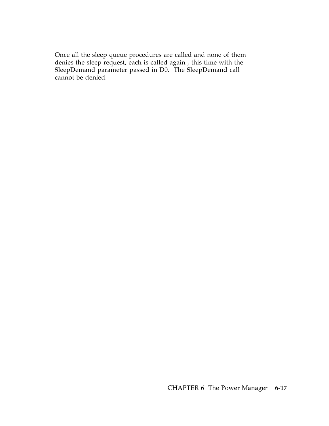Once all the sleep queue procedures are called and none of them denies the sleep request, each is called again , this time with the SleepDemand parameter passed in D0. The SleepDemand call cannot be denied.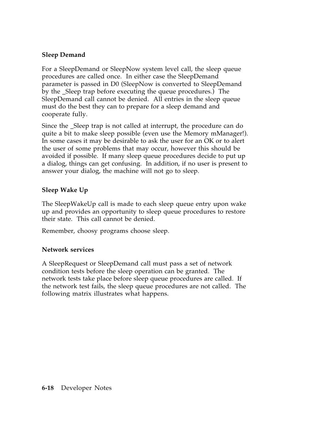#### **Sleep Demand**

For a SleepDemand or SleepNow system level call, the sleep queue procedures are called once. In either case the SleepDemand parameter is passed in D0 (SleepNow is converted to SleepDemand by the \_Sleep trap before executing the queue procedures.) The SleepDemand call cannot be denied. All entries in the sleep queue must do the best they can to prepare for a sleep demand and cooperate fully.

Since the \_Sleep trap is not called at interrupt, the procedure can do quite a bit to make sleep possible (even use the Memory mManager!). In some cases it may be desirable to ask the user for an OK or to alert the user of some problems that may occur, however this should be avoided if possible. If many sleep queue procedures decide to put up a dialog, things can get confusing. In addition, if no user is present to answer your dialog, the machine will not go to sleep.

#### **Sleep Wake Up**

The SleepWakeUp call is made to each sleep queue entry upon wake up and provides an opportunity to sleep queue procedures to restore their state. This call cannot be denied.

Remember, choosy programs choose sleep.

#### **Network services**

A SleepRequest or SleepDemand call must pass a set of network condition tests before the sleep operation can be granted. The network tests take place before sleep queue procedures are called. If the network test fails, the sleep queue procedures are not called. The following matrix illustrates what happens.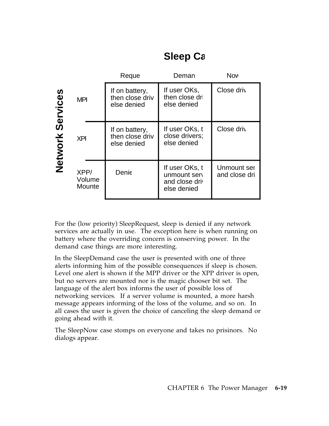# **Sleep Ca**

|          |                          | Reque                                            | Deman                                                           | Nov                          |
|----------|--------------------------|--------------------------------------------------|-----------------------------------------------------------------|------------------------------|
| Services | <b>MPI</b>               | If on battery,<br>then close driv<br>else denied | If user OKs,<br>then close dri<br>else denied                   | Close driv                   |
| Network  | <b>XPI</b>               | If on battery,<br>then close driv<br>else denied | If user OKs, t<br>close drivers;<br>else denied                 | Close driv                   |
|          | XPP/<br>Volume<br>Mounte | Denie                                            | If user OKs, t<br>unmount serv<br>and close driv<br>else denied | Unmount ser<br>and close dri |

For the (low priority) SleepRequest, sleep is denied if any network services are actually in use. The exception here is when running on battery where the overriding concern is conserving power. In the demand case things are more interesting.

In the SleepDemand case the user is presented with one of three alerts informing him of the possible consequences if sleep is chosen. Level one alert is shown if the MPP driver or the XPP driver is open, but no servers are mounted nor is the magic chooser bit set. The language of the alert box informs the user of possible loss of networking services. If a server volume is mounted, a more harsh message appears informing of the loss of the volume, and so on. In all cases the user is given the choice of canceling the sleep demand or going ahead with it.

The SleepNow case stomps on everyone and takes no prisinors. No dialogs appear.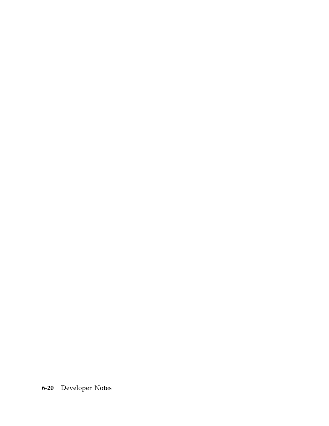**6-20** Developer Notes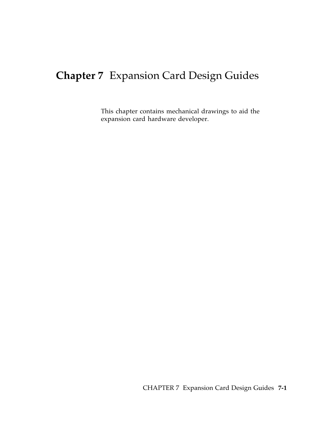# **Chapter 7** Expansion Card Design Guides

This chapter contains mechanical drawings to aid the expansion card hardware developer.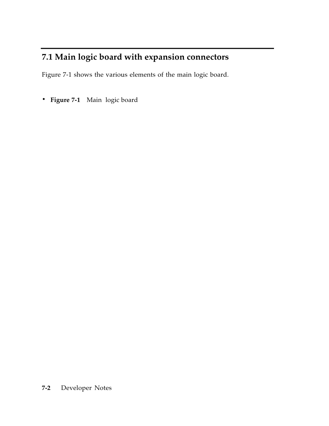# **7.1 Main logic board with expansion connectors**

Figure 7-1 shows the various elements of the main logic board.

• **Figure 7-1** Main logic board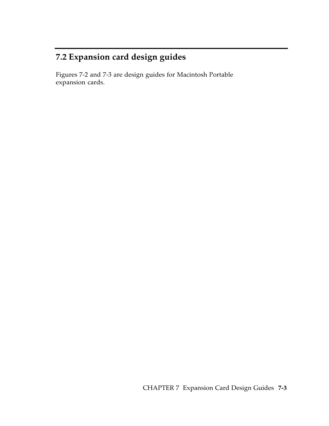# **7.2 Expansion card design guides**

Figures 7-2 and 7-3 are design guides for Macintosh Portable expansion cards.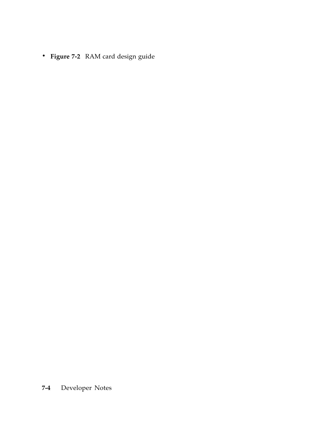• **Figure 7-2** RAM card design guide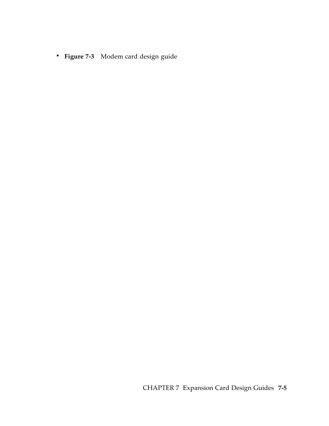• **Figure 7-3** Modem card design guide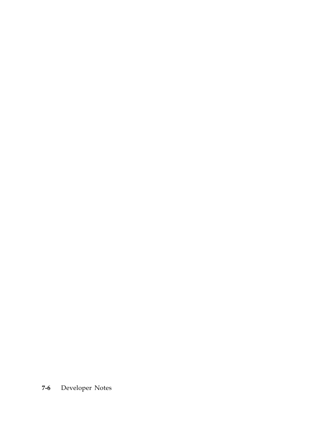# **7-6** Developer Notes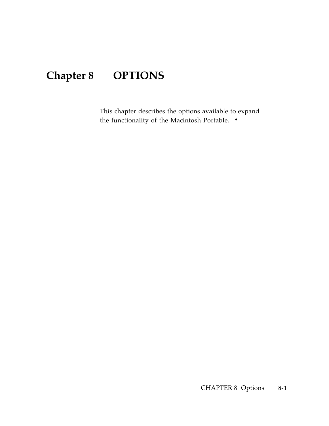# **Chapter 8 OPTIONS**

This chapter describes the options available to expand the functionality of the Macintosh Portable.•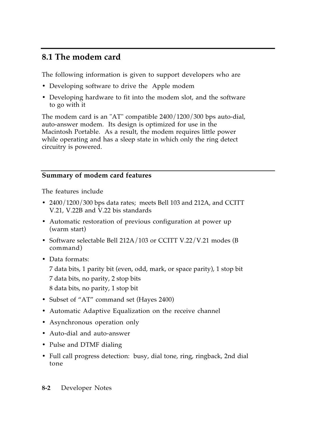### **8.1 The modem card**

The following information is given to support developers who are

- Developing software to drive the Apple modem
- Developing hardware to fit into the modem slot, and the software to go with it

The modem card is an "AT" compatible 2400/1200/300 bps auto-dial, auto-answer modem. Its design is optimized for use in the Macintosh Portable. As a result, the modem requires little power while operating and has a sleep state in which only the ring detect circuitry is powered.

#### **Summary of modem card features**

The features include

- 2400/1200/300 bps data rates; meets Bell 103 and 212A, and CCITT V.21, V.22B and V.22 bis standards
- Automatic restoration of previous configuration at power up (warm start)
- Software selectable Bell 212A/103 or CCITT V.22/V.21 modes (B) command)
- Data formats:

7 data bits, 1 parity bit (even, odd, mark, or space parity), 1 stop bit 7 data bits, no parity, 2 stop bits

- 8 data bits, no parity, 1 stop bit
- Subset of "AT" command set (Hayes 2400)
- Automatic Adaptive Equalization on the receive channel
- Asynchronous operation only
- Auto-dial and auto-answer
- Pulse and DTMF dialing
- Full call progress detection: busy, dial tone, ring, ringback, 2nd dial tone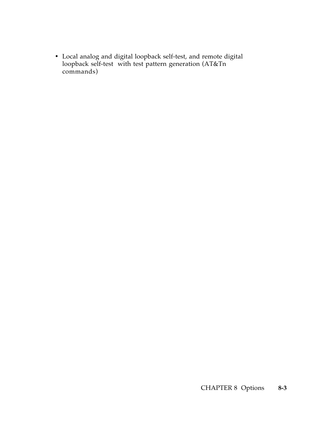• Local analog and digital loopback self-test, and remote digital loopback self-test with test pattern generation (AT&Tn commands)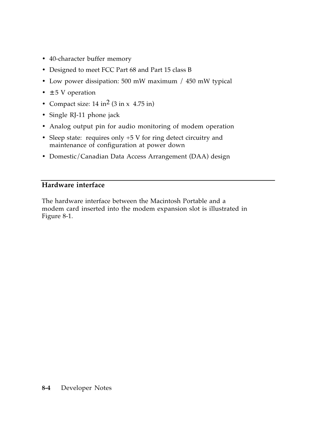- 40-character buffer memory
- Designed to meet FCC Part 68 and Part 15 class B
- Low power dissipation: 500 mW maximum / 450 mW typical
- $\bullet$   $\pm$  5 V operation
- Compact size:  $14 \text{ in}^2$  (3 in x 4.75 in)
- Single RJ-11 phone jack
- Analog output pin for audio monitoring of modem operation
- Sleep state: requires only +5 V for ring detect circuitry and maintenance of configuration at power down
- Domestic/Canadian Data Access Arrangement (DAA) design

#### **Hardware interface**

The hardware interface between the Macintosh Portable and a modem card inserted into the modem expansion slot is illustrated in Figure 8-1.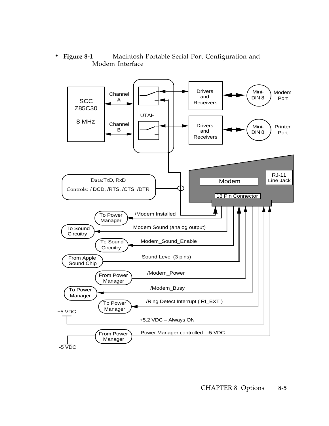• **Figure 8-1** Macintosh Portable Serial Port Configuration and Modem Interface

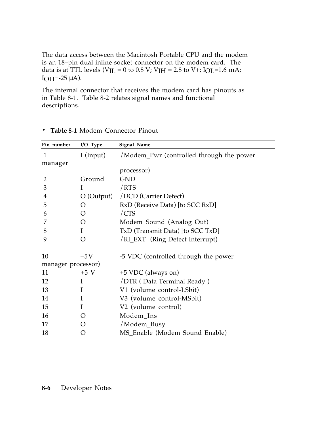The data access between the Macintosh Portable CPU and the modem is an 18–pin dual inline socket connector on the modem card. The data is at TTL levels ( $V_{IL} = 0$  to 0.8 V;  $V_{IH} = 2.8$  to V+;  $I_{OL} = 1.6$  mA; IOH= $-25 \mu$ A).

The internal connector that receives the modem card has pinouts as in Table 8-1. Table 8-2 relates signal names and functional descriptions.

| Pin number         | I/O Type    | <b>Signal Name</b>                       |
|--------------------|-------------|------------------------------------------|
| $\mathbf{1}$       | I (Input)   | /Modem_Pwr (controlled through the power |
| manager            |             |                                          |
|                    |             | processor)                               |
| 2                  | Ground      | <b>GND</b>                               |
| 3                  | I           | /RTS                                     |
| 4                  |             | O (Output) / DCD (Carrier Detect)        |
| 5                  | O           | RxD (Receive Data) [to SCC RxD]          |
| 6                  | O           | /CTS                                     |
| 7                  | O           | Modem_Sound (Analog Out)                 |
| 8                  | $\bf{I}$    | TxD (Transmit Data) [to SCC TxD]         |
| 9                  | $\Omega$    | /RI_EXT (Ring Detect Interrupt)          |
| 10                 | $-5V$       | -5 VDC (controlled through the power     |
| manager processor) |             |                                          |
| 11                 | $+5$ V      | +5 VDC (always on)                       |
| 12                 | I           | /DTR (Data Terminal Ready)               |
| 13                 | $\mathbf I$ | V1 (volume control-LSbit)                |
| 14                 | I           | V3 (volume control-MSbit)                |
| 15                 | $\mathbf I$ | V2 (volume control)                      |
| 16                 | O           | Modem_Ins                                |
| 17                 | O           | /Modem_Busy                              |
| 18                 | O           | MS_Enable (Modem Sound Enable)           |

|  |  |  | • Table 8-1 Modem Connector Pinout |  |
|--|--|--|------------------------------------|--|
|--|--|--|------------------------------------|--|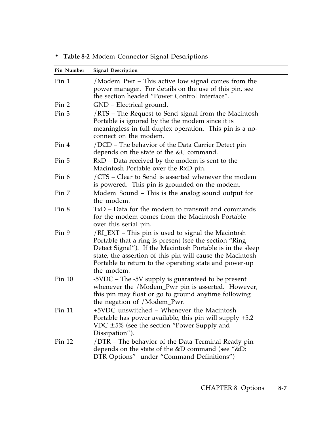## • **Table 8-2** Modem Connector Signal Descriptions

| Pin Number       | <b>Signal Description</b>                                                                                                                                                                                                                                                                                       |
|------------------|-----------------------------------------------------------------------------------------------------------------------------------------------------------------------------------------------------------------------------------------------------------------------------------------------------------------|
| Pin <sub>1</sub> | /Modem_Pwr – This active low signal comes from the<br>power manager. For details on the use of this pin, see<br>the section headed "Power Control Interface".                                                                                                                                                   |
| Pin 2            | GND – Electrical ground.                                                                                                                                                                                                                                                                                        |
| Pin 3            | /RTS – The Request to Send signal from the Macintosh<br>Portable is ignored by the the modem since it is<br>meaningless in full duplex operation. This pin is a no-<br>connect on the modem.                                                                                                                    |
| Pin 4            | /DCD - The behavior of the Data Carrier Detect pin<br>depends on the state of the $\&C$ command.                                                                                                                                                                                                                |
| Pin 5            | $RxD$ – Data received by the modem is sent to the<br>Macintosh Portable over the RxD pin.                                                                                                                                                                                                                       |
| Pin 6            | /CTS – Clear to Send is asserted whenever the modem<br>is powered. This pin is grounded on the modem.                                                                                                                                                                                                           |
| Pin 7            | Modem_Sound - This is the analog sound output for<br>the modem.                                                                                                                                                                                                                                                 |
| Pin 8            | TxD – Data for the modem to transmit and commands<br>for the modem comes from the Macintosh Portable<br>over this serial pin.                                                                                                                                                                                   |
| Pin 9            | /RI_EXT - This pin is used to signal the Macintosh<br>Portable that a ring is present (see the section "Ring<br>Detect Signal"). If the Macintosh Portable is in the sleep<br>state, the assertion of this pin will cause the Macintosh<br>Portable to return to the operating state and power-up<br>the modem. |
| $Pin$ 10         | $-5VDC$ – The $-5V$ supply is guaranteed to be present<br>whenever the /Modem_Pwr pin is asserted. However,<br>this pin may float or go to ground anytime following<br>the negation of /Modem_Pwr.                                                                                                              |
| $Pin$ 11         | +5VDC unswitched - Whenever the Macintosh<br>Portable has power available, this pin will supply +5.2<br>VDC $\pm$ 5% (see the section "Power Supply and<br>Dissipation").                                                                                                                                       |
| $Pin$ 12         | /DTR - The behavior of the Data Terminal Ready pin<br>depends on the state of the $&D$ command (see " $&D$ :<br>DTR Options" under "Command Definitions")                                                                                                                                                       |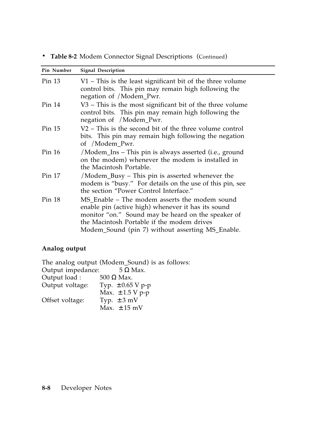• **Table 8-2** Modem Connector Signal Descriptions (Continued)

| Pin Number        | <b>Signal Description</b>                                                                                                                                                                                                                                   |
|-------------------|-------------------------------------------------------------------------------------------------------------------------------------------------------------------------------------------------------------------------------------------------------------|
| $Pin$ 13          | V1 – This is the least significant bit of the three volume<br>control bits. This pin may remain high following the<br>negation of /Modem_Pwr.                                                                                                               |
| Pin 14            | V3 – This is the most significant bit of the three volume<br>control bits. This pin may remain high following the<br>negation of /Modem_Pwr.                                                                                                                |
| $Pin$ 15          | V2 – This is the second bit of the three volume control<br>bits. This pin may remain high following the negation<br>of /Modem Pwr.                                                                                                                          |
| Pin 16            | /Modem_Ins – This pin is always asserted (i.e., ground<br>on the modem) whenever the modem is installed in<br>the Macintosh Portable.                                                                                                                       |
| Pin 17            | /Modem_Busy – This pin is asserted whenever the<br>modem is "busy." For details on the use of this pin, see<br>the section "Power Control Interface."                                                                                                       |
| Pin <sub>18</sub> | MS_Enable – The modem asserts the modem sound<br>enable pin (active high) whenever it has its sound<br>monitor "on." Sound may be heard on the speaker of<br>the Macintosh Portable if the modem drives<br>Modem_Sound (pin 7) without asserting MS_Enable. |

## **Analog output**

The analog output (Modem\_Sound) is as follows: Output impedance:  $5 \Omega$  Max. Output load :  $500 \Omega$  Max. Output voltage: Typ. ± 0.65 V p-p Max.  $\pm 1.5$  V p-p Offset voltage: Typ.  $\pm$  3 mV Max.  $\pm$  15 mV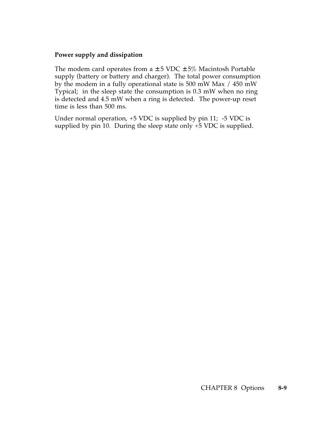## **Power supply and dissipation**

The modem card operates from a  $\pm$  5 VDC  $\pm$  5% Macintosh Portable supply (battery or battery and charger). The total power consumption by the modem in a fully operational state is 500 mW Max / 450 mW Typical; in the sleep state the consumption is 0.3 mW when no ring is detected and 4.5 mW when a ring is detected. The power-up reset time is less than 500 ms.

Under normal operation, +5 VDC is supplied by pin 11; -5 VDC is supplied by pin 10. During the sleep state only +5 VDC is supplied.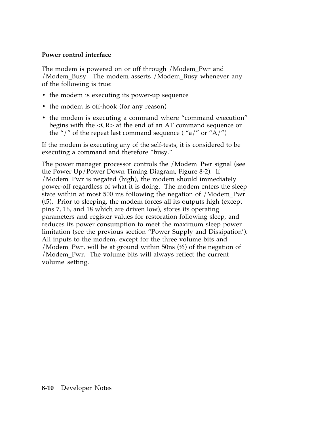### **Power control interface**

The modem is powered on or off through /Modem Pwr and /Modem\_Busy. The modem asserts /Modem\_Busy whenever any of the following is true:

- the modem is executing its power-up sequence
- the modem is off-hook (for any reason)
- the modem is executing a command where "command execution" begins with the <CR> at the end of an AT command sequence or the "/" of the repeat last command sequence ("a/" or "A/")

If the modem is executing any of the self-tests, it is considered to be executing a command and therefore "busy."

The power manager processor controls the /Modem\_Pwr signal (see the Power Up/Power Down Timing Diagram, Figure 8-2). If /Modem\_Pwr is negated (high), the modem should immediately power-off regardless of what it is doing. The modem enters the sleep state within at most 500 ms following the negation of /Modem\_Pwr (t5). Prior to sleeping, the modem forces all its outputs high (except pins 7, 16, and 18 which are driven low), stores its operating parameters and register values for restoration following sleep, and reduces its power consumption to meet the maximum sleep power limitation (see the previous section "Power Supply and Dissipation'). All inputs to the modem, except for the three volume bits and /Modem Pwr, will be at ground within 50ns (t6) of the negation of /Modem\_Pwr. The volume bits will always reflect the current volume setting.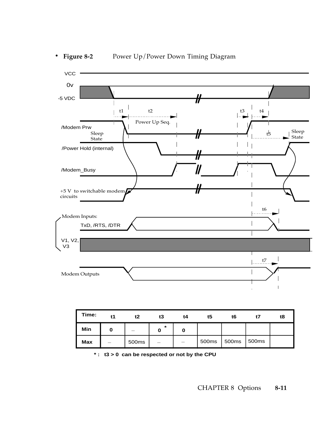

## • **Figure 8-2** Power Up/Power Down Timing Diagram

**\* : t3 > 0 can be respected or not by the CPU**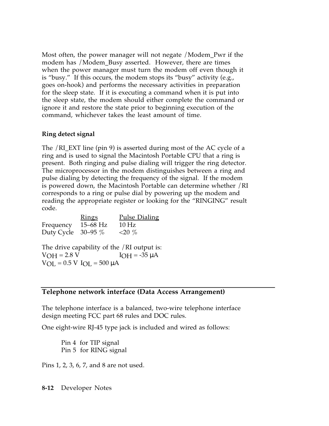Most often, the power manager will not negate /Modem\_Pwr if the modem has /Modem Busy asserted. However, there are times when the power manager must turn the modem off even though it is "busy." If this occurs, the modem stops its "busy" activity (e.g., goes on-hook) and performs the necessary activities in preparation for the sleep state. If it is executing a command when it is put into the sleep state, the modem should either complete the command or ignore it and restore the state prior to beginning execution of the command, whichever takes the least amount of time.

#### **Ring detect signal**

The /RI\_EXT line (pin 9) is asserted during most of the AC cycle of a ring and is used to signal the Macintosh Portable CPU that a ring is present. Both ringing and pulse dialing will trigger the ring detector. The microprocessor in the modem distinguishes between a ring and pulse dialing by detecting the frequency of the signal. If the modem is powered down, the Macintosh Portable can determine whether /RI corresponds to a ring or pulse dial by powering up the modem and reading the appropriate register or looking for the "RINGING" result code.

Rings Pulse Dialing Frequency 15–68 Hz 10 Hz Duty Cycle  $30-95\%$  <20 %

The drive capability of the /RI output is:  $VOH = 2.8 \text{ V}$   $IOH = -35 \text{ }\mu\text{A}$  $VOL = 0.5 V IOL = 500 \mu A$ 

### **Telephone network interface (Data Access Arrangement)**

The telephone interface is a balanced, two-wire telephone interface design meeting FCC part 68 rules and DOC rules.

One eight-wire RJ-45 type jack is included and wired as follows:

Pin 4 for TIP signal Pin 5 for RING signal

Pins 1, 2, 3, 6, 7, and 8 are not used.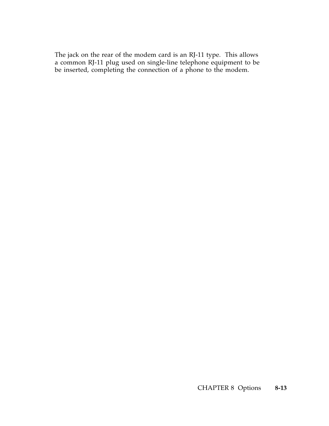The jack on the rear of the modem card is an RJ-11 type. This allows a common RJ-11 plug used on single-line telephone equipment to be be inserted, completing the connection of a phone to the modem.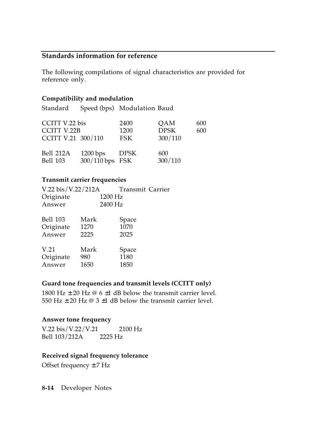### **Standards information for reference**

The following compilations of signal characteristics are provided for reference only.

### **Compatibility and modulation**

| Standard                                                   |                             | Speed (bps) Modulation Baud |                               |            |
|------------------------------------------------------------|-----------------------------|-----------------------------|-------------------------------|------------|
| CCITT V.22 bis<br><b>CCITT V.22B</b><br>CCITT V.21 300/110 |                             | 2400<br>1200<br><b>FSK</b>  | QAM<br><b>DPSK</b><br>300/110 | 600<br>600 |
| Bell 212A<br><b>Bell 103</b>                               | 1200 bps<br>300/110 bps FSK | <b>DPSK</b>                 | 600<br>300/110                |            |

## **Transmit carrier frequencies**

| V.22 bis/V.22/212A |      |         | <b>Transmit Carrier</b> |  |
|--------------------|------|---------|-------------------------|--|
| Originate          |      | 1200 Hz |                         |  |
| Answer             |      | 2400 Hz |                         |  |
|                    |      |         |                         |  |
| <b>Bell 103</b>    | Mark |         | Space                   |  |
| Originate          | 1270 |         | 1070                    |  |
| Answer             | 2225 |         | 2025                    |  |
|                    |      |         |                         |  |
| V.21               | Mark |         | Space                   |  |
| Originate          | 980  |         | 1180                    |  |
| Answer             | 1650 |         | 1850                    |  |
|                    |      |         |                         |  |

### **Guard tone frequencies and transmit levels (CCITT only)**

1800 Hz  $\pm$  20 Hz @ 6  $\pm$ 1 dB below the transmit carrier level. 550 Hz  $\pm$  20 Hz @ 3  $\pm$ 1 dB below the transmit carrier level.

### **Answer tone frequency**

V.22 bis/V.22/V.21 2100 Hz Bell 103/212A 2225 Hz

### **Received signal frequency tolerance**

Offset frequency  $\pm$  7 Hz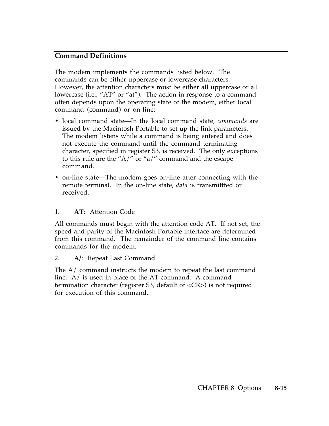## **Command Definitions**

The modem implements the commands listed below. The commands can be either uppercase or lowercase characters. However, the attention characters must be either all uppercase or all lowercase (i.e., "AT" or "at"). The action in response to a command often depends upon the operating state of the modem, either local command (command) or on-line:

- local command state—In the local command state, *commands* are issued by the Macintosh Portable to set up the link parameters. The modem listens while a command is being entered and does not execute the command until the command terminating character, specified in register S3, is received. The only exceptions to this rule are the " $A$ /" or "a/" command and the escape command.
- on-line state—The modem goes on-line after connecting with the remote terminal. In the on-line state, *data* is transmittted or received.

## 1. **AT**: Attention Code

All commands must begin with the attention code AT. If not set, the speed and parity of the Macintosh Portable interface are determined from this command. The remainder of the command line contains commands for the modem.

## 2. **A/**: Repeat Last Command

The A/ command instructs the modem to repeat the last command line. A/ is used in place of the AT command. A command termination character (register S3, default of <CR>) is not required for execution of this command.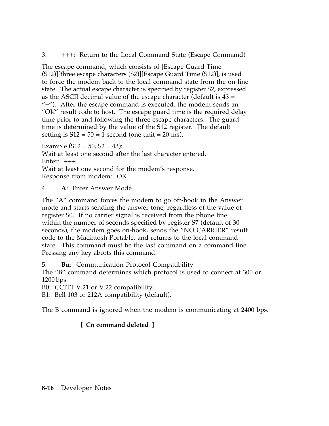3. **+++**: Return to the Local Command State (Escape Command)

The escape command, which consists of [Escape Guard Time (S12)][three escape characters (S2)][Escape Guard Time (S12)], is used to force the modem back to the local command state from the on-line state. The actual escape character is specified by register S2, expressed as the ASCII decimal value of the escape character (default is 43 = "+"). After the escape command is executed, the modem sends an "OK" result code to host. The escape guard time is the required delay time prior to and following the three escape characters. The guard time is determined by the value of the S12 register. The default setting is  $S12 = 50 = 1$  second (one unit = 20 ms).

Example  $(S12 = 50, S2 = 43)$ :

Wait at least one second after the last character entered. Enter:  $+++$ Wait at least one second for the modem's response.

Response from modem: OK

4. **A**: Enter Answer Mode

The "A" command forces the modem to go off-hook in the Answer mode and starts sending the answer tone, regardless of the value of register S0. If no carrier signal is received from the phone line within the number of seconds specified by register S7 (default of 30 seconds), the modem goes on-hook, sends the "NO CARRIER" result code to the Macintosh Portable, and returns to the local command state. This command must be the last command on a command line. Pressing any key aborts this command.

5. **Bn**: Communication Protocol Compatibility

The "B" command determines which protocol is used to connect at 300 or 1200 bps.

B0: CCITT V.21 or V.22 compatibility.

B1: Bell 103 or 212A compatibility (default).

The B command is ignored when the modem is communicating at 2400 bps.

# **[ Cn command deleted ]**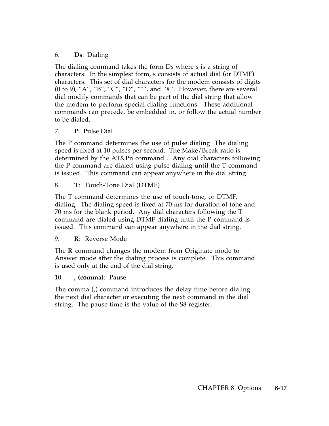## 6. **Ds**: Dialing

The dialing command takes the form Ds where s is a string of characters. In the simplest form, s consists of actual dial (or DTMF) characters. This set of dial characters for the modem consists of digits (0 to 9), "A", "B", "C", "D", "\*", and "#". However, there are several dial modify commands that can be part of the dial string that allow the modem to perform special dialing functions. These additional commands can precede, be embedded in, or follow the actual number to be dialed.

### 7. **P**: Pulse Dial

The P command determines the use of pulse dialing The dialing speed is fixed at 10 pulses per second. The Make/Break ratio is determined by the AT&Pn command . Any dial characters following the P command are dialed using pulse dialing until the T command is issued. This command can appear anywhere in the dial string.

8. **T**: Touch-Tone Dial (DTMF)

The T command determines the use of touch-tone, or DTMF, dialing. The dialing speed is fixed at 70 ms for duration of tone and 70 ms for the blank period. Any dial characters following the T command are dialed using DTMF dialing until the P command is issued. This command can appear anywhere in the dial string.

9. **R**: Reverse Mode

The **R** command changes the modem from Originate mode to Answer mode after the dialing process is complete. This command is used only at the end of the dial string.

10. **, (comma)**: Pause

The comma (,) command introduces the delay time before dialing the next dial character or executing the next command in the dial string. The pause time is the value of the S8 register.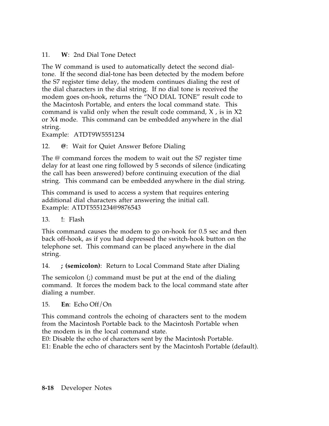## 11. **W**: 2nd Dial Tone Detect

The W command is used to automatically detect the second dialtone. If the second dial-tone has been detected by the modem before the S7 register time delay, the modem continues dialing the rest of the dial characters in the dial string. If no dial tone is received the modem goes on-hook, returns the "NO DIAL TONE" result code to the Macintosh Portable, and enters the local command state. This command is valid only when the result code command, X , is in X2 or X4 mode. This command can be embedded anywhere in the dial string.

Example: ATDT9W5551234

12. **@**: Wait for Quiet Answer Before Dialing

The @ command forces the modem to wait out the S7 register time delay for at least one ring followed by 5 seconds of silence (indicating the call has been answered) before continuing execution of the dial string. This command can be embedded anywhere in the dial string.

This command is used to access a system that requires entering additional dial characters after answering the initial call. Example: ATDT5551234@9876543

## 13. **!**: Flash

This command causes the modem to go on-hook for 0.5 sec and then back off-hook, as if you had depressed the switch-hook button on the telephone set. This command can be placed anywhere in the dial string.

14. **; (semicolon)**: Return to Local Command State after Dialing

The semicolon (;) command must be put at the end of the dialing command. It forces the modem back to the local command state after dialing a number.

15. **En**: Echo Off/On

This command controls the echoing of characters sent to the modem from the Macintosh Portable back to the Macintosh Portable when the modem is in the local command state.

E0: Disable the echo of characters sent by the Macintosh Portable.

E1: Enable the echo of characters sent by the Macintosh Portable (default).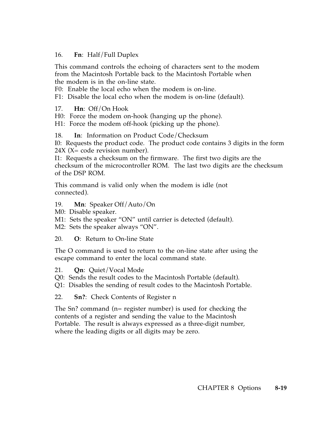## 16. **Fn**: Half/Full Duplex

This command controls the echoing of characters sent to the modem from the Macintosh Portable back to the Macintosh Portable when the modem is in the on-line state.

F0: Enable the local echo when the modem is on-line.

F1: Disable the local echo when the modem is on-line (default).

17. **Hn**: Off/On Hook

H0: Force the modem on-hook (hanging up the phone).

H1: Force the modem off-hook (picking up the phone).

18. **In**: Information on Product Code/Checksum

I0: Requests the product code. The product code contains 3 digits in the form 24X (X= code revision number).

I1: Requests a checksum on the firmware. The first two digits are the checksum of the microcontroller ROM. The last two digits are the checksum of the DSP ROM.

This command is valid only when the modem is idle (not connected).

- 19. **Mn**: Speaker Off/Auto/On
- M0: Disable speaker.
- M1: Sets the speaker "ON" until carrier is detected (default).
- M2: Sets the speaker always "ON".
- 20. **O**: Return to On-line State

The O command is used to return to the on-line state after using the escape command to enter the local command state.

- 21. **Qn**: Quiet/Vocal Mode
- Q0: Sends the result codes to the Macintosh Portable (default).
- Q1: Disables the sending of result codes to the Macintosh Portable.

22. **Sn?**: Check Contents of Register n

The Sn? command (n= register number) is used for checking the contents of a register and sending the value to the Macintosh Portable. The result is always expressed as a three-digit number, where the leading digits or all digits may be zero.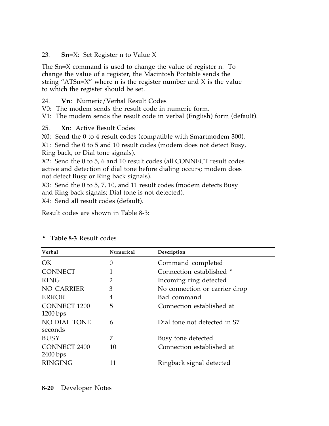## 23. **Sn**=X: Set Register n to Value X

The Sn=X command is used to change the value of register n. To change the value of a register, the Macintosh Portable sends the string "ATSn=X" where n is the register number and X is the value to which the register should be set.

## 24. **Vn**: Numeric/Verbal Result Codes

V0: The modem sends the result code in numeric form.

V1: The modem sends the result code in verbal (English) form (default).

25. **Xn**: Active Result Codes

X0: Send the 0 to 4 result codes (compatible with Smartmodem 300).

X1: Send the 0 to 5 and 10 result codes (modem does not detect Busy, Ring back, or Dial tone signals).

X2: Send the 0 to 5, 6 and 10 result codes (all CONNECT result codes active and detection of dial tone before dialing occurs; modem does not detect Busy or Ring back signals).

X3: Send the 0 to 5, 7, 10, and 11 result codes (modem detects Busy and Ring back signals; Dial tone is not detected).

X4: Send all result codes (default).

Result codes are shown in Table 8-3:

| Verbal                            | Numerical | Description                   |
|-----------------------------------|-----------|-------------------------------|
| <b>OK</b>                         | 0         | Command completed             |
| <b>CONNECT</b>                    | 1         | Connection established *      |
| <b>RING</b>                       | 2         | Incoming ring detected        |
| <b>NO CARRIER</b>                 | 3         | No connection or carrier drop |
| <b>ERROR</b>                      | 4         | Bad command                   |
| <b>CONNECT 1200</b><br>$1200$ bps | 5         | Connection established at     |
| <b>NO DIAL TONE</b><br>seconds    | 6         | Dial tone not detected in S7  |
| <b>BUSY</b>                       | 7         | Busy tone detected            |
| <b>CONNECT 2400</b><br>$2400$ bps | 10        | Connection established at     |
| <b>RINGING</b>                    | 11        | Ringback signal detected      |

### • **Table 8-3** Result codes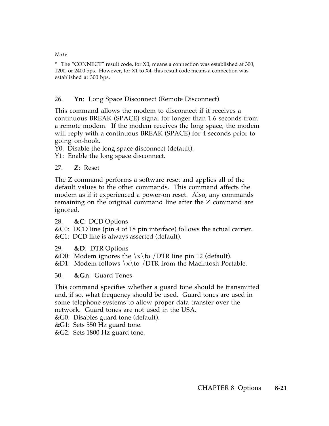#### *Note*

\* The "CONNECT" result code, for X0, means a connection was established at 300, 1200, or 2400 bps. However, for X1 to X4, this result code means a connection was established at 300 bps.

## 26. **Yn**: Long Space Disconnect (Remote Disconnect)

This command allows the modem to disconnect if it receives a continuous BREAK (SPACE) signal for longer than 1.6 seconds from a remote modem. If the modem receives the long space, the modem will reply with a continuous BREAK (SPACE) for 4 seconds prior to going on-hook.

Y0: Disable the long space disconnect (default).

Y1: Enable the long space disconnect.

## 27. **Z**: Reset

The Z command performs a software reset and applies all of the default values to the other commands. This command affects the modem as if it experienced a power-on reset. Also, any commands remaining on the original command line after the Z command are ignored.

## 28. **&C**: DCD Options

&C0: DCD line (pin 4 of 18 pin interface) follows the actual carrier. &C1: DCD line is always asserted (default).

### 29. **&D**: DTR Options

&D0: Modem ignores the  $\x\to$  /DTR line pin 12 (default).

&D1: Modem follows  $\x\to 0$  /DTR from the Macintosh Portable.

## 30. **&Gn**: Guard Tones

This command specifies whether a guard tone should be transmitted and, if so, what frequency should be used. Guard tones are used in some telephone systems to allow proper data transfer over the network. Guard tones are not used in the USA.

&G0: Disables guard tone (default).

&G1: Sets 550 Hz guard tone.

&G2: Sets 1800 Hz guard tone.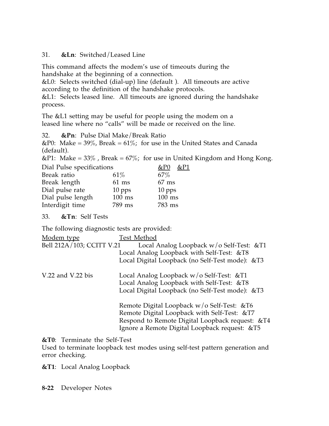### 31. **&Ln**: Switched/Leased Line

This command affects the modem's use of timeouts during the handshake at the beginning of a connection.

&L0: Selects switched (dial-up) line (default ). All timeouts are active according to the definition of the handshake protocols.

&L1: Selects leased line. All timeouts are ignored during the handshake process.

The &L1 setting may be useful for people using the modem on a leased line where no "calls" will be made or received on the line.

32. **&Pn**: Pulse Dial Make/Break Ratio

&P0: Make =  $39\%$ , Break =  $61\%$ ; for use in the United States and Canada (default).

&P1: Make =  $33\%$ , Break =  $67\%$ ; for use in United Kingdom and Hong Kong.

| Dial Pulse specifications | &P <sub>0</sub><br>&P1 |          |
|---------------------------|------------------------|----------|
| Break ratio               | $61\%$                 | 67%      |
| Break length              | $61$ ms                | $67$ ms  |
| Dial pulse rate           | $10$ pps               | $10$ pps |
| Dial pulse length         | $100$ ms               | $100$ ms |
| Interdigit time           | 789 ms                 | 783 ms   |

33. **&Tn**: Self Tests

The following diagnostic tests are provided:

| Modem type                | <b>Test Method</b>                                                                    |
|---------------------------|---------------------------------------------------------------------------------------|
| Bell 212A/103; CCITT V.21 | Local Analog Loopback w/o Self-Test: &T1                                              |
|                           | Local Analog Loopback with Self-Test: &T8                                             |
|                           | Local Digital Loopback (no Self-Test mode): &T3                                       |
| V.22 and V.22 bis         | Local Analog Loopback w/o Self-Test: &T1<br>Local Analog Loopback with Self-Test: &T8 |
|                           | Local Digital Loopback (no Self-Test mode): &T3                                       |
|                           | Remote Digital Loopback w/o Self-Test: &T6                                            |
|                           | Remote Digital Loopback with Self-Test: &T7                                           |
|                           | Respond to Remote Digital Loopback request: &T4                                       |
|                           | Ignore a Remote Digital Loopback request: &T5                                         |

**&T0**: Terminate the Self-Test

Used to terminate loopback test modes using self-test pattern generation and error checking.

**&T1**: Local Analog Loopback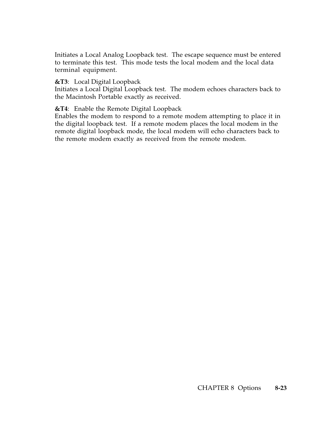Initiates a Local Analog Loopback test. The escape sequence must be entered to terminate this test. This mode tests the local modem and the local data terminal equipment.

## **&T3**: Local Digital Loopback

Initiates a Local Digital Loopback test. The modem echoes characters back to the Macintosh Portable exactly as received.

## **&T4**: Enable the Remote Digital Loopback

Enables the modem to respond to a remote modem attempting to place it in the digital loopback test. If a remote modem places the local modem in the remote digital loopback mode, the local modem will echo characters back to the remote modem exactly as received from the remote modem.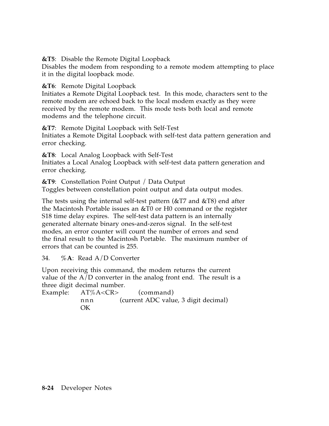**&T5**: Disable the Remote Digital Loopback

Disables the modem from responding to a remote modem attempting to place it in the digital loopback mode.

**&T6**: Remote Digital Loopback

Initiates a Remote Digital Loopback test. In this mode, characters sent to the remote modem are echoed back to the local modem exactly as they were received by the remote modem. This mode tests both local and remote modems and the telephone circuit.

**&T7**: Remote Digital Loopback with Self-Test Initiates a Remote Digital Loopback with self-test data pattern generation and error checking.

**&T8**: Local Analog Loopback with Self-Test Initiates a Local Analog Loopback with self-test data pattern generation and error checking.

**&T9**: Constellation Point Output / Data Output Toggles between constellation point output and data output modes.

The tests using the internal self-test pattern (&T7 and &T8) end after the Macintosh Portable issues an &T0 or H0 command or the register S18 time delay expires. The self-test data pattern is an internally generated alternate binary ones-and-zeros signal. In the self-test modes, an error counter will count the number of errors and send the final result to the Macintosh Portable. The maximum number of errors that can be counted is 255.

34. **%A**: Read A/D Converter

Upon receiving this command, the modem returns the current value of the  $A/D$  converter in the analog front end. The result is a three digit decimal number.

Example: AT%A<CR> (command) nnn (current ADC value, 3 digit decimal) OK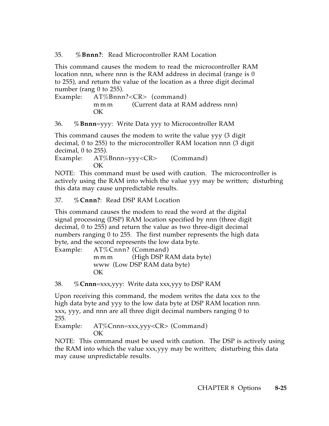## 35. **%Bnnn?**: Read Microcontroller RAM Location

This command causes the modem to read the microcontroller RAM location nnn, where nnn is the RAM address in decimal (range is 0 to 255), and return the value of the location as a three digit decimal number (rang 0 to 255).

Example: AT%Bnnn?<CR> (command) m m m (Current data at RAM address nnn) OK

## 36. **%Bnnn**=yyy: Write Data yyy to Microcontroller RAM

This command causes the modem to write the value yyy (3 digit decimal, 0 to 255) to the microcontroller RAM location nnn (3 digit decimal, 0 to 255).

Example: AT%Bnnn=yyy<CR> (Command) OK

NOTE: This command must be used with caution. The microcontroller is actively using the RAM into which the value yyy may be written; disturbing this data may cause unpredictable results.

### 37. **%Cnnn?**: Read DSP RAM Location

This command causes the modem to read the word at the digital signal processing (DSP) RAM location specified by nnn (three digit decimal, 0 to 255) and return the value as two three-digit decimal numbers ranging 0 to 255. The first number represents the high data byte, and the second represents the low data byte.

Example: AT%Cnnn? (Command) m m m (High DSP RAM data byte) www (Low DSP RAM data byte) OK

38. **%Cnnn**=xxx,yyy: Write data xxx,yyy to DSP RAM

Upon receiving this command, the modem writes the data xxx to the high data byte and yyy to the low data byte at DSP RAM location nnn. xxx, yyy, and nnn are all three digit decimal numbers ranging 0 to 255.

```
Example: AT%Cnnn=xxx,yyy<CR> (Command)
OK
```
NOTE: This command must be used with caution. The DSP is actively using the RAM into which the value xxx,yyy may be written; disturbing this data may cause unpredictable results.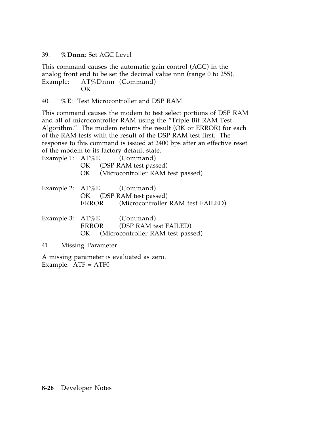39. **%Dnnn**: Set AGC Level

This command causes the automatic gain control (AGC) in the analog front end to be set the decimal value nnn (range 0 to 255). Example: AT%Dnnn (Command) OK

40. **%E**: Test Microcontroller and DSP RAM

This command causes the modem to test select portions of DSP RAM and all of microcontroller RAM using the "Triple Bit RAM Test Algorithm." The modem returns the result (OK or ERROR) for each of the RAM tests with the result of the DSP RAM test first. The response to this command is issued at 2400 bps after an effective reset of the modem to its factory default state.

Example 1: AT%E (Command) OK (DSP RAM test passed) OK (Microcontroller RAM test passed)

|  | Example 2: $AT\%E$ (Command)            |
|--|-----------------------------------------|
|  | OK (DSP RAM test passed)                |
|  | ERROR (Microcontroller RAM test FAILED) |

Example 3: AT%E (Command) ERROR (DSP RAM test FAILED) OK (Microcontroller RAM test passed)

A missing parameter is evaluated as zero. Example:  $ATF = ATF0$ 

<sup>41.</sup> Missing Parameter